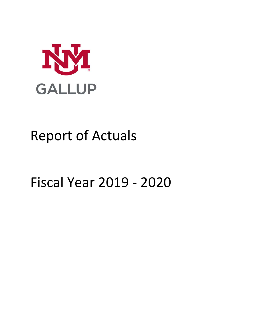

# Report of Actuals

# Fiscal Year 2019 - 2020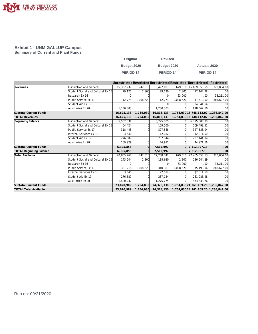

#### **Exhibit 1 - UNM GALLUP Campus Summary of Current and Plant Funds**

| Original         | <b>Revised</b>     |                     |
|------------------|--------------------|---------------------|
| Budget 2020      | <b>Budget 2020</b> | <b>Actuals 2020</b> |
| <b>PERIOD 14</b> | <b>PERIOD 14</b>   | <b>PERIOD 14</b>    |

|                                |                                   |              |           |            |           | Unrestricted Restricted Unrestricted Restricted Unrestricted | Restricted |
|--------------------------------|-----------------------------------|--------------|-----------|------------|-----------|--------------------------------------------------------------|------------|
| Revenues                       | <b>Instruction and General</b>    | 15,302,937   | 742,610   | 15,492,937 |           | 679,610 15,669,853.55                                        | 320,004.00 |
|                                | Student Social and Cultural Ex 15 | 79,120       | 2,800     | 79,120     | 2,800     | 77, 144. 78                                                  | .00        |
|                                | Research Ex 16                    | $\Omega$     |           | $\Omega$   | 63.000    | .00                                                          | 33,211.00  |
|                                | Public Service Ex 17              | 12,773       | 1,008,620 | 12,773     | 1,008,620 | 47,610.00                                                    | 883,627.00 |
|                                | Student Aid Ex 19                 | $\Omega$     |           | $\Omega$   |           | 24,841.64                                                    | .00        |
|                                | Auxiliaries Ex 20                 | 1,230,303    |           | 1,230,303  |           | 928,662.10                                                   | .00        |
| <b>Subtotal Current Funds</b>  |                                   | 16,625,133   | 1,754,030 | 16,815,133 |           | 1,754,030 16,748,112.07 1,236,842.00                         |            |
| <b>TOTAL Revenues</b>          |                                   | 16,625,133   | 1,754,030 | 16,815,133 |           | 1,754,030 16,748,112.07 1,236,842.00                         |            |
| Beginning Balance              | <b>Instruction and General</b>    | 5,562,831    |           | 6,795,805  |           | 6,795,805.08                                                 | .00        |
|                                | Student Social and Cultural Ex 15 | 64,424       |           | 109,500    |           | 109,499.51                                                   | .00        |
|                                | Public Service Ex 17              | 318,445      |           | 327,588    |           | 327,588.04                                                   | .00        |
|                                | Internal Services Ex 18           | 3,640        |           | (2,012)    |           | (2,011.50)                                                   | .00        |
|                                | Student Aid Ex 19                 | 276,587      |           | 237,144    |           | 237, 144. 34                                                 | .00        |
|                                | Auxiliaries Ex 20                 | 169.929      |           | 44.972     |           | 44,971.66                                                    | .00        |
| <b>Subtotal Current Funds</b>  |                                   | 6,395,856    |           | 7,512,997  |           | $0$ 7,512,997.13                                             | .00        |
| <b>TOTAL Beginning Balance</b> |                                   | 6,395,856    |           | 7,512,997  |           | 0 7,512,997.13                                               | .00        |
| <b>Total Available</b>         | <b>Instruction and General</b>    | 20,865,768   | 742,610   | 22,288,742 | 679,610   | 22,465,658.63                                                | 320,004.00 |
|                                | Student Social and Cultural Ex 15 | 143,544      | 2.800     | 188,620    | 2.800     | 186,644.29                                                   | .00        |
|                                | Research Ex 16                    | <sup>n</sup> |           | $\Omega$   | 63.000    | .00                                                          | 33,211.00  |
|                                | Public Service Ex 17              | 331,218      | 1,008,620 | 340.361    | 1.008.620 | 375,198.04                                                   | 883,627.00 |
|                                | Internal Services Ex 18           | 3.640        |           | (2,012)    |           | (2,011.50)                                                   | .00        |
|                                | Student Aid Ex 19                 | 276,587      |           | 237,144    |           | 261.985.98                                                   | .00        |
|                                | Auxiliaries Ex 20                 | 1,400,232    | $\Omega$  | 1,275,275  |           | 973,633.76                                                   | .00        |
| <b>Subtotal Current Funds</b>  |                                   | 23,020,989   | 1,754,030 | 24,328,130 |           | 1,754,030 24,261,109.20 1,236,842.00                         |            |
| <b>TOTAL Total Available</b>   |                                   | 23,020,989   | 1,754,030 | 24,328,130 |           | 1,754,030 24,261,109.20 1,236,842.00                         |            |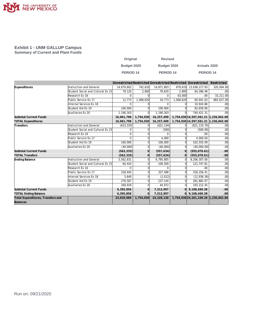

#### **Exhibit 1 - UNM GALLUP Campus Summary of Current and Plant Funds**

| Original         | <b>Revised</b>   |                      |
|------------------|------------------|----------------------|
| Budget 2020      | Budget 2020      | <b>Actuals 2020</b>  |
| <b>PERIOD 14</b> | <b>PERIOD 14</b> | PERIOD <sub>14</sub> |

|                                   |                                   |            |           |            |           | Unrestricted Restricted Unrestricted Restricted Unrestricted | Restricted       |
|-----------------------------------|-----------------------------------|------------|-----------|------------|-----------|--------------------------------------------------------------|------------------|
| Expenditures                      | Instruction and General           | 14.679.602 | 742.610   | 14,871,803 | 679.610   | 13,638,217.93                                                | 320,004.00       |
|                                   | Student Social and Cultural Ex 15 | 79,120     | 2,800     | 78.620     | 2.800     | 64.396.48                                                    | .00 <sub>1</sub> |
|                                   | Research Ex 16                    | $\Omega$   |           | $\Omega$   | 63.000    | .00                                                          | 33,211.00        |
|                                   | Public Service Ex 17              | 12,773     | 1,008,620 | 16,773     | 1,008,620 | 60.941.63                                                    | 883,627.00       |
|                                   | Internal Services Ex 18           | $\Omega$   |           | $\Omega$   |           | 10,924.86                                                    | .00              |
|                                   | Student Aid Ex 19                 | 100,000    |           | 100,000    |           | 82,659.00                                                    | .00              |
|                                   | Auxiliaries Ex 20                 | 1,190,303  | 0l        | 1,190,303  |           | 740,421.31                                                   | .00              |
| <b>Subtotal Current Funds</b>     |                                   | 16,061,798 | 1,754,030 | 16,257,499 |           | 1,754,030 14,597,561.21 1,236,842.00                         |                  |
| <b>TOTAL Expenditures</b>         |                                   | 16,061,798 | 1,754,030 | 16,257,499 |           | 1,754,030 14,597,561.21 1,236,842.00                         |                  |
| Transfers                         | Instruction and General           | (623, 335) |           | (621, 134) |           | (621, 133.70)                                                | .00 <sub>1</sub> |
|                                   | Student Social and Cultural Ex 15 | $\Omega$   |           | (500)      |           | (500.00)                                                     | .00              |
|                                   | Research Ex 16                    | $\Omega$   |           | $\Omega$   |           | .00                                                          | .00 <sub>1</sub> |
|                                   | Public Service Ex 17              | $\Omega$   |           | 4,000      |           | 4,000.00                                                     | .00              |
|                                   | Student Aid Ex 19                 | 100,000    |           | 100,000    |           | 102,555.09                                                   | .00              |
|                                   | Auxiliaries Ex 20                 | (40,000)   | U         | (40,000)   |           | (40,000.00)                                                  | .00              |
| <b>Subtotal Current Funds</b>     |                                   | (563, 335) | $\Omega$  | (557, 634) | $\Omega$  | (555, 078.61)                                                | .00              |
| <b>TOTAL Transfers</b>            |                                   | (563, 335) | O         | (557, 634) | $\Omega$  | (555, 078.61)                                                | .00              |
| Ending Balance                    | <b>Instruction and General</b>    | 5,562,831  |           | 6,795,805  |           | 8,206,307.00                                                 | .00              |
|                                   | Student Social and Cultural Ex 15 | 64,424     |           | 109,500    |           | 121,747.81                                                   | .00 <sub>1</sub> |
|                                   | Research Ex 16                    | $\Omega$   |           | $\Omega$   |           | .00                                                          | .00 <sub>1</sub> |
|                                   | Public Service Ex 17              | 318,445    |           | 327,588    |           | 318,256.41                                                   | .00              |
|                                   | Internal Services Ex 18           | 3,640      |           | (2,012)    |           | (12, 936.36)                                                 | .00              |
|                                   | Student Aid Ex 19                 | 276,587    |           | 237,144    |           | 281,882.07                                                   | .00              |
|                                   | Auxiliaries Ex 20                 | 169,929    |           | 44,972     |           | 193,212.45                                                   | .00              |
| <b>Subtotal Current Funds</b>     |                                   | 6,395,856  | $\Omega$  | 7,512,997  | ΩI        | 9,108,469.38                                                 | .00              |
| <b>TOTAL Ending Balance</b>       |                                   | 6,395,856  | ΩI        | 7,512,997  |           | 9,108,469.38                                                 | .00 <sub>1</sub> |
| Total Expenditures, Transfers and |                                   | 23,020,989 | 1,754,030 | 24,328,130 |           | 1,754,030 24,261,109.20 1,236,842.00                         |                  |
| Balances                          |                                   |            |           |            |           |                                                              |                  |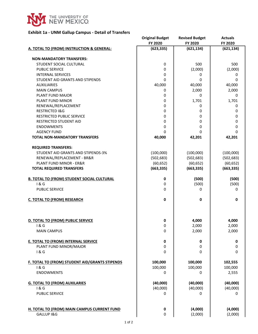

#### **Exhibit 1a - UNM Gallup Campus - Detail of Transfers**

| FY 2020<br>FY 2020<br>FY 2020<br>(623, 335)<br>(621, 134)<br>(621, 134)<br>A. TOTAL TO (FROM) INSTRUCTION & GENERAL:<br><b>NON-MANDATORY TRANSFERS:</b><br>STUDENT SOCIAL CULTURAL<br>0<br>500 | 500       |
|------------------------------------------------------------------------------------------------------------------------------------------------------------------------------------------------|-----------|
|                                                                                                                                                                                                |           |
|                                                                                                                                                                                                |           |
|                                                                                                                                                                                                |           |
|                                                                                                                                                                                                |           |
| (2,000)<br><b>PUBLIC SERVICE</b><br>0<br>(2,000)                                                                                                                                               |           |
| <b>INTERNAL SERVICES</b><br>0<br>0<br>0<br>0<br>STUDENT AID GRANTS AND STIPENDS                                                                                                                | 0<br>0    |
| 40,000<br>40,000<br>40,000<br><b>AUXILIARIES</b>                                                                                                                                               |           |
| <b>MAIN CAMPUS</b><br>0<br>2,000<br>2,000                                                                                                                                                      |           |
| PLANT FUND MAJOR<br>0<br>0                                                                                                                                                                     | 0         |
| 1,701<br>1,701<br>PLANT FUND MINOR<br>0                                                                                                                                                        |           |
| RENEWAL/REPLACEMENT<br>0<br>0                                                                                                                                                                  | 0         |
| <b>RESTRICTED I&amp;G</b><br>0<br>0                                                                                                                                                            | 0         |
| <b>RESTRICTED PUBLIC SERVICE</b><br>0<br>0                                                                                                                                                     | 0         |
| <b>RESTRICTED STUDENT AID</b><br>0<br>0                                                                                                                                                        | 0         |
| <b>ENDOWMENTS</b><br>0<br>0                                                                                                                                                                    | 0         |
| <b>AGENCY FUND</b><br>0<br>0                                                                                                                                                                   | 0         |
| <b>TOTAL NON-MANDATORY TRANSFERS</b><br>40,000<br>42,201<br>42,201                                                                                                                             |           |
|                                                                                                                                                                                                |           |
| <b>REQUIRED TRANSFERS:</b>                                                                                                                                                                     |           |
| STUDENT AID GRANTS AND STIPENDS-3%<br>(100,000)<br>(100,000)<br>(100,000)                                                                                                                      |           |
| (502, 683)<br>(502, 683)<br>RENEWAL/REPLACEMENT - BR&R<br>(502, 683)                                                                                                                           |           |
| (60, 652)<br>(60, 652)<br>PLANT FUND MINOR - ER&R<br>(60, 652)                                                                                                                                 |           |
| (663, 335)<br><b>TOTAL REQUIRED TRANSFERS</b><br>(663, 335)<br>(663, 335)                                                                                                                      |           |
|                                                                                                                                                                                                |           |
| <b>B. TOTAL TO (FROM) STUDENT SOCIAL CULTURAL</b><br>0<br>(500)                                                                                                                                | (500)     |
| 1&6<br>(500)<br>0                                                                                                                                                                              | (500)     |
| <b>PUBLIC SERVICE</b><br>$\mathbf 0$<br>0                                                                                                                                                      | 0         |
|                                                                                                                                                                                                |           |
| 0<br>0<br><b>C. TOTAL TO (FROM) RESEARCH</b>                                                                                                                                                   | 0         |
|                                                                                                                                                                                                |           |
|                                                                                                                                                                                                |           |
|                                                                                                                                                                                                |           |
| 0<br>4,000<br>4,000<br>D. TOTAL TO (FROM) PUBLIC SERVICE                                                                                                                                       |           |
| 1 & G<br>2,000<br>2,000<br>0                                                                                                                                                                   |           |
| 2,000<br>2,000<br>0<br><b>MAIN CAMPUS</b>                                                                                                                                                      |           |
| <b>E. TOTAL TO (FROM) INTERNAL SERVICE</b><br>0<br>0                                                                                                                                           | $\pmb{0}$ |
| PLANT FUND MINOR/MAJOR<br>0<br>0                                                                                                                                                               | 0         |
| 1&6<br>0<br>0                                                                                                                                                                                  | 0         |
|                                                                                                                                                                                                |           |
| 100,000<br>102,555<br>F. TOTAL TO (FROM) STUDENT AID/GRANTS STIPENDS<br>100,000                                                                                                                |           |
| 1&6<br>100,000<br>100,000<br>100,000                                                                                                                                                           |           |
| <b>ENDOWMENTS</b><br>0<br>0<br>2,555                                                                                                                                                           |           |
|                                                                                                                                                                                                |           |
| (40,000)<br>(40,000)<br>(40,000)<br><b>G. TOTAL TO (FROM) AUXILARIES</b>                                                                                                                       |           |
| (40,000)<br>1&6<br>(40,000)<br>(40,000)                                                                                                                                                        |           |
| PUBLIC SERVICE<br>0<br>0                                                                                                                                                                       | 0         |
|                                                                                                                                                                                                |           |
|                                                                                                                                                                                                |           |
| (4,000)<br>(4,000)<br>H. TOTAL TO (FROM) MAIN CAMPUS CURRENT FUND<br>0                                                                                                                         |           |
| (2,000)<br>GALLUP I&G<br>0<br>(2,000)                                                                                                                                                          |           |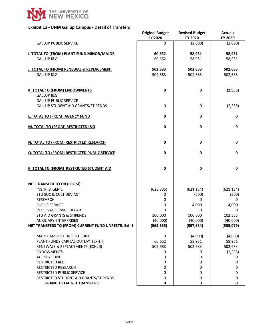

#### **Exhibit 1a - UNM Gallup Campus - Detail of Transfers**

|                                                                           | <b>Original Budget</b><br>FY 2020 | <b>Revised Budget</b><br>FY 2020 | <b>Actuals</b><br>FY 2020 |
|---------------------------------------------------------------------------|-----------------------------------|----------------------------------|---------------------------|
| <b>GALLUP PUBLIC SERVICE</b>                                              | $\Omega$                          | (2,000)                          | (2,000)                   |
| <b>I. TOTAL TO (FROM) PLANT FUND MINOR/MAJOR</b>                          | 60,652                            | 58,951                           | 58,951                    |
| GALLUP I&G                                                                | 60,652                            | 58,951                           | 58,951                    |
| J. TOTAL TO (FROM) RENEWAL & REPLACEMENT                                  | 502,683                           | 502,683                          | 502,683                   |
| GALLUP I&G                                                                | 502,683                           | 502,683                          | 502,683                   |
| <b>K. TOTAL TO (FROM) ENDOWMENTS</b>                                      | 0                                 | 0                                | (2, 555)                  |
| GALLUP I&G                                                                |                                   |                                  |                           |
| <b>GALLUP PUBLIC SERVICE</b><br><b>GALLUP STUDENT AID GRANTS/STIPENDS</b> | 0                                 | $\mathbf 0$                      | (2, 555)                  |
|                                                                           |                                   |                                  |                           |
| L. TOTAL TO (FROM) AGENCY FUND                                            | $\pmb{0}$                         | 0                                | 0                         |
| M. TOTAL TO (FROM) RESTRICTED I&G                                         | $\mathbf 0$                       | 0                                | 0                         |
|                                                                           |                                   |                                  |                           |
| N. TOTAL TO (FROM) RESTRICTED RESEARCH                                    | $\pmb{0}$                         | $\mathbf 0$                      | 0                         |
| <b>O. TOTAL TO (FROM) RESTRICTED PUBLIC SERVICE</b>                       | 0                                 | $\mathbf 0$                      | 0                         |
| P. TOTAL TO (FROM) RESTRICTED STUDENT AID                                 | 0                                 | 0                                | 0                         |
|                                                                           |                                   |                                  |                           |
| <b>NET TRANSFER TO OR (FROM):</b>                                         |                                   |                                  |                           |
| INSTR. & GEN'L<br>STU SOC & CULT DEV ACT                                  | (623, 335)<br>0                   | (621, 134)<br>(500)              | (621, 134)<br>(500)       |
| <b>RESEARCH</b>                                                           | 0                                 | 0                                | 0                         |
| PUBLIC SERVICE                                                            | 0                                 | 4,000                            | 4,000                     |
| INTERNAL SERVICE DEPART                                                   | 0                                 | 0                                | 0                         |
| <b>STU AID GRANTS &amp; STIPENDS</b>                                      | 100,000                           | 100,000                          | 102,555                   |
| <b>AUXILIARY ENTERPRISES</b>                                              | (40,000)                          | (40,000)                         | (40,000)                  |
| NET TRANSFERS TO (FROM) CURRENT FUND UNRESTR. Exh 1                       | (563, 335)                        | (557, 634)                       | (555,079)                 |
| MAIN CAMPUS CURRENT FUND                                                  | 0                                 | (4,000)                          | (4,000)                   |
| PLANT FUNDS CAPITAL OUTLAY (EXH. I)                                       | 60,652                            | 58,951                           | 58,951                    |
| RENEWALS & REPLACEMENTS (EXH. II)                                         | 502,683                           | 502,683                          | 502,683                   |
| <b>ENDOWMENTS</b>                                                         | 0                                 | 0                                | (2, 555)                  |
| <b>AGENCY FUND</b>                                                        | 0                                 | 0                                | 0                         |
| <b>RESTRICTED I&amp;G</b>                                                 | 0                                 | 0                                | 0                         |
| RESTRICTED RESEARCH                                                       | 0                                 | 0                                | 0                         |
| RESTRICTED PUBLIC SERVICE                                                 | 0                                 | 0                                | 0                         |
| RESTRICTED STUDENT AID GRANTS/STIPENDS                                    | 0                                 | 0                                | 0                         |
| <b>GRAND TOTAL NET TRANSFERS</b>                                          | 0                                 | 0                                | 0                         |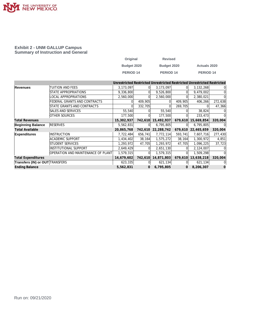

#### **Exhibit 2 - UNM GALLUP Campus Summary of Instruction and General**

| Original    | <b>Revised</b> |                      |
|-------------|----------------|----------------------|
| Budget 2020 | Budget 2020    | <b>Actuals 2020</b>  |
| PERIOD 14   | PERIOD 14      | PERIOD <sub>14</sub> |

|                                        |                                    |            |         |            |         | Unrestricted Restricted Unrestricted Restricted Unrestricted Restricted |          |
|----------------------------------------|------------------------------------|------------|---------|------------|---------|-------------------------------------------------------------------------|----------|
| Revenues                               | TUITION AND FEES                   | 3,173,097  |         | 3,173,097  |         | 3, 132, 268                                                             | $\Omega$ |
|                                        | STATE APPROPRIATIONS               | 9,336,800  |         | 9,526,800  |         | 9,479,002                                                               |          |
|                                        | LOCAL APPROPRIATIONS               | 2,560,000  |         | 2,560,000  |         | 2,380,021                                                               |          |
|                                        | FEDERAL GRANTS AND CONTRACTS       |            | 409,905 |            | 409,905 | 406,266                                                                 | 272,638  |
|                                        | STATE GRANTS AND CONTRACTS         |            | 332,705 |            | 269,705 |                                                                         | 47,366   |
|                                        | SALES AND SERVICES                 | 55,540     |         | 55,540     |         | 38,824                                                                  |          |
|                                        | <b>OTHER SOURCES</b>               | 177,500    |         | 177,500    |         | 233,473                                                                 |          |
| <b>Total Revenues</b>                  |                                    | 15,302,937 | 742,610 | 15,492,937 | 679,610 | 15,669,854                                                              | 320,004  |
| <b>Beginning Balance</b>               | <b>RESERVES</b>                    | 5,562,831  | 0l      | 6,795,805  |         | 6,795,805                                                               | 0        |
| <b>Total Available</b>                 |                                    | 20,865,768 | 742,610 | 22,288,742 | 679,610 | 22,465,659                                                              | 320,004  |
| <b>Expenditures</b>                    | <b>INSTRUCTION</b>                 | 7,722,484  | 656,741 | 7,772,114  | 593,741 | 7,607,716                                                               | 277,430  |
|                                        | <b>ACADEMIC SUPPORT</b>            | 1,434,402  | 38,164  | 1,575,272  | 38,164  | 1,300,972                                                               | 4,851    |
|                                        | STUDENT SERVICES                   | 1,293,972  | 47,705  | 1,293,972  | 47,705  | 1,096,225                                                               | 37,723   |
|                                        | <b>INSTITUTIONAL SUPPORT</b>       | 2,649,429  |         | 2,651,130  |         | 2,124,007                                                               |          |
|                                        | OPERATION AND MAINTENANCE OF PLANT | 1,579,315  |         | 1,579,315  |         | 1,509,298                                                               |          |
| <b>Total Expenditures</b>              |                                    | 14,679,602 | 742,610 | 14,871,803 | 679,610 | 13,638,218                                                              | 320,004  |
| <b>Transfers (IN) or OUT TRANSFERS</b> |                                    | 623,335    |         | 621,134    |         | 621,134                                                                 | $\Omega$ |
| <b>Ending Balance</b>                  |                                    | 5,562,831  | 0       | 6,795,805  | 0       | 8,206,307                                                               | O        |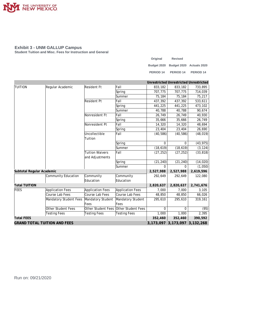

**Student Tuition and Misc. Fees for Instruction and General**

| Original    | <b>Revised</b>           |                      |
|-------------|--------------------------|----------------------|
| Budget 2020 | Budget 2020 Actuals 2020 |                      |
| PERIOD 14   | PERIOD <sub>14</sub>     | PERIOD <sub>14</sub> |

|                                     |                           |                        |                     |           | Unrestricted Unrestricted Unrestricted |           |
|-------------------------------------|---------------------------|------------------------|---------------------|-----------|----------------------------------------|-----------|
| <b>TUITION</b>                      | Regular Academic          | Resident Ft            | Fall                | 833,182   | 833,182                                | 733,895   |
|                                     |                           |                        | Spring              | 707,775   | 707,775                                | 714,039   |
|                                     |                           |                        | Summer              | 75,184    | 75,184                                 | 75,217    |
|                                     |                           | <b>Resident Pt</b>     | Fall                | 437,392   | 437,392                                | 533,611   |
|                                     |                           |                        | Spring              | 441,225   | 441,225                                | 473,102   |
|                                     |                           |                        | Summer              | 40,788    | 40,788                                 | 90,674    |
|                                     |                           | Nonresident Ft         | Fall                | 26,749    | 26,749                                 | 40,930    |
|                                     |                           |                        | Spring              | 35,666    | 35,666                                 | 26,749    |
|                                     |                           | Nonresident Pt         | Fall                | 14,320    | 14,320                                 | 48,694    |
|                                     |                           |                        | Spring              | 23,404    | 23,404                                 | 26,690    |
|                                     |                           | Uncollectible          | Fall                | (40, 586) | (40, 586)                              | (48, 019) |
|                                     |                           | Tuition                |                     |           |                                        |           |
|                                     |                           |                        | Spring              | $\Omega$  | 0                                      | (43, 975) |
|                                     |                           |                        | Summer              | (18, 619) | (18, 619)                              | (3, 124)  |
|                                     |                           | <b>Tuition Waivers</b> | Fall                | (27, 252) | (27, 252)                              | (33, 818) |
|                                     |                           | and Adjustments        |                     |           |                                        |           |
|                                     |                           |                        | Spring              | (21, 240) | (21, 240)                              | (14, 020) |
|                                     |                           |                        | Summer              | $\Omega$  | $\Omega$                               | (1,050)   |
| Subtotal Regular Academic           |                           |                        |                     | 2,527,988 | 2,527,988                              | 2,619,596 |
|                                     | Community Education       | Community              | Community           | 292,649   | 292,649                                | 122,080   |
|                                     |                           | Education              | Education           |           |                                        |           |
| <b>Total TUITION</b>                |                           |                        |                     | 2,820,637 | 2,820,637                              | 2,741,676 |
| <b>FEES</b>                         | <b>Application Fees</b>   | Application Fees       | Application Fees    | 7,000     | 7,000                                  | 3,105     |
|                                     | Course Lab Fees           | Course Lab Fees        | Course Lab Fees     | 48,850    | 48,850                                 | 66,026    |
|                                     | Mandatory Student Fees    | Mandatory Student      | Mandatory Student   | 295,610   | 295,610                                | 319,161   |
|                                     |                           | Fees                   | Fees                |           |                                        |           |
|                                     | <b>Other Student Fees</b> | Other Student Fees     | Other Student Fees  | $\Omega$  | $\Omega$                               | (95)      |
|                                     | <b>Testing Fees</b>       | <b>Testing Fees</b>    | <b>Testing Fees</b> | 1,000     | 1,000                                  | 2,395     |
| <b>Total FEES</b>                   |                           |                        |                     | 352,460   | 352,460                                | 390,592   |
| <b>GRAND TOTAL TUITION AND FEES</b> |                           |                        |                     |           | 3, 173, 097 3, 173, 097 3, 132, 268    |           |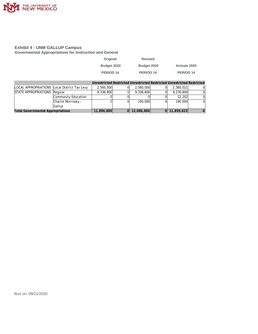

**Governmental Appropriations for Instruction and General**

| <b>Revised</b> |                     |
|----------------|---------------------|
| Budget 2020    | <b>Actuals 2020</b> |
| PERIOD 14      | PERIOD 14           |
|                |                     |

|                                              |                     |            |                  | Unrestricted Restricted Unrestricted Restricted Unrestricted Restricted |  |
|----------------------------------------------|---------------------|------------|------------------|-------------------------------------------------------------------------|--|
| LOCAL APPROPRIATIONS Local District Tax Levy |                     | 2.560.000  | 2.560.000        | 2,380,021                                                               |  |
| STATE APPROPRIATIONS Regular                 |                     | 9,336,800  | 9,336,800        | 9,276,800                                                               |  |
|                                              | Community Education |            |                  | 12,202                                                                  |  |
|                                              | Charlie Morrissey - |            | 190.000          | 190,000                                                                 |  |
|                                              | Gallup              |            |                  |                                                                         |  |
| <b>Total Governmental Appropriations</b>     |                     | 11,896,800 | $ 0 $ 12,086,800 | $ 0 $ 11,859,023                                                        |  |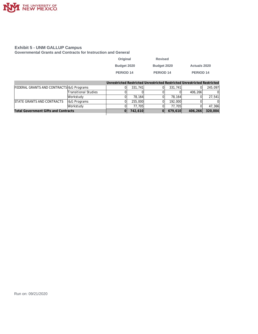

**Governmental Grants and Contracts for Instruction and General**

| Original             | <b>Revised</b> |                     |
|----------------------|----------------|---------------------|
| Budget 2020          | Budget 2020    | <b>Actuals 2020</b> |
| PERIOD <sub>14</sub> | PERIOD 14      | PERIOD 14           |

|                                             |                             |         |         | Unrestricted Restricted Unrestricted Restricted Unrestricted Restricted |         |
|---------------------------------------------|-----------------------------|---------|---------|-------------------------------------------------------------------------|---------|
| FEDERAL GRANTS AND CONTRACTS 1& G Programs  |                             | 331,741 | 331.741 |                                                                         | 245,097 |
|                                             | <b>Transitional Studies</b> |         |         | 406.266                                                                 |         |
|                                             | Workstudy                   | 78.164  | 78.164  |                                                                         | 27.541  |
| STATE GRANTS AND CONTRACTS                  | <b>I&amp;G</b> Programs     | 255,000 | 192,000 |                                                                         |         |
|                                             | Workstudy                   | 77.705  | 77.705  |                                                                         | 47.366  |
| <b>Total Government Gifts and Contracts</b> |                             | 742,610 | 679,610 | 406,266                                                                 | 320,004 |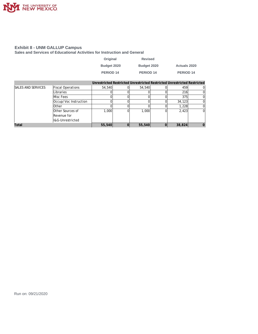

**Sales and Services of Educational Activities for Instruction and General**

| Original         | <b>Revised</b> |                     |
|------------------|----------------|---------------------|
| Budget 2020      | Budget 2020    | <b>Actuals 2020</b> |
| <b>PERIOD 14</b> | PERIOD 14      | PERIOD 14           |

|                           |                          |        |        | Unrestricted Restricted Unrestricted Restricted Unrestricted Restricted |   |
|---------------------------|--------------------------|--------|--------|-------------------------------------------------------------------------|---|
| <b>SALES AND SERVICES</b> | <b>Fiscal Operations</b> | 54,540 | 54,540 | 459                                                                     |   |
|                           | Libraries                |        |        | 216                                                                     |   |
|                           | Misc Fees                |        |        | 375                                                                     |   |
|                           | Occup/Voc Instruction    |        |        | 34,123                                                                  |   |
|                           | <b>Other</b>             |        |        | 1.228                                                                   |   |
|                           | Other Sources of         | 1.000  | 1,000  | 2,423                                                                   | 0 |
|                           | Revenue for              |        |        |                                                                         |   |
|                           | I&G-Unrestricted         |        |        |                                                                         |   |
| Total                     |                          | 55,540 | 55,540 | 38,824                                                                  |   |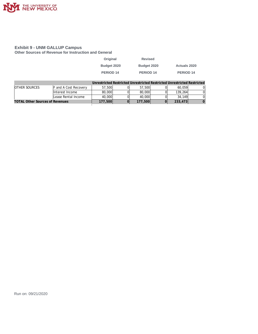

**Other Sources of Revenue for Instruction and General**

| Original         | <b>Revised</b> |                     |
|------------------|----------------|---------------------|
| Budget 2020      | Budget 2020    | <b>Actuals 2020</b> |
| <b>PERIOD 14</b> | PERIOD 14      | PERIOD 14           |
|                  |                |                     |

|                                        |                       |         |         | Unrestricted Restricted Unrestricted Restricted Unrestricted Restricted |  |
|----------------------------------------|-----------------------|---------|---------|-------------------------------------------------------------------------|--|
| <b>OTHER SOURCES</b>                   | F and A Cost Recovery | 57,500  | 57,500  | 60.059                                                                  |  |
|                                        | Interest Income       | 80,000  | 80,000  | 139.264                                                                 |  |
|                                        | Lease Rental Income   | 40,000  | 40,000  | 34,149                                                                  |  |
| <b>TOTAL Other Sources of Revenues</b> |                       | 177,500 | 177,500 | 233,473                                                                 |  |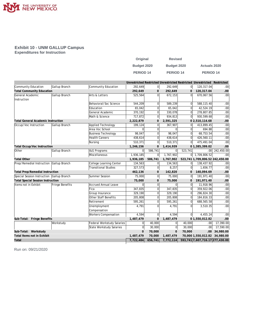

#### **Exhibit 10 - UNM GALLUP Campus Expenditures for Instruction**

| Original         | <b>Revised</b>       |                     |
|------------------|----------------------|---------------------|
| Budget 2020      | Budget 2020          | <b>Actuals 2020</b> |
| <b>PERIOD 14</b> | PERIOD <sub>14</sub> | <b>PERIOD 14</b>    |

|                                           |                        |                             | Unrestricted Restricted Unrestricted Restricted Unrestricted Restricted |                |             |                |                                     |                  |
|-------------------------------------------|------------------------|-----------------------------|-------------------------------------------------------------------------|----------------|-------------|----------------|-------------------------------------|------------------|
| Community Education                       | Gallup Branch          | Community Education         | 292,649                                                                 | 0              | 292,649     | 0l             | 120,317.04                          | .00              |
| <b>Total Community Education</b>          |                        |                             | 292,649                                                                 | $\mathbf{O}$   | 292,649     | $\overline{O}$ | 120,317.04                          | .00              |
| General Academic<br>Instruction           | Gallup Branch          | Arts & Letters              | 525,564                                                                 | $\overline{0}$ | 672,153     | $\Omega$       | 670,067.56                          | .00              |
|                                           | Behavioral/Soc Science |                             | 544,209                                                                 | $\mathbf 0$    | 589,239     | $\overline{0}$ | 588,115.40                          | .00              |
|                                           | Education              |                             | 65,042                                                                  | 0              | 65,042      | $\overline{0}$ | 42,524.19                           | .00              |
|                                           |                        | General Academic            | 370,192                                                                 | $\overline{0}$ | 330,078     | $\overline{0}$ | 278,807.85                          | .00              |
|                                           |                        | Math & Science              | 717,872                                                                 | $\overline{0}$ | 934,813     | $\overline{0}$ | 930,599.68                          | .00              |
| <b>Total General Academic Instruction</b> |                        |                             | 2,222,879                                                               | $\mathbf{O}$   | 2,591,325   |                | 0 2,510,114.68                      | .00              |
| Occup/Voc Instruction                     | Gallup Branch          | Applied Technology          | 199,124                                                                 | $\overline{0}$ | 367,907     | $\overline{0}$ | 413,899.45                          | .00              |
|                                           |                        | Area Voc School             | $\Omega$                                                                | $\overline{0}$ | $\Omega$    | $\Omega$       | 694.88                              | .00 <sub>1</sub> |
|                                           |                        | <b>Business Technology</b>  | 98,047                                                                  | $\overline{0}$ | 98,047      | $\overline{0}$ | 68,753.54                           | .00              |
|                                           |                        | <b>Health Careers</b>       | 438,614                                                                 | $\Omega$       | 438,614     | $\Omega$       | 426,560.11                          | .00              |
|                                           |                        | Nursing                     | 510,371                                                                 | $\overline{0}$ | 510,371     | $\overline{0}$ | 475,491.04                          | .00              |
| Total Occup/Voc Instruction               |                        |                             | 1,246,156                                                               | $\mathbf{O}$   | 1,414,939   |                | 01,385,399.02                       | .00              |
| Other                                     | Gallup Branch          | <b>I&amp;G Programs</b>     | $\Omega$                                                                | 586,741        | $\Omega$    | 523,741        | .00 <sub>1</sub>                    | 242,450.00       |
|                                           |                        | Miscellaneous               | 1,936,185                                                               | $\overline{0}$ | 1,767,902   | 0              | 1,709,806.52                        | .00              |
| <b>Total Other</b>                        |                        |                             | 1,936,185                                                               | 586,741        | 1,767,902   |                | 523,741 1,709,806.52 242,450.00     |                  |
| Prep/Remedial Instruction Gallup Branch   |                        | College Learning Center     | 134,563                                                                 | $\overline{0}$ | 134,563     | <sup>0</sup>   | 138,437.92                          | .00              |
|                                           |                        | <b>Transitional Studies</b> | 327,573                                                                 | $\overline{0}$ | 8,257       | 0              | 1,656.77                            | .00              |
| <b>Total Prep/Remedial Instruction</b>    |                        |                             | 462,136                                                                 | $\mathbf{0}$   | 142,820     | $\mathbf{O}$   | 140,094.69                          | .00              |
| Special Session Instruction Gallup Branch |                        | Summer Session              | 75,000                                                                  | $\overline{0}$ | 75,000      | $\overline{0}$ | 191,971.40                          | $\overline{.00}$ |
| <b>Total Special Session Instruction</b>  |                        |                             | 75,000                                                                  | $\mathbf{O}$   | 75,000      | $\mathbf{0}$   | 191,971.40                          | .00              |
| Items not in Exhibit                      | Fringe Benefits        | Accrued Annual Leave        | $\Omega$                                                                | $\overline{0}$ | $\Omega$    | <sup>0</sup>   | 11,918.96                           | .00              |
|                                           |                        | Fica                        | 347,835                                                                 | $\Omega$       | 347,835     | $\Omega$       | 359,922.06                          | .00 <sub>1</sub> |
|                                           |                        | Group Insurance             | 329,190                                                                 | 0              | 329,190     | $\mathbf 0$    | 296,824.30                          | .00 <sub>1</sub> |
|                                           |                        | Other Staff Benefits        | 205,808                                                                 | 0              | 205,808     | $\Omega$       | 184,816.33                          | .00 <sub>1</sub> |
|                                           |                        | Retirement                  | 595,261                                                                 | 0              | 595,261     | $\overline{0}$ | 688,565.58                          | .00 <sub>1</sub> |
|                                           |                        | Unemployment                | 4,791                                                                   | $\Omega$       | 4,791       | $\Omega$       | 3,510.35                            | .00 <sub>1</sub> |
|                                           |                        | Compensation                |                                                                         |                |             |                |                                     |                  |
|                                           |                        | <b>Workers Compensation</b> | 4,594                                                                   | $\overline{0}$ | 4,594       | $\overline{0}$ | 4,455.24                            | .00              |
| Sub-Total: Fringe Benefits                |                        |                             | 1,487,479                                                               | $\mathbf{O}$   | 1,487,479   |                | 01,550,012.82                       | .00              |
|                                           | Workstudy              | Federal Workstudy Salaries  | 0                                                                       | 40,000         | 0           | 40,000         | .00 <sub>1</sub>                    | 17,390.00        |
|                                           |                        | State Workstudy Salaries    | $\overline{0}$                                                          | 30,000         | 0           | 30,000         | .00                                 | 17,590.00        |
| Sub-Total: Workstudy                      |                        |                             | $\mathbf{O}$                                                            | 70,000         | $\mathbf 0$ | 70,000         |                                     | .00 34,980.00    |
| Total Items not in Exhibit                |                        |                             | 1,487,479                                                               | 70,000         | 1,487,479   |                | 70,000 1,550,012.82 34,980.00       |                  |
| Total                                     |                        |                             | 7,722,484                                                               | 656,741        | 7,772,114   |                | 593, 741 7, 607, 716.17 277, 430.00 |                  |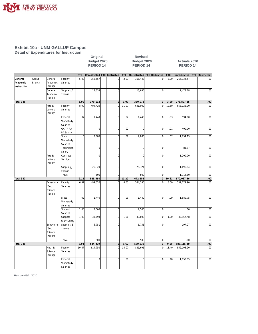

**Detail of Expenditures for Instruction**

| - - - - - - - - - - |
|---------------------|
| Budget 2020         |
| <b>PERIOD 14</b>    |

**Original Revised Budget 2020 Actuals 2020**<br>**PERIOD 14 PERIOD 14 PERIOD 14 PERIOD 14 PERIOD 14**

|             |        |               |                 | FTE   | Unrestricted FTE Restricted |                | <b>FTE</b> | Unrestricted FTE Restricted |                     | <b>FTE</b> | Unrestricted | FTE Restricted |
|-------------|--------|---------------|-----------------|-------|-----------------------------|----------------|------------|-----------------------------|---------------------|------------|--------------|----------------|
| General     | Gallup | General       | Faculty         | 5.00  | 356,557                     | $\mathbf 0$    | 3.07       | 316,443                     | $\mathbf 0$         | 3.00       | 266,334.57   | .00            |
| Academic    | Branch | Academic      | Salaries        |       |                             |                |            |                             |                     |            |              |                |
| Instruction |        | <b>BU 386</b> |                 |       |                             |                |            |                             |                     |            |              |                |
|             |        | General       | Supplies_E      |       | 13,635                      | $\mathbf 0$    |            | 13,635                      | $\mathbf 0$         |            | 12,473.28    | .00            |
|             |        | Academic      | xpense          |       |                             |                |            |                             |                     |            |              |                |
|             |        | -BU 386       |                 |       |                             |                |            |                             |                     |            |              |                |
| Total 386   |        |               |                 | 5.00  | 370,192                     | $\mathbf 0$    | 3.07       | 330,078                     | $\mathsf{O}\xspace$ | 3.00       | 278,807.85   | .00            |
|             |        | Arts &        | Faculty         | 8.90  | 494,420                     | $\mathbf 0$    | 11.07      | 641,009                     | $\mathbf 0$         | 10.50      | 653, 125.90  | .00            |
|             |        | Letters       | Salaries        |       |                             |                |            |                             |                     |            |              |                |
|             |        | <b>BU 387</b> |                 |       |                             |                |            |                             |                     |            |              |                |
|             |        |               | Federal         | .07   | 1,440                       | $\mathbf 0$    | .02        | 1,440                       | $\mathbf 0$         | .03        | 594.00       | .00            |
|             |        |               | Workstudy       |       |                             |                |            |                             |                     |            |              |                |
|             |        |               | Salaries        |       |                             |                |            |                             |                     |            |              |                |
|             |        |               | <b>GA TA RA</b> |       | $\circ$                     | $\overline{0}$ | .02        | $\overline{0}$              | $\overline{0}$      | .01        | 400.00       | .00            |
|             |        |               | PA Salary       |       |                             |                |            |                             |                     |            |              |                |
|             |        |               | State           | .15   | 2,880                       | $\mathbf 0$    | .09        | 2,880                       | $\mathbf 0$         | .07        | 1,254.15     | .00            |
|             |        |               | Workstudy       |       |                             |                |            |                             |                     |            |              |                |
|             |        |               |                 |       |                             |                |            |                             |                     |            |              |                |
|             |        |               | Salaries        |       | 0                           |                |            | $\overline{0}$              |                     |            |              |                |
|             |        |               | Technician      |       |                             | $\mathbf 0$    |            |                             | $\mathbf 0$         |            | 81.87        | .00            |
|             |        |               | Salary          |       |                             |                |            |                             |                     |            |              |                |
|             |        | Arts &        | Contract        |       | $\overline{0}$              | $\mathbf 0$    |            | $\overline{0}$              | $\mathbf 0$         |            | 1,200.00     | .00            |
|             |        | Letters       | Services        |       |                             |                |            |                             |                     |            |              |                |
|             |        | <b>BU 387</b> |                 |       |                             |                |            |                             |                     |            |              |                |
|             |        |               | Supplies_E      |       | 26,324                      | $\mathbf 0$    |            | 26,324                      | $\mathbf 0$         |            | 11,696.84    | .00            |
|             |        |               | xpense          |       |                             |                |            |                             |                     |            |              |                |
|             |        |               | Travel          |       | 500                         | $\mathbf 0$    |            | 500                         | $\mathbf 0$         |            | 1,714.80     | .00            |
| Total 387   |        |               |                 | 9.12  | 525,564                     | $\overline{0}$ | 11.20      | 672,153                     | $\overline{0}$      | 10.61      | 670,067.56   | .00            |
|             |        | Behavioral    | Faculty         | 6.92  | 499,320                     | $\mathbf 0$    | 8.53       | 544,350                     | $\mathbf 0$         | 8.00       | 552,279.90   | .00            |
|             |        | /Soc          | Salaries        |       |                             |                |            |                             |                     |            |              |                |
|             |        | Science       |                 |       |                             |                |            |                             |                     |            |              |                |
|             |        | <b>BU 388</b> |                 |       |                             |                |            |                             |                     |            |              |                |
|             |        |               | State           | .02   | 1,440                       | $\mathbf 0$    | .09        | 1,440                       | $\mathbf 0$         | .09        | 1,680.75     | .00            |
|             |        |               | Workstudy       |       |                             |                |            |                             |                     |            |              |                |
|             |        |               | Salaries        |       |                             |                |            |                             |                     |            |              |                |
|             |        |               | Student         | 1.00  | 2,500                       | $\overline{0}$ |            | 2,500                       | $\mathbf 0$         |            | .00.         | .00            |
|             |        |               | Salaries        |       |                             |                |            |                             |                     |            |              |                |
|             |        |               | Support         | 1.00  | 33,698                      | $\mathbf 0$    | 1.00       | 33,698                      | $\overline{0}$      | 1.00       | 33,957.48    | .00            |
|             |        |               | Staff Salary    |       |                             |                |            |                             |                     |            |              |                |
|             |        | Behavioral    | Supplies_E      |       | 6,751                       | $\mathbf 0$    |            | 6,751                       | $\bf 0$             |            | 197.27       | .00            |
|             |        | /Soc          | xpense          |       |                             |                |            |                             |                     |            |              |                |
|             |        | Science       |                 |       |                             |                |            |                             |                     |            |              |                |
|             |        | <b>BU 388</b> |                 |       |                             |                |            |                             |                     |            |              |                |
|             |        |               | Travel          |       | 500                         | $\mathbf 0$    |            | 500                         | $\mathbf 0$         |            | .00          | .00            |
| Total 388   |        |               |                 | 8.94  | 544,209                     | $\overline{0}$ | 9.62       | 589,239                     | $\overline{0}$      | 9.09       | 588,115.40   | .00            |
|             |        | Math &        | Faculty         | 10.47 | 614,750                     | $\Omega$       | 14.07      | 831,691                     | $\Omega$            | 13.40      | 852, 105.90  | .00            |
|             |        | Science       | Salaries        |       |                             |                |            |                             |                     |            |              |                |
|             |        | <b>BU 389</b> |                 |       |                             |                |            |                             |                     |            |              |                |
|             |        |               |                 |       | $\overline{0}$              | $\mathbf 0$    | .09        | $\Omega$                    | $\bf 0$             | .10        | 1,958.85     | .00            |
|             |        |               | Federal         |       |                             |                |            |                             |                     |            |              |                |
|             |        |               | Workstudy       |       |                             |                |            |                             |                     |            |              |                |
|             |        |               | Salaries        |       |                             |                |            |                             |                     |            |              |                |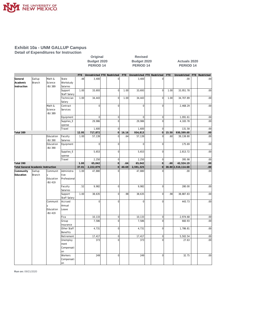

**Detail of Expenditures for Instruction**

|                                           |                  |                                                  |                                      |            | Budget 2020<br>PERIOD <sub>14</sub> |  |                |       | Budget 2020<br>PERIOD <sub>14</sub> |                |       | <b>Actuals 2020</b><br><b>PERIOD 14</b> |  |                |  |  |
|-------------------------------------------|------------------|--------------------------------------------------|--------------------------------------|------------|-------------------------------------|--|----------------|-------|-------------------------------------|----------------|-------|-----------------------------------------|--|----------------|--|--|
|                                           |                  |                                                  |                                      | <b>FTE</b> | Unrestricted FTE Restricted         |  |                | FTE   | Unrestricted FTE Restricted         |                | FTE   | Unrestricted                            |  | FTE Restricted |  |  |
| General<br>Academic<br>Instruction        | Gallup<br>Branch | Math &<br>Science<br><b>BU 389</b>               | State<br>Workstudy<br>Salaries       | .48        | 3,400                               |  | 0              |       | 3,400                               | $\mathbf 0$    |       | .00                                     |  | .00            |  |  |
|                                           |                  |                                                  | Support<br>Staff Salary              | 1.00       | 33,693                              |  | $\mathbf 0$    | 1.00  | 33,693                              | $\overline{0}$ | 1.00  | 33,951.78                               |  | .00            |  |  |
|                                           |                  |                                                  | Technician<br>Salary                 | 1.00       | 34,443                              |  | $\mathbf 0$    | 1.00  | 34,443                              | $\mathbf 0$    | 1.00  | 34,707.89                               |  | .00            |  |  |
|                                           |                  | Math &<br>Science<br><b>BU 389</b>               | Contract<br>Services                 |            | $\overline{0}$                      |  | $\overline{0}$ |       | 0                                   | $\mathbf 0$    |       | 2,468.29                                |  | .00            |  |  |
|                                           |                  |                                                  | Equipment                            |            | $\mathbf 0$                         |  | $\mathbf 0$    |       | $\overline{0}$                      | $\mathbf 0$    |       | 1,091.61                                |  | .00            |  |  |
|                                           |                  |                                                  | Supplies_E<br>xpense                 |            | 29,986                              |  | $\overline{0}$ |       | 29,986                              | $\mathbf 0$    |       | 4,183.78                                |  | .00            |  |  |
|                                           |                  |                                                  | Travel                               |            | 1,600                               |  | $\mathbf 0$    |       | 1,600                               | $\mathbf 0$    |       | 131.58                                  |  | .00            |  |  |
| Total 389                                 |                  |                                                  |                                      | 12.95      | 717,872                             |  | $\mathbf{0}$   | 16.16 | 934,813                             | $\mathbf 0$    | 15.50 | 930,599.68                              |  | .00            |  |  |
|                                           |                  | Education<br><b>BU 390</b>                       | Faculty<br>Salaries                  | 1.00       | 57,139                              |  | $\overline{0}$ | .64   | 57,139                              | $\mathbf 0$    | .60   | 39,138.80                               |  | .00            |  |  |
|                                           |                  | Education<br><b>BU 390</b>                       | Equipment                            |            | $\overline{0}$                      |  | $\overline{0}$ |       | $\overline{0}$                      | $\mathbf 0$    |       | 175.69                                  |  | .00            |  |  |
|                                           |                  |                                                  | Supplies_E<br>xpense                 |            | 5,653                               |  | $\overline{0}$ |       | 5,653                               | $\mathbf 0$    |       | 2,813.72                                |  | .00            |  |  |
|                                           |                  |                                                  | Travel                               |            | 2,250                               |  | $\mathbf 0$    |       | 2,250                               | $\mathbf 0$    |       | 395.98                                  |  | .00            |  |  |
| Total 390                                 |                  |                                                  |                                      | 1.00       | 65,042                              |  | $\circ$        | .64   | 65,042                              | $\overline{0}$ | .60   | 42,524.19                               |  | .00            |  |  |
| <b>Total General Academic Instruction</b> |                  |                                                  |                                      | 37.01      | 2,222,879                           |  | $\Omega$       | 40.69 | 2,591,325                           | $\mathbf 0$    |       | 38.80 2,510,114.68                      |  | .00            |  |  |
| Community<br>Education                    | Gallup<br>Branch | Communit<br>$\vee$<br>Education<br><b>BU 419</b> | Administra<br>tive<br>Professional   | 1.00       | 47,880                              |  | $\Omega$       |       | 47,880                              | $\sqrt{ }$     |       | .00                                     |  | .00            |  |  |
|                                           |                  |                                                  | Faculty<br>Salaries                  | .52        | 9,982                               |  | $\mathbf 0$    |       | 9,982                               | $\mathbf 0$    |       | 280.00                                  |  | .00            |  |  |
|                                           |                  |                                                  | Support<br>Staff Salary              | 1.00       | 38,635                              |  | $\mathbf 0$    | .98   | 38,635                              | $\mathbf 0$    | .98   | 38,887.83                               |  | .00            |  |  |
|                                           |                  | Communit<br>Education<br><b>BU 419</b>           | Accrued<br>Annual<br>Leave           |            | $\overline{0}$                      |  | $\mathbf 0$    |       | $\overline{0}$                      | $\mathbf 0$    |       | 443.73                                  |  | .00            |  |  |
|                                           |                  |                                                  | Fica                                 |            | 10,133                              |  | $\mathbf 0$    |       | 10,133                              | $\overline{0}$ |       | 2,974.68                                |  | .00            |  |  |
|                                           |                  |                                                  | Group<br>Insurance                   |            | 7,586                               |  | $\mathbf 0$    |       | 7,586                               | $\overline{0}$ |       | 660.93                                  |  | .00            |  |  |
|                                           |                  |                                                  | Other Staff<br>Benefits              |            | 4,731                               |  | $\mathbf 0$    |       | 4,731                               | $\mathbf 0$    |       | 1,786.81                                |  | .00            |  |  |
|                                           |                  |                                                  | Retirement                           |            | 17,417                              |  | $\mathbf 0$    |       | 17,417                              | $\overline{0}$ |       | 5,502.54                                |  | .00            |  |  |
|                                           |                  |                                                  | Unemploy<br>ment<br>Compensati<br>on |            | 373                                 |  | $\overline{0}$ |       | 373                                 | $\mathbf 0$    |       | 27.63                                   |  | .00            |  |  |
|                                           |                  |                                                  | Workers<br>Compensati<br>on          |            | 249                                 |  | $\mathbf 0$    |       | 249                                 | $\Omega$       |       | 32.75                                   |  | .00            |  |  |

**Original Revised**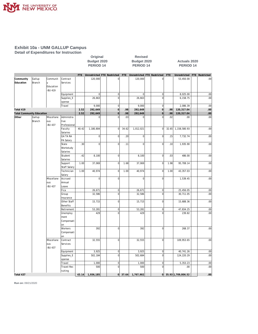

**Detail of Expenditures for Instruction Original Revised**  PERIOD 14 PERIOD 14 PERIOD 14

**Budget 2020**<br>**PERIOD 14 BUDGET PERIOD 14** 

| Gallup<br>Communit<br>Contract<br>120,000<br>120,000<br>53,450.00<br> 0 <br>$\overline{0}$<br>.00<br>Branch<br><b>Services</b><br>y<br>Education<br><b>BU 419</b><br>Equipment<br> 0 <br>$\circ$<br> 0 <br>$\overline{0}$<br>8,025.00<br>.00<br>26,663<br>$\mathbf{0}$<br>$\mathbf 0$<br>Supplies_E<br>26,663<br>6,158.75<br>.00<br>xpense<br> 0 <br>Travel<br>9,000<br>9,000<br>$\mathbf 0$<br>2,086.39<br>.00<br> 0 <br> 0 <br>2.52<br>292,649<br>.98<br>292,649<br>.98<br>120,317.04<br>.00<br><b>Total Community Education</b><br>2.52<br>292,649<br>292,649<br>120,317.04<br>.00<br>$\Omega$<br>.98<br>$\overline{0}$<br>.98<br>Gallup<br>Miscellane<br>Administra<br>$\overline{0}$<br> 0 <br>.03<br>$\overline{0}$<br>.02<br>.00<br>$\overline{0}$<br>.00.<br>Branch<br>tive<br>ous<br><b>BU 437</b><br>Professional<br>Faculty<br>40.42<br>1,180,804<br> 0 <br>34.62<br>1,012,021<br>$\mathbf 0$<br>32.65<br>1,158,580.93<br>.00<br>Salaries<br>$\overline{0}$<br><b>GA TA RA</b><br>$\mathbf{0}$<br>.20<br>$\overline{0}$<br>$\overline{0}$<br>.00<br>.15<br>7,732.74<br>PA Salary<br>.30<br>$\overline{0}$<br>$\mathbf 0$<br>1,935.90<br>.00<br>State<br>$\circ$<br>.11<br>$\overline{0}$<br>.10<br>Workstudy<br>Salaries<br>Student<br>.42<br> 0 <br>8,100<br>$\overline{0}$<br>.03<br>.00<br>8,100<br>486.00<br>Salaries<br>1.00<br>$\mathbf{0}$<br>37,069<br>$\overline{0}$<br>1.98<br>95,708.14<br>.00<br>Support<br>37,069<br>1.68<br>Staff Salary<br>Technician<br>1.00<br>40,974<br> 0 <br>1.00<br>40,974<br>$\mathbf 0$<br>43,357.03<br>.00<br>1.00<br>Salary<br>$\overline{0}$<br>$\mathbf{0}$<br>$\overline{0}$<br>$\mathbf 0$<br>Miscellane<br>Accrued<br>1,539.45<br>.00<br>Annual<br>ous<br><b>BU 437</b><br>Leave<br>Fica<br> 0 <br>$\mathbf 0$<br>25,456.05<br>.00<br>26,671<br>26,671<br>$\mathbf 0$<br>Group<br>32,586<br>$\overline{0}$<br>32,586<br>30,711.05<br>.00<br>Insurance<br>Other Staff<br>15,715<br>$\circ$<br>15,715<br>$\overline{0}$<br>15,688.36<br>.00<br>Benefits<br>Retirement<br>53,281<br>$\overline{0}$<br>53,281<br>$\mathbf 0$<br>47,834.25<br>.00<br>429<br>$\Omega$<br>429<br>$\Omega$<br>239.82<br>.00<br>Unemploy<br>ment<br>Compensati<br>lon<br>Workers<br>392<br>392<br>$\mathbf 0$<br>.00<br>$\overline{0}$<br>268.37<br>Compensati<br>lon<br>$\overline{0}$<br>109,953.65<br>Miscellane<br>Contract<br>32,555<br>$\Omega$<br>32,555<br>.00<br>ous<br>Services<br><b>BU 437</b><br>Equipment<br>3,925<br> 0 <br>3,925<br>$\mathbf 0$<br>40,741.26<br>.00<br>Supplies_E<br>$\mathbf{0}$<br>502,684<br>$\overline{0}$<br>124,220.29<br>.00<br>502,184<br>xpense<br>Travel<br>1,000<br> 0 <br>$\overline{0}$<br>5,353.23<br>1,000<br>.00<br>$\mathbf{0}$<br>$\Omega$<br>Travel-Rec<br>500<br>500<br>.00<br>.00.<br>ruiting<br> 0 <br>35.93 1,709,806.52<br>.00<br>43.14<br> 0 <br>37.64 |           |  | FTE | Unrestricted FTE Restricted |  | FTE Unrestricted FTE Restricted |  | FTE | Unrestricted | FTE Restricted |
|-------------------------------------------------------------------------------------------------------------------------------------------------------------------------------------------------------------------------------------------------------------------------------------------------------------------------------------------------------------------------------------------------------------------------------------------------------------------------------------------------------------------------------------------------------------------------------------------------------------------------------------------------------------------------------------------------------------------------------------------------------------------------------------------------------------------------------------------------------------------------------------------------------------------------------------------------------------------------------------------------------------------------------------------------------------------------------------------------------------------------------------------------------------------------------------------------------------------------------------------------------------------------------------------------------------------------------------------------------------------------------------------------------------------------------------------------------------------------------------------------------------------------------------------------------------------------------------------------------------------------------------------------------------------------------------------------------------------------------------------------------------------------------------------------------------------------------------------------------------------------------------------------------------------------------------------------------------------------------------------------------------------------------------------------------------------------------------------------------------------------------------------------------------------------------------------------------------------------------------------------------------------------------------------------------------------------------------------------------------------------------------------------------------------------------------------------------------------------------------------------------------------------------------------------------------------------------------------------------------------------------------------------------------------------------------------------------------------------------------------------------------------------------------------------------------------------------------------------|-----------|--|-----|-----------------------------|--|---------------------------------|--|-----|--------------|----------------|
|                                                                                                                                                                                                                                                                                                                                                                                                                                                                                                                                                                                                                                                                                                                                                                                                                                                                                                                                                                                                                                                                                                                                                                                                                                                                                                                                                                                                                                                                                                                                                                                                                                                                                                                                                                                                                                                                                                                                                                                                                                                                                                                                                                                                                                                                                                                                                                                                                                                                                                                                                                                                                                                                                                                                                                                                                                                 | Community |  |     |                             |  |                                 |  |     |              |                |
|                                                                                                                                                                                                                                                                                                                                                                                                                                                                                                                                                                                                                                                                                                                                                                                                                                                                                                                                                                                                                                                                                                                                                                                                                                                                                                                                                                                                                                                                                                                                                                                                                                                                                                                                                                                                                                                                                                                                                                                                                                                                                                                                                                                                                                                                                                                                                                                                                                                                                                                                                                                                                                                                                                                                                                                                                                                 | Education |  |     |                             |  |                                 |  |     |              |                |
|                                                                                                                                                                                                                                                                                                                                                                                                                                                                                                                                                                                                                                                                                                                                                                                                                                                                                                                                                                                                                                                                                                                                                                                                                                                                                                                                                                                                                                                                                                                                                                                                                                                                                                                                                                                                                                                                                                                                                                                                                                                                                                                                                                                                                                                                                                                                                                                                                                                                                                                                                                                                                                                                                                                                                                                                                                                 |           |  |     |                             |  |                                 |  |     |              |                |
|                                                                                                                                                                                                                                                                                                                                                                                                                                                                                                                                                                                                                                                                                                                                                                                                                                                                                                                                                                                                                                                                                                                                                                                                                                                                                                                                                                                                                                                                                                                                                                                                                                                                                                                                                                                                                                                                                                                                                                                                                                                                                                                                                                                                                                                                                                                                                                                                                                                                                                                                                                                                                                                                                                                                                                                                                                                 |           |  |     |                             |  |                                 |  |     |              |                |
|                                                                                                                                                                                                                                                                                                                                                                                                                                                                                                                                                                                                                                                                                                                                                                                                                                                                                                                                                                                                                                                                                                                                                                                                                                                                                                                                                                                                                                                                                                                                                                                                                                                                                                                                                                                                                                                                                                                                                                                                                                                                                                                                                                                                                                                                                                                                                                                                                                                                                                                                                                                                                                                                                                                                                                                                                                                 |           |  |     |                             |  |                                 |  |     |              |                |
|                                                                                                                                                                                                                                                                                                                                                                                                                                                                                                                                                                                                                                                                                                                                                                                                                                                                                                                                                                                                                                                                                                                                                                                                                                                                                                                                                                                                                                                                                                                                                                                                                                                                                                                                                                                                                                                                                                                                                                                                                                                                                                                                                                                                                                                                                                                                                                                                                                                                                                                                                                                                                                                                                                                                                                                                                                                 |           |  |     |                             |  |                                 |  |     |              |                |
|                                                                                                                                                                                                                                                                                                                                                                                                                                                                                                                                                                                                                                                                                                                                                                                                                                                                                                                                                                                                                                                                                                                                                                                                                                                                                                                                                                                                                                                                                                                                                                                                                                                                                                                                                                                                                                                                                                                                                                                                                                                                                                                                                                                                                                                                                                                                                                                                                                                                                                                                                                                                                                                                                                                                                                                                                                                 |           |  |     |                             |  |                                 |  |     |              |                |
|                                                                                                                                                                                                                                                                                                                                                                                                                                                                                                                                                                                                                                                                                                                                                                                                                                                                                                                                                                                                                                                                                                                                                                                                                                                                                                                                                                                                                                                                                                                                                                                                                                                                                                                                                                                                                                                                                                                                                                                                                                                                                                                                                                                                                                                                                                                                                                                                                                                                                                                                                                                                                                                                                                                                                                                                                                                 |           |  |     |                             |  |                                 |  |     |              |                |
|                                                                                                                                                                                                                                                                                                                                                                                                                                                                                                                                                                                                                                                                                                                                                                                                                                                                                                                                                                                                                                                                                                                                                                                                                                                                                                                                                                                                                                                                                                                                                                                                                                                                                                                                                                                                                                                                                                                                                                                                                                                                                                                                                                                                                                                                                                                                                                                                                                                                                                                                                                                                                                                                                                                                                                                                                                                 | Total 419 |  |     |                             |  |                                 |  |     |              |                |
|                                                                                                                                                                                                                                                                                                                                                                                                                                                                                                                                                                                                                                                                                                                                                                                                                                                                                                                                                                                                                                                                                                                                                                                                                                                                                                                                                                                                                                                                                                                                                                                                                                                                                                                                                                                                                                                                                                                                                                                                                                                                                                                                                                                                                                                                                                                                                                                                                                                                                                                                                                                                                                                                                                                                                                                                                                                 |           |  |     |                             |  |                                 |  |     |              |                |
|                                                                                                                                                                                                                                                                                                                                                                                                                                                                                                                                                                                                                                                                                                                                                                                                                                                                                                                                                                                                                                                                                                                                                                                                                                                                                                                                                                                                                                                                                                                                                                                                                                                                                                                                                                                                                                                                                                                                                                                                                                                                                                                                                                                                                                                                                                                                                                                                                                                                                                                                                                                                                                                                                                                                                                                                                                                 | Other     |  |     |                             |  |                                 |  |     |              |                |
|                                                                                                                                                                                                                                                                                                                                                                                                                                                                                                                                                                                                                                                                                                                                                                                                                                                                                                                                                                                                                                                                                                                                                                                                                                                                                                                                                                                                                                                                                                                                                                                                                                                                                                                                                                                                                                                                                                                                                                                                                                                                                                                                                                                                                                                                                                                                                                                                                                                                                                                                                                                                                                                                                                                                                                                                                                                 |           |  |     |                             |  |                                 |  |     |              |                |
|                                                                                                                                                                                                                                                                                                                                                                                                                                                                                                                                                                                                                                                                                                                                                                                                                                                                                                                                                                                                                                                                                                                                                                                                                                                                                                                                                                                                                                                                                                                                                                                                                                                                                                                                                                                                                                                                                                                                                                                                                                                                                                                                                                                                                                                                                                                                                                                                                                                                                                                                                                                                                                                                                                                                                                                                                                                 |           |  |     |                             |  |                                 |  |     |              |                |
|                                                                                                                                                                                                                                                                                                                                                                                                                                                                                                                                                                                                                                                                                                                                                                                                                                                                                                                                                                                                                                                                                                                                                                                                                                                                                                                                                                                                                                                                                                                                                                                                                                                                                                                                                                                                                                                                                                                                                                                                                                                                                                                                                                                                                                                                                                                                                                                                                                                                                                                                                                                                                                                                                                                                                                                                                                                 |           |  |     |                             |  |                                 |  |     |              |                |
|                                                                                                                                                                                                                                                                                                                                                                                                                                                                                                                                                                                                                                                                                                                                                                                                                                                                                                                                                                                                                                                                                                                                                                                                                                                                                                                                                                                                                                                                                                                                                                                                                                                                                                                                                                                                                                                                                                                                                                                                                                                                                                                                                                                                                                                                                                                                                                                                                                                                                                                                                                                                                                                                                                                                                                                                                                                 |           |  |     |                             |  |                                 |  |     |              |                |
|                                                                                                                                                                                                                                                                                                                                                                                                                                                                                                                                                                                                                                                                                                                                                                                                                                                                                                                                                                                                                                                                                                                                                                                                                                                                                                                                                                                                                                                                                                                                                                                                                                                                                                                                                                                                                                                                                                                                                                                                                                                                                                                                                                                                                                                                                                                                                                                                                                                                                                                                                                                                                                                                                                                                                                                                                                                 |           |  |     |                             |  |                                 |  |     |              |                |
|                                                                                                                                                                                                                                                                                                                                                                                                                                                                                                                                                                                                                                                                                                                                                                                                                                                                                                                                                                                                                                                                                                                                                                                                                                                                                                                                                                                                                                                                                                                                                                                                                                                                                                                                                                                                                                                                                                                                                                                                                                                                                                                                                                                                                                                                                                                                                                                                                                                                                                                                                                                                                                                                                                                                                                                                                                                 |           |  |     |                             |  |                                 |  |     |              |                |
|                                                                                                                                                                                                                                                                                                                                                                                                                                                                                                                                                                                                                                                                                                                                                                                                                                                                                                                                                                                                                                                                                                                                                                                                                                                                                                                                                                                                                                                                                                                                                                                                                                                                                                                                                                                                                                                                                                                                                                                                                                                                                                                                                                                                                                                                                                                                                                                                                                                                                                                                                                                                                                                                                                                                                                                                                                                 |           |  |     |                             |  |                                 |  |     |              |                |
|                                                                                                                                                                                                                                                                                                                                                                                                                                                                                                                                                                                                                                                                                                                                                                                                                                                                                                                                                                                                                                                                                                                                                                                                                                                                                                                                                                                                                                                                                                                                                                                                                                                                                                                                                                                                                                                                                                                                                                                                                                                                                                                                                                                                                                                                                                                                                                                                                                                                                                                                                                                                                                                                                                                                                                                                                                                 |           |  |     |                             |  |                                 |  |     |              |                |
|                                                                                                                                                                                                                                                                                                                                                                                                                                                                                                                                                                                                                                                                                                                                                                                                                                                                                                                                                                                                                                                                                                                                                                                                                                                                                                                                                                                                                                                                                                                                                                                                                                                                                                                                                                                                                                                                                                                                                                                                                                                                                                                                                                                                                                                                                                                                                                                                                                                                                                                                                                                                                                                                                                                                                                                                                                                 |           |  |     |                             |  |                                 |  |     |              |                |
|                                                                                                                                                                                                                                                                                                                                                                                                                                                                                                                                                                                                                                                                                                                                                                                                                                                                                                                                                                                                                                                                                                                                                                                                                                                                                                                                                                                                                                                                                                                                                                                                                                                                                                                                                                                                                                                                                                                                                                                                                                                                                                                                                                                                                                                                                                                                                                                                                                                                                                                                                                                                                                                                                                                                                                                                                                                 |           |  |     |                             |  |                                 |  |     |              |                |
|                                                                                                                                                                                                                                                                                                                                                                                                                                                                                                                                                                                                                                                                                                                                                                                                                                                                                                                                                                                                                                                                                                                                                                                                                                                                                                                                                                                                                                                                                                                                                                                                                                                                                                                                                                                                                                                                                                                                                                                                                                                                                                                                                                                                                                                                                                                                                                                                                                                                                                                                                                                                                                                                                                                                                                                                                                                 |           |  |     |                             |  |                                 |  |     |              |                |
|                                                                                                                                                                                                                                                                                                                                                                                                                                                                                                                                                                                                                                                                                                                                                                                                                                                                                                                                                                                                                                                                                                                                                                                                                                                                                                                                                                                                                                                                                                                                                                                                                                                                                                                                                                                                                                                                                                                                                                                                                                                                                                                                                                                                                                                                                                                                                                                                                                                                                                                                                                                                                                                                                                                                                                                                                                                 |           |  |     |                             |  |                                 |  |     |              |                |
|                                                                                                                                                                                                                                                                                                                                                                                                                                                                                                                                                                                                                                                                                                                                                                                                                                                                                                                                                                                                                                                                                                                                                                                                                                                                                                                                                                                                                                                                                                                                                                                                                                                                                                                                                                                                                                                                                                                                                                                                                                                                                                                                                                                                                                                                                                                                                                                                                                                                                                                                                                                                                                                                                                                                                                                                                                                 |           |  |     |                             |  |                                 |  |     |              |                |
|                                                                                                                                                                                                                                                                                                                                                                                                                                                                                                                                                                                                                                                                                                                                                                                                                                                                                                                                                                                                                                                                                                                                                                                                                                                                                                                                                                                                                                                                                                                                                                                                                                                                                                                                                                                                                                                                                                                                                                                                                                                                                                                                                                                                                                                                                                                                                                                                                                                                                                                                                                                                                                                                                                                                                                                                                                                 |           |  |     |                             |  |                                 |  |     |              |                |
|                                                                                                                                                                                                                                                                                                                                                                                                                                                                                                                                                                                                                                                                                                                                                                                                                                                                                                                                                                                                                                                                                                                                                                                                                                                                                                                                                                                                                                                                                                                                                                                                                                                                                                                                                                                                                                                                                                                                                                                                                                                                                                                                                                                                                                                                                                                                                                                                                                                                                                                                                                                                                                                                                                                                                                                                                                                 |           |  |     |                             |  |                                 |  |     |              |                |
|                                                                                                                                                                                                                                                                                                                                                                                                                                                                                                                                                                                                                                                                                                                                                                                                                                                                                                                                                                                                                                                                                                                                                                                                                                                                                                                                                                                                                                                                                                                                                                                                                                                                                                                                                                                                                                                                                                                                                                                                                                                                                                                                                                                                                                                                                                                                                                                                                                                                                                                                                                                                                                                                                                                                                                                                                                                 |           |  |     |                             |  |                                 |  |     |              |                |
|                                                                                                                                                                                                                                                                                                                                                                                                                                                                                                                                                                                                                                                                                                                                                                                                                                                                                                                                                                                                                                                                                                                                                                                                                                                                                                                                                                                                                                                                                                                                                                                                                                                                                                                                                                                                                                                                                                                                                                                                                                                                                                                                                                                                                                                                                                                                                                                                                                                                                                                                                                                                                                                                                                                                                                                                                                                 |           |  |     |                             |  |                                 |  |     |              |                |
|                                                                                                                                                                                                                                                                                                                                                                                                                                                                                                                                                                                                                                                                                                                                                                                                                                                                                                                                                                                                                                                                                                                                                                                                                                                                                                                                                                                                                                                                                                                                                                                                                                                                                                                                                                                                                                                                                                                                                                                                                                                                                                                                                                                                                                                                                                                                                                                                                                                                                                                                                                                                                                                                                                                                                                                                                                                 |           |  |     |                             |  |                                 |  |     |              |                |
|                                                                                                                                                                                                                                                                                                                                                                                                                                                                                                                                                                                                                                                                                                                                                                                                                                                                                                                                                                                                                                                                                                                                                                                                                                                                                                                                                                                                                                                                                                                                                                                                                                                                                                                                                                                                                                                                                                                                                                                                                                                                                                                                                                                                                                                                                                                                                                                                                                                                                                                                                                                                                                                                                                                                                                                                                                                 |           |  |     |                             |  |                                 |  |     |              |                |
|                                                                                                                                                                                                                                                                                                                                                                                                                                                                                                                                                                                                                                                                                                                                                                                                                                                                                                                                                                                                                                                                                                                                                                                                                                                                                                                                                                                                                                                                                                                                                                                                                                                                                                                                                                                                                                                                                                                                                                                                                                                                                                                                                                                                                                                                                                                                                                                                                                                                                                                                                                                                                                                                                                                                                                                                                                                 |           |  |     |                             |  |                                 |  |     |              |                |
|                                                                                                                                                                                                                                                                                                                                                                                                                                                                                                                                                                                                                                                                                                                                                                                                                                                                                                                                                                                                                                                                                                                                                                                                                                                                                                                                                                                                                                                                                                                                                                                                                                                                                                                                                                                                                                                                                                                                                                                                                                                                                                                                                                                                                                                                                                                                                                                                                                                                                                                                                                                                                                                                                                                                                                                                                                                 |           |  |     |                             |  |                                 |  |     |              |                |
|                                                                                                                                                                                                                                                                                                                                                                                                                                                                                                                                                                                                                                                                                                                                                                                                                                                                                                                                                                                                                                                                                                                                                                                                                                                                                                                                                                                                                                                                                                                                                                                                                                                                                                                                                                                                                                                                                                                                                                                                                                                                                                                                                                                                                                                                                                                                                                                                                                                                                                                                                                                                                                                                                                                                                                                                                                                 |           |  |     |                             |  |                                 |  |     |              |                |
|                                                                                                                                                                                                                                                                                                                                                                                                                                                                                                                                                                                                                                                                                                                                                                                                                                                                                                                                                                                                                                                                                                                                                                                                                                                                                                                                                                                                                                                                                                                                                                                                                                                                                                                                                                                                                                                                                                                                                                                                                                                                                                                                                                                                                                                                                                                                                                                                                                                                                                                                                                                                                                                                                                                                                                                                                                                 |           |  |     |                             |  |                                 |  |     |              |                |
|                                                                                                                                                                                                                                                                                                                                                                                                                                                                                                                                                                                                                                                                                                                                                                                                                                                                                                                                                                                                                                                                                                                                                                                                                                                                                                                                                                                                                                                                                                                                                                                                                                                                                                                                                                                                                                                                                                                                                                                                                                                                                                                                                                                                                                                                                                                                                                                                                                                                                                                                                                                                                                                                                                                                                                                                                                                 |           |  |     |                             |  |                                 |  |     |              |                |
|                                                                                                                                                                                                                                                                                                                                                                                                                                                                                                                                                                                                                                                                                                                                                                                                                                                                                                                                                                                                                                                                                                                                                                                                                                                                                                                                                                                                                                                                                                                                                                                                                                                                                                                                                                                                                                                                                                                                                                                                                                                                                                                                                                                                                                                                                                                                                                                                                                                                                                                                                                                                                                                                                                                                                                                                                                                 |           |  |     |                             |  |                                 |  |     |              |                |
|                                                                                                                                                                                                                                                                                                                                                                                                                                                                                                                                                                                                                                                                                                                                                                                                                                                                                                                                                                                                                                                                                                                                                                                                                                                                                                                                                                                                                                                                                                                                                                                                                                                                                                                                                                                                                                                                                                                                                                                                                                                                                                                                                                                                                                                                                                                                                                                                                                                                                                                                                                                                                                                                                                                                                                                                                                                 |           |  |     |                             |  |                                 |  |     |              |                |
|                                                                                                                                                                                                                                                                                                                                                                                                                                                                                                                                                                                                                                                                                                                                                                                                                                                                                                                                                                                                                                                                                                                                                                                                                                                                                                                                                                                                                                                                                                                                                                                                                                                                                                                                                                                                                                                                                                                                                                                                                                                                                                                                                                                                                                                                                                                                                                                                                                                                                                                                                                                                                                                                                                                                                                                                                                                 |           |  |     |                             |  |                                 |  |     |              |                |
|                                                                                                                                                                                                                                                                                                                                                                                                                                                                                                                                                                                                                                                                                                                                                                                                                                                                                                                                                                                                                                                                                                                                                                                                                                                                                                                                                                                                                                                                                                                                                                                                                                                                                                                                                                                                                                                                                                                                                                                                                                                                                                                                                                                                                                                                                                                                                                                                                                                                                                                                                                                                                                                                                                                                                                                                                                                 |           |  |     |                             |  |                                 |  |     |              |                |
|                                                                                                                                                                                                                                                                                                                                                                                                                                                                                                                                                                                                                                                                                                                                                                                                                                                                                                                                                                                                                                                                                                                                                                                                                                                                                                                                                                                                                                                                                                                                                                                                                                                                                                                                                                                                                                                                                                                                                                                                                                                                                                                                                                                                                                                                                                                                                                                                                                                                                                                                                                                                                                                                                                                                                                                                                                                 |           |  |     |                             |  |                                 |  |     |              |                |
|                                                                                                                                                                                                                                                                                                                                                                                                                                                                                                                                                                                                                                                                                                                                                                                                                                                                                                                                                                                                                                                                                                                                                                                                                                                                                                                                                                                                                                                                                                                                                                                                                                                                                                                                                                                                                                                                                                                                                                                                                                                                                                                                                                                                                                                                                                                                                                                                                                                                                                                                                                                                                                                                                                                                                                                                                                                 |           |  |     |                             |  |                                 |  |     |              |                |
|                                                                                                                                                                                                                                                                                                                                                                                                                                                                                                                                                                                                                                                                                                                                                                                                                                                                                                                                                                                                                                                                                                                                                                                                                                                                                                                                                                                                                                                                                                                                                                                                                                                                                                                                                                                                                                                                                                                                                                                                                                                                                                                                                                                                                                                                                                                                                                                                                                                                                                                                                                                                                                                                                                                                                                                                                                                 |           |  |     |                             |  |                                 |  |     |              |                |
|                                                                                                                                                                                                                                                                                                                                                                                                                                                                                                                                                                                                                                                                                                                                                                                                                                                                                                                                                                                                                                                                                                                                                                                                                                                                                                                                                                                                                                                                                                                                                                                                                                                                                                                                                                                                                                                                                                                                                                                                                                                                                                                                                                                                                                                                                                                                                                                                                                                                                                                                                                                                                                                                                                                                                                                                                                                 |           |  |     |                             |  |                                 |  |     |              |                |
|                                                                                                                                                                                                                                                                                                                                                                                                                                                                                                                                                                                                                                                                                                                                                                                                                                                                                                                                                                                                                                                                                                                                                                                                                                                                                                                                                                                                                                                                                                                                                                                                                                                                                                                                                                                                                                                                                                                                                                                                                                                                                                                                                                                                                                                                                                                                                                                                                                                                                                                                                                                                                                                                                                                                                                                                                                                 |           |  |     |                             |  |                                 |  |     |              |                |
|                                                                                                                                                                                                                                                                                                                                                                                                                                                                                                                                                                                                                                                                                                                                                                                                                                                                                                                                                                                                                                                                                                                                                                                                                                                                                                                                                                                                                                                                                                                                                                                                                                                                                                                                                                                                                                                                                                                                                                                                                                                                                                                                                                                                                                                                                                                                                                                                                                                                                                                                                                                                                                                                                                                                                                                                                                                 |           |  |     |                             |  |                                 |  |     |              |                |
|                                                                                                                                                                                                                                                                                                                                                                                                                                                                                                                                                                                                                                                                                                                                                                                                                                                                                                                                                                                                                                                                                                                                                                                                                                                                                                                                                                                                                                                                                                                                                                                                                                                                                                                                                                                                                                                                                                                                                                                                                                                                                                                                                                                                                                                                                                                                                                                                                                                                                                                                                                                                                                                                                                                                                                                                                                                 |           |  |     |                             |  |                                 |  |     |              |                |
|                                                                                                                                                                                                                                                                                                                                                                                                                                                                                                                                                                                                                                                                                                                                                                                                                                                                                                                                                                                                                                                                                                                                                                                                                                                                                                                                                                                                                                                                                                                                                                                                                                                                                                                                                                                                                                                                                                                                                                                                                                                                                                                                                                                                                                                                                                                                                                                                                                                                                                                                                                                                                                                                                                                                                                                                                                                 |           |  |     |                             |  |                                 |  |     |              |                |
|                                                                                                                                                                                                                                                                                                                                                                                                                                                                                                                                                                                                                                                                                                                                                                                                                                                                                                                                                                                                                                                                                                                                                                                                                                                                                                                                                                                                                                                                                                                                                                                                                                                                                                                                                                                                                                                                                                                                                                                                                                                                                                                                                                                                                                                                                                                                                                                                                                                                                                                                                                                                                                                                                                                                                                                                                                                 |           |  |     |                             |  |                                 |  |     |              |                |
|                                                                                                                                                                                                                                                                                                                                                                                                                                                                                                                                                                                                                                                                                                                                                                                                                                                                                                                                                                                                                                                                                                                                                                                                                                                                                                                                                                                                                                                                                                                                                                                                                                                                                                                                                                                                                                                                                                                                                                                                                                                                                                                                                                                                                                                                                                                                                                                                                                                                                                                                                                                                                                                                                                                                                                                                                                                 |           |  |     |                             |  |                                 |  |     |              |                |
|                                                                                                                                                                                                                                                                                                                                                                                                                                                                                                                                                                                                                                                                                                                                                                                                                                                                                                                                                                                                                                                                                                                                                                                                                                                                                                                                                                                                                                                                                                                                                                                                                                                                                                                                                                                                                                                                                                                                                                                                                                                                                                                                                                                                                                                                                                                                                                                                                                                                                                                                                                                                                                                                                                                                                                                                                                                 |           |  |     |                             |  |                                 |  |     |              |                |
|                                                                                                                                                                                                                                                                                                                                                                                                                                                                                                                                                                                                                                                                                                                                                                                                                                                                                                                                                                                                                                                                                                                                                                                                                                                                                                                                                                                                                                                                                                                                                                                                                                                                                                                                                                                                                                                                                                                                                                                                                                                                                                                                                                                                                                                                                                                                                                                                                                                                                                                                                                                                                                                                                                                                                                                                                                                 |           |  |     |                             |  |                                 |  |     |              |                |
|                                                                                                                                                                                                                                                                                                                                                                                                                                                                                                                                                                                                                                                                                                                                                                                                                                                                                                                                                                                                                                                                                                                                                                                                                                                                                                                                                                                                                                                                                                                                                                                                                                                                                                                                                                                                                                                                                                                                                                                                                                                                                                                                                                                                                                                                                                                                                                                                                                                                                                                                                                                                                                                                                                                                                                                                                                                 | Total 437 |  |     | 1,936,185                   |  | 1,767,902                       |  |     |              |                |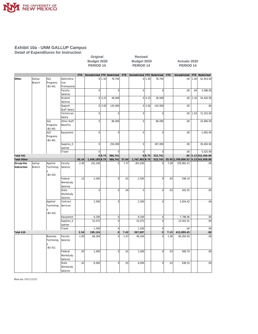

**Detail of Expenditures for Instruction**

|                                                |                         |                                         |                                    |            | Budget 2020<br>PERIOD <sub>14</sub> |        |                    |       | Budget 2020<br>PERIOD <sub>14</sub> |        |                    |      | <b>Actuals 2020</b><br><b>PERIOD 14</b> |            |                                    |
|------------------------------------------------|-------------------------|-----------------------------------------|------------------------------------|------------|-------------------------------------|--------|--------------------|-------|-------------------------------------|--------|--------------------|------|-----------------------------------------|------------|------------------------------------|
|                                                |                         |                                         |                                    | <b>FTE</b> | Unrestricted FTE Restricted         |        |                    |       | FTE Unrestricted FTE Restricted     |        |                    | FTE  | Unrestricted                            | <b>FTE</b> | Restricted                         |
| Other                                          | Gallup<br><b>Branch</b> | 1&G<br>Programs<br>-BU 441              | Administra<br>tive<br>Professional |            |                                     | 0 1.50 | 78,792             |       |                                     | 0 1.50 | 78,792             |      | .00.                                    | 1.00       | 52,453.00                          |
|                                                |                         |                                         | Faculty<br>Salaries                |            | $\circ$                             |        | $\overline{0}$     |       | $\overline{0}$                      |        | $\Omega$           |      | .00.                                    | .04        | 3,588.00                           |
|                                                |                         |                                         | Student<br>Salaries                |            |                                     | 0 4.25 | 36,949             |       |                                     | 0 4.25 | 36,949             |      | .00.                                    | 2.16       | 34,426.00                          |
|                                                |                         |                                         | Support<br>Staff Salary            |            |                                     | 0 3.00 | 135,000            |       |                                     | 0 3.00 | 135,000            |      | .00                                     |            | .00                                |
|                                                |                         |                                         | Technician<br>Salary               |            | $\overline{0}$                      |        | $\overline{0}$     |       | $\mathbf 0$                         |        | $\mathbf 0$        |      | .00                                     | 1.93       | 72,353.00                          |
|                                                |                         | <b>1&amp;G</b><br>Programs<br>-BU 441   | Other Staff<br>Benefits            |            | $\circ$                             |        | 86,000             |       | $\overline{0}$                      |        | 86,000             |      | .00.                                    |            | 33,696.00                          |
|                                                |                         | I&G<br>Programs<br>-BU 441              | Equipment                          |            | 0                                   |        | $\overline{0}$     |       | $\mathbf{0}$                        |        | $\mathbf 0$        |      | .00                                     |            | 1,005.00                           |
|                                                |                         |                                         | Supplies_E<br>xpense               |            | $\overline{0}$                      |        | 250,000            |       | $\overline{0}$                      |        | 187,000            |      | .00.                                    |            | 39,404.00                          |
|                                                |                         |                                         | Travel                             |            | 0                                   |        | $\mathbf 0$        |       | $\mathbf 0$                         | 0 8.75 | $\mathbf 0$        |      | .00                                     |            | 5,525.00                           |
| Total 441                                      |                         |                                         |                                    | 43.14      | 1,936,185 8.75                      | 0 8.75 | 586,741<br>586,741 | 37.64 | 1,767,902 8.75                      |        | 523,741<br>523,741 |      | .00.<br>35.93 1,709,806.52              |            | 5.13 242,450.00<br>5.13 242,450.00 |
|                                                | Gallup                  | Applied                                 | Faculty                            | 2.40       | 132,256                             |        | $\mathbf 0$        | 7.37  | 301,039                             |        | $\Omega$           | 7.09 | 378,892.41                              |            | .00                                |
| <b>Total Other</b><br>Occup/Voc<br>Instruction | Branch                  | Technolog<br>-BU 410                    | Salaries                           |            |                                     |        |                    |       |                                     |        |                    |      |                                         |            |                                    |
|                                                |                         |                                         | Federal<br>Workstudy<br>Salaries   | .14        | 2,595                               |        | $\overline{0}$     | .01   | 2,595                               |        | $\overline{0}$     | .03  | 548.10                                  |            | .00                                |
|                                                |                         |                                         | State<br>Workstudy<br>Salaries     |            | 0                                   |        | $\overline{0}$     | .04   | $\mathbf 0$                         |        | $\overline{0}$     | .03  | 503.55                                  |            | .00                                |
|                                                |                         | Applied<br>Technolog<br>-BU 410         | Contract<br>Services               |            | 2,500                               |        | $\overline{0}$     |       | 2,500                               |        | $\overline{0}$     |      | 2,654.42                                |            | .00                                |
|                                                |                         |                                         | Equipment                          |            | 8,200                               |        | $\overline{0}$     |       | 8,200                               |        | $\overline{0}$     |      | 7,798.96                                |            | .00                                |
|                                                |                         |                                         | Supplies_E<br>xpense               |            | 52,073                              |        | $\overline{0}$     |       | 52,073                              |        | $\Omega$           |      | 23,502.01                               |            | .00                                |
|                                                |                         |                                         | Travel                             |            | 1,500                               |        | $\overline{0}$     |       | 1,500                               |        | $\mathbf 0$        |      | .00.                                    |            | .00                                |
| Total 410                                      |                         |                                         |                                    | 2.54       | 199,124                             |        | 0                  | 7.42  | 367,907                             |        | $\overline{0}$     | 7.15 | 413,899.45                              |            | .00                                |
|                                                |                         | <b>Business</b><br>Technolog<br>-BU 411 | Faculty<br>Salaries                | 1.00       | 66,264                              |        | $\overline{0}$     | 1.07  | 66,264                              |        | $\Omega$           | 1.00 | 66,264.50                               |            | .00                                |
|                                                |                         |                                         | Federal<br>Workstudy<br>Salaries   | .05        | 1,000                               |        | $\mathbf{0}$       | .01   | 1,000                               |        | $\overline{0}$     | .03  | 569.70                                  |            | .00                                |
|                                                |                         |                                         | State<br>Workstudy<br>Salaries     | .42        | 8,000                               |        | $\overline{0}$     | .05   | 8,000                               |        | $\overline{0}$     | .03  | 638.55                                  |            | .00                                |

**Original Revised**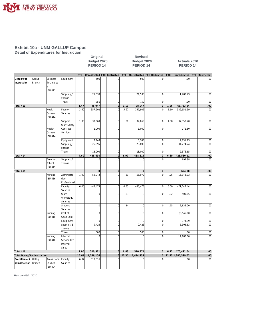

**Detail of Expenditures for Instruction**

|                                      |                         |                                         |                                              |            | Budget 2020<br>PERIOD <sub>14</sub> |                     |            | Budget 2020<br>PERIOD <sub>14</sub> |                |      | <b>Actuals 2020</b><br>PERIOD <sub>14</sub> |                |
|--------------------------------------|-------------------------|-----------------------------------------|----------------------------------------------|------------|-------------------------------------|---------------------|------------|-------------------------------------|----------------|------|---------------------------------------------|----------------|
|                                      |                         |                                         |                                              | <b>FTE</b> | Unrestricted FTE Restricted         |                     | <b>FTE</b> | Unrestricted FTE Restricted         |                | FTE  | Unrestricted                                | FTE Restricted |
| Occup/Voc<br>Instruction             | Gallup<br><b>Branch</b> | <b>Business</b><br>Technolog<br>-BU 411 | Equipment                                    |            | 500                                 | $\overline{0}$      |            | 500                                 | $\mathbf 0$    |      | .00                                         | .00            |
|                                      |                         |                                         | Supplies_E<br>xpense                         |            | 21,533                              | $\overline{0}$      |            | 21,533                              | $\overline{0}$ |      | 1,280.79                                    | .00            |
|                                      |                         |                                         | Travel                                       |            | 750                                 | 0                   |            | 750                                 | $\overline{0}$ |      | .00                                         | .00            |
| Total 411                            |                         |                                         |                                              | 1.47       | 98,047                              | $\circ$             | 1.13       | 98,047                              | $\overline{0}$ | 1.06 | 68,753.54                                   | .00            |
|                                      |                         | Health<br>Careers<br><b>BU 414</b>      | Faculty<br>Salaries                          | 3.60       | 357,902                             | $\mathbf 0$         | 5.97       | 357,902                             | $\mathbf 0$    | 5.60 | 339,951.59                                  | .00            |
|                                      |                         |                                         | Support<br><b>Staff Salary</b>               | 1.00       | 37,069                              | $\overline{0}$      | 1.00       | 37,069                              | $\overline{0}$ | 1.00 | 37, 353. 70                                 | .00            |
|                                      |                         | Health<br>Careers<br><b>BU 414</b>      | Contract<br>Services                         |            | 1,000                               | $\overline{0}$      |            | 1,000                               | $\mathbf 0$    |      | 171.50                                      | .00            |
|                                      |                         |                                         | Equipment                                    |            | 3,748                               | $\overline{0}$      |            | 3,748                               | $\overline{0}$ |      | 12,231.93                                   | .00            |
|                                      |                         |                                         | Supplies_E<br>xpense                         |            | 25,895                              | $\overline{0}$      |            | 25,895                              | $\overline{0}$ |      | 34, 274.74                                  | .00            |
|                                      |                         |                                         | Travel                                       |            | 13,000                              | $\overline{0}$      |            | 13,000                              | $\overline{0}$ |      | 2,576.65                                    | .00            |
| Total 414                            |                         |                                         |                                              | 4.60       | 438,614                             | $\overline{0}$      | 6.97       | 438,614                             | $\overline{0}$ | 6.60 | 426,560.11                                  | .00            |
|                                      |                         | Area Voc<br>School<br>-BU 415           | Supplies_E<br>xpense                         |            | $\overline{0}$                      | $\Omega$            |            | $\mathbf 0$                         | $\Omega$       |      | 694.88                                      | .00            |
| Total 415                            |                         |                                         |                                              |            | $\mathbf{O}$                        | $\mathsf{O}\xspace$ |            | $\mathbf 0$                         | $\mathbf 0$    |      | 694.88                                      | .00            |
|                                      |                         | Nursing<br><b>BU 416</b>                | Administra<br>tive<br>Professional           | 1.00       | 56,972                              | $\overline{0}$      | .33        | 56,972                              | $\overline{0}$ | .25  | 15,943.93                                   | .00            |
|                                      |                         |                                         | Faculty<br>Salaries                          | 6.00       | 443,473                             | $\overline{0}$      | 6.33       | 443,473                             | $\mathbf 0$    | 6.00 | 471, 147.44                                 | .00            |
|                                      |                         |                                         | State<br>Workstudy<br>Salaries               |            | 0                                   | $\overline{0}$      | .03        | 0                                   | $\overline{0}$ | .02  | 409.05                                      | .00            |
|                                      |                         |                                         | Student<br>Salaries                          |            | 0                                   | $\overline{0}$      | .14        | 0                                   | $\overline{0}$ | .15  | 2,835.00                                    | .00            |
|                                      |                         | Nursing<br><b>BU 416</b>                | Cost of<br>Good Sold                         |            | $\overline{0}$                      | $\overline{0}$      |            | $\overline{0}$                      | $\overline{0}$ |      | (6, 545.00)                                 | .00            |
|                                      |                         |                                         | Equipment                                    |            | $\overline{0}$                      | $\overline{0}$      |            | $\overline{0}$                      | $\overline{0}$ |      | 374.99                                      | .00            |
|                                      |                         |                                         | Supplies_E<br>xpense                         |            | 9,426                               | $\overline{0}$      |            | 9,426                               | $\overline{0}$ |      | 6,305.63                                    | .00            |
|                                      |                         |                                         | Travel                                       |            | 500                                 | $\overline{0}$      |            | 500                                 | $\overline{0}$ |      | .00                                         | .00            |
|                                      |                         | Nursing<br><b>BU 416</b>                | Internal<br>Service Ctr<br>Internal<br>Sales |            | $\overline{0}$                      | $\mathbf 0$         |            | $\mathbf 0$                         | $\mathbf 0$    |      | (14,980.00)                                 | .00            |
| Total 416                            |                         |                                         |                                              | 7.00       | 510,371                             | $\Omega$            | 6.83       | 510,371                             | $\mathbf{0}$   | 6.42 | 475,491.04                                  | .00            |
| <b>Total Occup/Voc Instruction</b>   |                         |                                         |                                              | 15.61      | 1,246,156                           | 0                   | 22.35      | 1,414,939                           | $\overline{0}$ |      | 21.23 1,385,399.02                          | .00            |
| Prep/Remedi<br>al Instruction Branch | Gallup                  | Transitional<br>Studies<br>-BU 404      | Faculty<br>Salaries                          | 6.37       | 319,316                             | $\Omega$            |            | $\mathbf 0$                         |                |      | .00.                                        | .00            |

**Original Revised**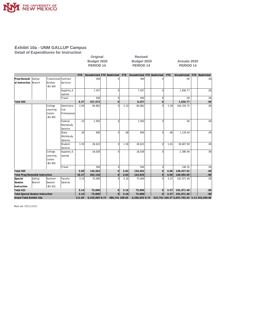

**Detail of Expenditures for Instruction**

|                                                                     |                  |                                           |                                    |                          | Original<br>Budget 2020<br>PERIOD <sub>14</sub> |                |                          | <b>Revised</b><br>Budget 2020<br>PERIOD <sub>14</sub> |                |                                                           | <b>Actuals 2020</b><br>PERIOD <sub>14</sub> |                |
|---------------------------------------------------------------------|------------------|-------------------------------------------|------------------------------------|--------------------------|-------------------------------------------------|----------------|--------------------------|-------------------------------------------------------|----------------|-----------------------------------------------------------|---------------------------------------------|----------------|
|                                                                     |                  |                                           |                                    | FTE.                     | Unrestricted FTE Restricted                     |                | FTE                      | Unrestricted FTE Restricted                           |                | <b>FTE</b>                                                | Unrestricted                                | FTE Restricted |
| Prep/Remedi<br>al Instruction Branch                                | Gallup           | Transitional<br><b>Studies</b><br>-BU 404 | lContract<br>Services              |                          | 300                                             | 0              |                          | 300                                                   |                |                                                           | .00                                         | .00            |
|                                                                     |                  |                                           | Supplies_E<br>xpense               |                          | 7,457                                           | $\Omega$       |                          | 7,457                                                 | $\Omega$       |                                                           | 1.656.77                                    | .00.           |
|                                                                     |                  |                                           | Travel                             |                          | 500                                             | $\mathbf 0$    |                          | 500                                                   | $\Omega$       |                                                           | .00                                         | .00            |
| Total 404                                                           |                  |                                           |                                    | 6.37                     | 327,573                                         | $\mathbf{0}$   |                          | 8,257                                                 | $\mathbf 0$    |                                                           | 1,656.77                                    | .00            |
|                                                                     |                  | College<br>Learning<br>Center<br>-BU 405  | Administra<br>tive<br>Professional | 2.00                     | 84,862                                          | $\Omega$       | 2.19                     | 84,862                                                | $\Omega$       | 2.39                                                      | 104, 192. 75                                | .00.           |
|                                                                     |                  |                                           | Federal<br>Workstudy<br>Salaries   | .10                      | 1,950                                           | $\Omega$       |                          | 1,950                                                 | $\Omega$       |                                                           | .00                                         | .00.           |
|                                                                     |                  |                                           | State<br>Workstudy<br>Salaries     | .30                      | 600                                             | 0              | .08                      | 600                                                   | $\Omega$       | .06                                                       | 1,116.44                                    | .00            |
|                                                                     |                  |                                           | Student<br>Salaries                | 1.50                     | 28,623                                          | $\Omega$       | 1.56                     | 28,623                                                | $\Omega$       | 1.61                                                      | 30,607.90                                   | .00            |
| College<br>Learning<br>xpense<br>Center<br>-BU 405                  |                  | Supplies_E                                |                                    | 18,028                   | U                                               |                | 18,028                   | $\Omega$                                              |                | 2,380.48                                                  | .00                                         |                |
|                                                                     |                  |                                           | Travel                             |                          | 500                                             | $\mathbf 0$    |                          | 500                                                   | $\mathbf 0$    |                                                           | 140.35                                      | .00            |
| Total 405                                                           |                  |                                           |                                    | 3.90                     | 134,563                                         | $\overline{0}$ | 3.83                     | 134,563                                               | $\overline{0}$ | 4.06                                                      | 138,437.92                                  | .00            |
| <b>Total Prep/Remedial Instruction</b>                              |                  |                                           |                                    | 10.27                    | 462,136                                         | $\overline{0}$ | 3.83                     | 142,820                                               | $\overline{0}$ | 4.06                                                      | 140,094.69                                  | .00            |
| Special<br>Session<br>Instruction                                   | Gallup<br>Branch | Summer<br>Session<br>-BU 422              | Faculty<br>Salaries                | 3.14                     | 75,000                                          | 0              | 3.16                     | 75,000                                                | $\Omega$       | 3.37                                                      | 191.971.40                                  | .00            |
| Total 422                                                           |                  |                                           |                                    | 3.14                     | 75,000                                          | $\Omega$       | 3.16                     | 75,000                                                | $\overline{0}$ | 3.37                                                      | 191,971.40                                  | .00            |
| <b>Total Special Session Instruction</b><br>Grand Total Exhibit 10a |                  |                                           | 3.14<br>111.69                     | 75,000<br>6,235,005 8.75 | $\Omega$<br>586,741 108.65                      | 3.16           | 75,000<br>6,284,635 8.75 | $\overline{0}$                                        | 3.37           | 191,971.40<br>523,741 104.37 6,057,703.35 5.13 242,450.00 | .00                                         |                |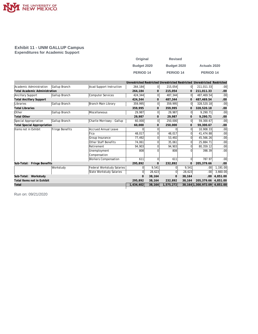

#### **Exhibit 11 - UNM GALLUP Campus Expenditures for Academic Support**

| Original         | <b>Revised</b>       |                      |
|------------------|----------------------|----------------------|
| Budget 2020      | Budget 2020          | <b>Actuals 2020</b>  |
| <b>PERIOD 14</b> | PERIOD <sub>14</sub> | PERIOD <sub>14</sub> |

|                                      |                 |                             |                |                |              |        | Unrestricted Restricted Unrestricted Restricted Unrestricted Restricted |                  |
|--------------------------------------|-----------------|-----------------------------|----------------|----------------|--------------|--------|-------------------------------------------------------------------------|------------------|
| Academic Administration              | Gallup Branch   | Acad Support Instruction    | 264,184        | 0              | 215,054      | 0l     | 211,011.33                                                              | .00              |
| <b>Total Academic Administration</b> |                 |                             | 264,184        | $\mathbf{0}$   | 215,054      | 0      | 211,011.33                                                              | .00.             |
| Ancillary Support                    | Gallup Branch   | <b>Computer Services</b>    | 424,344        | $\overline{0}$ | 487,344      | 01     | 487,469.54                                                              | .00              |
| <b>Total Ancillary Support</b>       |                 |                             | 424,344        | 0              | 487,344      | 0      | 487,469.54                                                              | .00.             |
| Libraries                            | Gallup Branch   | Branch Main Library         | 359,995        | $\overline{0}$ | 359,995      | 01     | 328,520.18                                                              | .00              |
| <b>Total Libraries</b>               |                 |                             | 359,995        | 0              | 359,995      | 0      | 328,520.18                                                              | .00.             |
| Other                                | Gallup Branch   | Miscellaneous               | 29,987         | $\overline{0}$ | 29,987       | 0l     | 9,290.71                                                                | .00              |
| <b>Total Other</b>                   |                 |                             | 29,987         | 0              | 29,987       | 0      | 9,290.71                                                                | .00.             |
| Special Appropriation                | Gallup Branch   | Charlie Morrissey - Gallup  | 60,000         | $\overline{0}$ | 250,000      | 0      | 59,300.67                                                               | .00              |
| <b>Total Special Appropriation</b>   |                 |                             | 60,000         | 0              | 250,000      | 0      | 59,300.67                                                               | .00.             |
| Items not in Exhibit                 | Fringe Benefits | <b>Accrued Annual Leave</b> | O              | 0              |              | 0      | 10,908.33                                                               | .00              |
|                                      |                 | Fica                        | 48,017         |                | 48,017       |        | 41,474.88                                                               | .00              |
|                                      |                 | Group Insurance             | 77.492         |                | 53.492       | 0      | 45,566.26                                                               | .00              |
|                                      |                 | Other Staff Benefits        | 74,061         | 0              | 35,061       |        | 25,884.71                                                               | .00              |
|                                      |                 | Retirement                  | 94.903         | $\Omega$       | 94,903       | 0      | 80.359.12                                                               | .00              |
|                                      |                 | Unemployment                | 808            |                | 808          |        | 398.39                                                                  | .00 <sub>1</sub> |
|                                      |                 | Compensation                |                |                |              |        |                                                                         |                  |
|                                      |                 | Workers Compensation        | 611            | $\overline{0}$ | 611          | 0      | 787.97                                                                  | .00              |
| Sub-Total: Fringe Benefits           |                 |                             | 295,892        | $\mathbf{O}$   | 232,892      | 0      | 205,379.66                                                              | .00              |
|                                      | Workstudy       | Federal Workstudy Salaries  | $\Omega$       | 9,541          |              | 9,541  | .00.                                                                    | 1,191.00         |
|                                      |                 | State Workstudy Salaries    | $\overline{0}$ | 28,623         | $\Omega$     | 28,623 | .00                                                                     | 3,660.00         |
| Sub-Total: Workstudy                 |                 |                             | $\mathbf 0$    | 38,164         | $\mathbf{0}$ | 38,164 | .00                                                                     | 4.851.00         |
| Total Items not in Exhibit           |                 |                             | 295,892        | 38,164         | 232,892      | 38,164 | 205,379.66                                                              | 4.851.00         |
| Total                                |                 |                             | 1,434,402      | 38,164         | 1,575,272    |        | 38, 164 1, 300, 972.09 4, 851.00                                        |                  |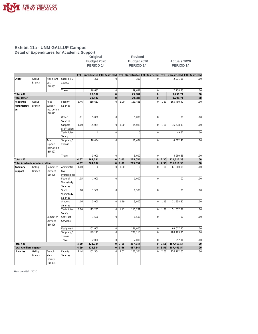

#### **Exhibit 11a - UNM GALLUP Campus Detail of Expenditures for Academic Support Original Revised**

|                                |                                           |                                                          |                       | Budget 2020<br><b>PERIOD 14</b> |                         |                |                                           |                      |                                   |                     |                                                                           |                                                                                 |                                               |                                                                        |
|--------------------------------|-------------------------------------------|----------------------------------------------------------|-----------------------|---------------------------------|-------------------------|----------------|-------------------------------------------|----------------------|-----------------------------------|---------------------|---------------------------------------------------------------------------|---------------------------------------------------------------------------------|-----------------------------------------------|------------------------------------------------------------------------|
|                                |                                           |                                                          | FTE                   |                                 |                         |                |                                           |                      |                                   |                     |                                                                           |                                                                                 |                                               |                                                                        |
| Gallup<br>Branch               | Miscellane<br>ous<br>-BU 437              | Supplies_E<br>xpense                                     |                       | 300                             |                         | 0              |                                           | 300                  |                                   | $\mathbf 0$         |                                                                           | 2,031.98                                                                        |                                               | .00                                                                    |
|                                |                                           | Travel                                                   |                       | 29,687                          |                         | $\mathbf 0$    |                                           | 29,687               |                                   | $\mathbf 0$         |                                                                           | 7,258.73                                                                        |                                               | .00                                                                    |
|                                |                                           |                                                          |                       | 29,987                          |                         | $\mathbf 0$    |                                           | 29,987               |                                   | $\mathbf 0$         |                                                                           | 9,290.71                                                                        |                                               | .00 <sub>1</sub>                                                       |
|                                |                                           |                                                          |                       | 29,987                          |                         | $\mathbf 0$    |                                           | 29,987               |                                   | $\mathsf{O}\xspace$ |                                                                           | 9,290.71                                                                        |                                               | .00 <sub>1</sub>                                                       |
| Branch                         | Support<br>Instruction<br>-BU 427         | Salaries                                                 |                       |                                 |                         |                |                                           |                      |                                   |                     |                                                                           |                                                                                 |                                               | .00 <sub>1</sub>                                                       |
|                                |                                           | Other<br>Salaries                                        | .11                   | 5,000                           |                         | $\mathbf 0$    |                                           | 5,000                |                                   | $\mathbf 0$         |                                                                           | .00                                                                             |                                               | .00                                                                    |
|                                |                                           | Support<br><b>Staff Salary</b>                           | 1.00                  | 35,089                          |                         | $\overline{0}$ | 1.00                                      | 35,089               |                                   | $\mathbf 0$         | 1.00                                                                      | 36,678.19                                                                       |                                               | .00                                                                    |
|                                |                                           | Technician<br>Salary                                     |                       | $\mathbf 0$                     |                         | $\mathbf 0$    |                                           | $\mathbf 0$          |                                   | $\mathbf 0$         |                                                                           | 49.62                                                                           |                                               | .00                                                                    |
|                                | Acad<br>Support<br>Instruction<br>-BU 427 | Supplies_E<br>xpense                                     |                       | 10,484                          |                         | $\overline{0}$ |                                           | 10,484               |                                   | $\mathbf 0$         |                                                                           | 4,522.47                                                                        |                                               | .00.                                                                   |
|                                |                                           | Travel                                                   |                       | 3,000                           |                         | $\mathbf 0$    |                                           | 3,000                |                                   | $\mathbf 0$         |                                                                           | 4,280.65                                                                        |                                               | .00                                                                    |
|                                |                                           | 4.57                                                     | 264,184               |                                 | $\overline{0}$          | 2.00           | 215,054                                   |                      | $\overline{0}$                    | 2.30                | 211,011.33                                                                |                                                                                 | .00 <sub>1</sub>                              |                                                                        |
|                                |                                           |                                                          |                       |                                 |                         |                |                                           |                      |                                   |                     |                                                                           |                                                                                 |                                               | 00                                                                     |
| Branch                         | Services<br>-BU 426                       | tive<br>Professional                                     |                       |                                 |                         |                |                                           |                      |                                   |                     |                                                                           |                                                                                 |                                               | .00                                                                    |
|                                |                                           | Federal<br>Workstudy<br>Salaries                         | .05                   | 1,000                           |                         | $\mathbf 0$    |                                           | 1,000                |                                   | $\mathbf 0$         |                                                                           | .00                                                                             |                                               | .00                                                                    |
|                                |                                           | State<br>Workstudy<br>Salaries                           | .08                   | 1,500                           |                         | $\overline{0}$ |                                           | 1,500                |                                   | $\mathbf 0$         |                                                                           | .00                                                                             |                                               | .00                                                                    |
|                                |                                           | Student<br>Salaries                                      | .16                   | 3,000                           |                         | $\overline{0}$ | 1.19                                      | 3,000                |                                   | $\overline{0}$      | 1.15                                                                      | 21,538.80                                                                       |                                               | .00                                                                    |
|                                |                                           | Technician<br>Salary                                     | 3.00                  | 115,231                         |                         | $\mathbf 0$    | 1.47                                      | 115,231              |                                   | $\mathbf 0$         | 1.36                                                                      | 51,557.22                                                                       |                                               | .00                                                                    |
|                                | Computer<br>Services<br>-BU 426           | Contract<br>Services                                     |                       | 1,500                           |                         | $\mathbf 0$    |                                           | 1,500                |                                   | $\mathbf 0$         |                                                                           | .00                                                                             |                                               | .00                                                                    |
|                                |                                           | Equipment                                                |                       | 101,000                         |                         | $\mathbf 0$    |                                           | 136,000              |                                   | $\mathbf 0$         |                                                                           | 69,017.40                                                                       |                                               | .00                                                                    |
|                                |                                           | Supplies_E<br>xpense                                     |                       | 199,113                         |                         | $\mathbf 0$    |                                           | 227,113              |                                   | $\mathbf 0$         |                                                                           | 283,403.90                                                                      |                                               | .00                                                                    |
|                                |                                           | Travel                                                   |                       | 2,000                           |                         | $\overline{0}$ |                                           | 2,000                |                                   | $\mathbf 0$         |                                                                           | 952.14                                                                          |                                               | .00                                                                    |
|                                |                                           |                                                          | 4.29                  | 424,344                         |                         | $\mathbf 0$    | 3.66                                      | 487,344              |                                   | 0                   | 3.51                                                                      | 487,469.54                                                                      |                                               | .00 <sub>1</sub>                                                       |
| <b>Total Ancillary Support</b> |                                           |                                                          | 4.29                  | 424,344                         |                         | $\mathbf 0$    | 3.66                                      | 487,344              |                                   | $\mathbf 0$         | 3.51                                                                      | 487,469.54                                                                      |                                               | .00 <sub>1</sub>                                                       |
| Gallup<br>Branch               | Branch<br>Main<br>Library<br>-BU 424      | Faculty<br>Salaries                                      | 2.44                  | 151,364                         |                         | 0              | 2.07                                      | 151,364              |                                   | $\mathbf 0$         | 2.00                                                                      | 126,702.00                                                                      |                                               | .00                                                                    |
|                                | Gallup<br>Gallup                          | Acad<br><b>Total Academic Administration</b><br>Computer | Faculty<br>Administra | 3.46<br>4.57<br>1.00            | 210,611<br>264,184<br>0 |                | $\mathbf 0$<br>$\mathbf 0$<br>$\mathbf 0$ | 1.00<br>2.00<br>1.00 | 161,481<br>215,054<br>$\mathbf 0$ |                     | Budget 2020<br><b>PERIOD 14</b><br>$\Omega$<br>$\mathbf 0$<br>$\mathbf 0$ | Unrestricted FTE Restricted FTE Unrestricted FTE Restricted FTE<br>1.30<br>1.00 | 165,480.40<br>211,011.33<br>2.30<br>61,000.08 | <b>Actuals 2020</b><br><b>PERIOD 14</b><br>Unrestricted FTE Restricted |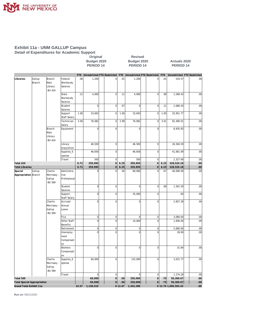

#### **Exhibit 11a - UNM GALLUP Campus Detail of Expenditures for Academic Support**

**Calcular Coriginal**<br>Budget 2020 **Budget 2020 Budget 2020 Budget 2020 Actuals 2020**

# **PERIOD 14 PERIOD 14 PERIOD 14**

|                        |                                    |             |                     | <b>FTE</b> | Unrestricted FTE Restricted |                  | FTE     | Unrestricted FTE Restricted |                     | FTE  | Unrestricted FTE Restricted |                  |
|------------------------|------------------------------------|-------------|---------------------|------------|-----------------------------|------------------|---------|-----------------------------|---------------------|------|-----------------------------|------------------|
| Libraries              | Gallup                             | Branch      | Federal             | .06        | 1,200                       | $\mathbf 0$      | .01     | 1,200                       | $\mathbf 0$         | .03  | 510.57                      | .00              |
|                        | <b>Branch</b>                      | Main        | Workstudy           |            |                             |                  |         |                             |                     |      |                             |                  |
|                        |                                    | Library     | Salaries            |            |                             |                  |         |                             |                     |      |                             |                  |
|                        |                                    | -BU 424     |                     |            |                             |                  |         |                             |                     |      |                             |                  |
|                        |                                    |             | State               | .21        | 4,000                       | $\mathbf 0$      | .11     | 4,000                       | $\mathbf 0$         | .08  | 1,568.43                    | .00              |
|                        |                                    |             | Workstudy           |            |                             |                  |         |                             |                     |      |                             |                  |
|                        |                                    |             | Salaries            |            |                             |                  |         |                             |                     |      |                             |                  |
|                        |                                    |             | Student             |            | $\overline{0}$              | $\mathbf 0$      | .07     | $\overline{0}$              | $\mathbf 0$         | .11  | 2,068.20                    | .00              |
|                        |                                    |             | Salaries            |            |                             |                  |         |                             |                     |      |                             |                  |
|                        |                                    |             | Support             | 1.00       | 33,693                      | $\mathbf 0$      | 1.00    | 33,693                      | $\overline{0}$      | 1.00 | 33,951.77                   | .00              |
|                        |                                    |             | Staff Salary        |            |                             |                  |         |                             |                     |      |                             |                  |
|                        |                                    |             | Technician          | 3.00       | 76,082                      | $\mathbf 0$      | 2.99    | 76,082                      | $\overline{0}$      | 3.01 | 92,490.01                   | .00              |
|                        |                                    |             | Salary              |            |                             |                  |         |                             |                     |      |                             |                  |
|                        |                                    | Branch      | Equipment           |            | $\overline{0}$              | $\mathbf 0$      |         | $\overline{0}$              | $\mathbf 0$         |      | 8,935.83                    | .00              |
|                        |                                    | Main        |                     |            |                             |                  |         |                             |                     |      |                             |                  |
|                        |                                    | Library     |                     |            |                             |                  |         |                             |                     |      |                             |                  |
|                        |                                    | -BU 424     |                     |            |                             |                  |         |                             |                     |      |                             |                  |
|                        |                                    |             | Library             |            | 46,500                      | $\mathbf 0$      |         | 46,500                      | $\mathbf 0$         |      | 18,304.59                   | .00              |
|                        |                                    |             | Acquisition         |            |                             |                  |         |                             |                     |      |                             |                  |
|                        |                                    |             | Supplies_E          |            | 46,656                      | $\mathbf 0$      |         | 46,656                      | $\mathbf 0$         |      | 41,661.09                   | .00              |
|                        |                                    |             | xpense              |            |                             |                  |         |                             |                     |      |                             |                  |
|                        |                                    |             | Travel              |            | 500                         | $\boldsymbol{0}$ |         | 500                         | $\mathbf 0$         |      | 2,327.69                    | .00              |
| Total 424              |                                    |             |                     | 6.71       | 359,995                     | $\mathbf 0$      | 6.25    | 359,995                     | $\mathsf{O}\xspace$ | 6.23 | 328,520.18                  | .00              |
| <b>Total Libraries</b> |                                    |             |                     | 6.71       | 359,995                     | $\circ$          | 6.25    | 359,995                     | $\mathsf{O}\xspace$ | 6.23 | 328,520.18                  | .00              |
| Special                | Gallup                             | Charlie     | Administra          |            | $\pmb{0}$                   | $\mathbf 0$      | .56     | 80,000                      | $\mathbf 0$         | .67  | 40,000.00                   | .00              |
| Appropriation Branch   |                                    | Morrissey - | tive                |            |                             |                  |         |                             |                     |      |                             |                  |
|                        |                                    | Gallup      | Professional        |            |                             |                  |         |                             |                     |      |                             |                  |
|                        |                                    | -BU 569     |                     |            |                             |                  |         |                             |                     |      |                             |                  |
|                        |                                    |             | Student             |            | $\overline{0}$              | $\mathbf 0$      |         | $\overline{0}$              | $\mathbf 0$         | .08  | 1,561.50                    | .00              |
|                        |                                    |             | Salaries            |            |                             |                  |         |                             |                     |      |                             |                  |
|                        |                                    |             | Support             |            | $\overline{0}$              | $\mathbf 0$      |         | 35,000                      | $\mathbf 0$         |      | .00                         | .00              |
|                        |                                    |             | <b>Staff Salary</b> |            |                             |                  |         |                             |                     |      |                             |                  |
|                        |                                    | Charlie     | Accrued             |            | $\overline{0}$              | $\mathbf 0$      |         | $\overline{0}$              | $\mathbf 0$         |      | 2,827.28                    | .00              |
|                        |                                    | Morrissey - | Annual              |            |                             |                  |         |                             |                     |      |                             |                  |
|                        |                                    | Gallup      | Leave               |            |                             |                  |         |                             |                     |      |                             |                  |
|                        |                                    | -BU 569     |                     |            |                             |                  |         |                             |                     |      |                             |                  |
|                        |                                    |             | Fica                |            | $\overline{0}$              | $\boldsymbol{0}$ |         | $\overline{0}$              | $\pmb{0}$           |      | 3,060.00                    | .00              |
|                        |                                    |             | Other Staff         |            | $\overline{0}$              | $\mathbf 0$      |         | 10,000                      | $\mathbf 0$         |      | 1,836.00                    | .00              |
|                        |                                    |             | <b>Benefits</b>     |            |                             |                  |         |                             |                     |      |                             |                  |
|                        |                                    |             | Retirement          |            | $\overline{0}$              | $\mathbf 0$      |         | $\mathbf 0$                 | $\mathbf 0$         |      | 5,660.00                    | .00              |
|                        |                                    |             | Unemploy            |            | $\mathbf 0$                 | $\mathbf 0$      |         | $\overline{0}$              | $\mathbf 0$         |      | 28.00                       | .00              |
|                        |                                    |             | ment                |            |                             |                  |         |                             |                     |      |                             |                  |
|                        |                                    |             | Compensati          |            |                             |                  |         |                             |                     |      |                             |                  |
|                        |                                    |             | on                  |            |                             |                  |         |                             |                     |      |                             |                  |
|                        |                                    |             | Workers             |            | $\overline{0}$              | $\mathbf 0$      |         | $\mathbf 0$                 | $\mathbf 0$         |      | 31.84                       | .00              |
|                        |                                    |             | Compensati          |            |                             |                  |         |                             |                     |      |                             |                  |
|                        |                                    |             | on                  |            |                             |                  |         |                             |                     |      |                             |                  |
|                        |                                    | Charlie     | Supplies_E          |            | 60,000                      | $\mathbf 0$      |         | 125,000                     | $\mathbf 0$         |      | 3,021.77                    | .00              |
|                        |                                    | Morrissey - | xpense              |            |                             |                  |         |                             |                     |      |                             |                  |
|                        |                                    | Gallup      |                     |            |                             |                  |         |                             |                     |      |                             |                  |
|                        |                                    | -BU 569     |                     |            |                             |                  |         |                             |                     |      |                             |                  |
|                        |                                    |             | Travel              |            | $\mathbf 0$                 | $\mathbf 0$      |         | $\mathbf 0$                 | $\overline{0}$      |      | 1,274.28                    | .00              |
| Total 569              |                                    |             |                     |            | 60,000                      | $\overline{0}$   | .56     | 250,000                     | $\mathsf{O}\xspace$ | .75  | 59,300.67                   | .00 <sub>1</sub> |
|                        | <b>Total Special Appropriation</b> |             |                     |            | 60,000                      | 0                | .56     | 250,000                     | 0                   | .75  | 59,300.67                   | .00              |
|                        | Grand Total Exhibit 11a            |             |                     | 15.57      | 1,138,510                   |                  | 0 12.47 | 1,342,380                   |                     |      | 0 12.79 1,095,592.43        | .00              |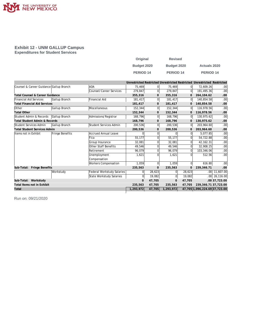

#### **Exhibit 12 - UNM GALLUP Campus Expenditures for Student Services**

| Original    | <b>Revised</b>   |                      |
|-------------|------------------|----------------------|
| Budget 2020 | Budget 2020      | <b>Actuals 2020</b>  |
| PERIOD 14   | <b>PERIOD 14</b> | PERIOD <sub>14</sub> |

|                                          |                 |                            |              |                |              |                | Unrestricted Restricted Unrestricted Restricted Unrestricted Restricted |                  |
|------------------------------------------|-----------------|----------------------------|--------------|----------------|--------------|----------------|-------------------------------------------------------------------------|------------------|
| Counsel & Career Guidance Gallup Branch  |                 | <b>ADA</b>                 | 75,469       | $\overline{0}$ | 75,469       | 01             | 72.609.26                                                               | .00 <sub>1</sub> |
|                                          |                 | Counsel/Career Services    | 279,847      | $\Omega$       | 279,847      | $\Omega$       | 191,495.36                                                              | .00 <sub>1</sub> |
| Total Counsel & Career Guidance          |                 |                            | 355,316      | $\mathbf{0}$   | 355,316      | 0              | 264, 104.62                                                             | .00              |
| Financial Aid Services                   | Gallup Branch   | Financial Aid              | 181,417      | $\Omega$       | 181,417      | 0l             | 140,854.58                                                              | .00 <sub>1</sub> |
| <b>Total Financial Aid Services</b>      |                 |                            | 181,417      | 0              | 181,417      | 0              | 140,854.58                                                              | .00              |
| Other                                    | Gallup Branch   | Miscellaneous              | 152,344      | $\overline{0}$ | 152,344      | $\overline{0}$ | 116,978.56                                                              | .00 <sub>1</sub> |
| <b>Total Other</b>                       |                 |                            | 152,344      | 0              | 152,344      | $\overline{0}$ | 116,978.56                                                              | .00              |
| Student Admin & Records                  | Gallup Branch   | Admissions/Registrar       | 168,796      | $\Omega$       | 168,796      | 0              | 130,975.62                                                              | .00 <sub>1</sub> |
| <b>Total Student Admin &amp; Records</b> |                 |                            | 168,796      | $\mathbf{0}$   | 168,796      | 0              | 130,975.62                                                              | .00              |
| Student Services Admin                   | Gallup Branch   | Student Services Admin     | 200,536      | $\overline{0}$ | 200,536      | 0              | 203,964.60                                                              | .00 <sub>1</sub> |
| <b>Total Student Services Admin</b>      |                 |                            | 200,536      | $\mathbf{0}$   | 200,536      | $\Omega$       | 203,964.60                                                              | .00              |
| Items not in Exhibit                     | Fringe Benefits | Accrued Annual Leave       | 0            | $\Omega$       |              | $\Omega$       | 5,077.85                                                                | .00 <sub>1</sub> |
|                                          |                 | Fica                       | 55,177       | $\Omega$       | 55,177       | 0              | 54,722.88                                                               | .00 <sub>1</sub> |
|                                          |                 | Group Insurance            | 32.081       | $\Omega$       | 32.081       | 0              | 42, 162. 31                                                             | .00 <sub>1</sub> |
|                                          |                 | Other Staff Benefits       | 49.546       | $\Omega$       | 49.546       | 0              | 32,908.25                                                               | .00 <sub>1</sub> |
|                                          |                 | Retirement                 | 96,079       | $\Omega$       | 96,079       | $\Omega$       | 103,346.06                                                              | .00 <sub>1</sub> |
|                                          |                 | Unemployment               | 1,621        | $\Omega$       | 1,621        | O              | 512.56                                                                  | .00 <sub>1</sub> |
|                                          |                 | Compensation               |              |                |              |                |                                                                         |                  |
|                                          |                 | Workers Compensation       | 1,059        | $\Omega$       | 1,059        | $\Omega$       | 616.80                                                                  | .00 <sub>1</sub> |
| Fringe Benefits<br>Sub-Total:            |                 |                            | 235,563      | $\mathbf{0}$   | 235,563      | $\Omega$       | 239,346.71                                                              | .00.             |
|                                          | Workstudy       | Federal Workstudy Salaries | $\Omega$     | 28,623         |              | 28,623         | .00 <sub>1</sub>                                                        | 11,607.00        |
|                                          |                 | State Workstudy Salaries   | $\mathbf 0$  | 19,082         | $\Omega$     | 19,082         | .00 <sub>1</sub>                                                        | 26,116.00        |
| Sub-Total: Workstudy                     |                 |                            | $\mathbf{0}$ | 47,705         | $\mathbf{0}$ | 47,705         |                                                                         | .00 37,723.00    |
| Total Items not in Exhibit               |                 |                            | 235,563      | 47,705         | 235,563      | 47,705         | 239, 346. 71 37, 723.00                                                 |                  |
| Total                                    |                 |                            | 1,293,972    | 47,705         | 1,293,972    |                | 47,705 1,096,224.69 37,723.00                                           |                  |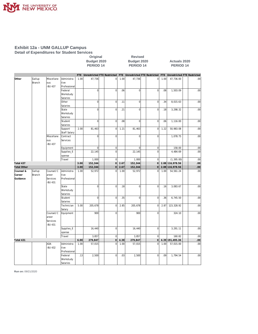

#### **Exhibit 12a - UNM GALLUP Campus Detail of Expenditures for Student Services**

|                    |                  |                     |                          |      | Budget 2020<br>PERIOD <sub>14</sub> |                |      | Budget 2020<br>PERIOD <sub>14</sub>                             |                |      | <b>Actuals 2020</b><br>PERIOD <sub>14</sub> |                 |
|--------------------|------------------|---------------------|--------------------------|------|-------------------------------------|----------------|------|-----------------------------------------------------------------|----------------|------|---------------------------------------------|-----------------|
|                    |                  |                     |                          |      |                                     |                |      | FTE Unrestricted FTE Restricted FTE Unrestricted FTE Restricted |                |      | FTE Unrestricted FTE Restricted             |                 |
| Other              | Gallup<br>Branch | Miscellane<br>ous   | Administra<br>tive       | 1.00 | 47,736                              | 0              | 1.00 | 47,736                                                          | $\overline{0}$ | 1.00 | 47,736.00                                   | .00.            |
|                    |                  | -BU 437             | Professional             |      |                                     |                |      |                                                                 |                |      |                                             |                 |
|                    |                  |                     | Federal                  |      | $\mathbf 0$                         | $\overline{0}$ | .06  | $\mathbf 0$                                                     | $\mathbf 0$    | .08  | 1,503.09                                    | .00             |
|                    |                  |                     | Workstudy                |      |                                     |                |      |                                                                 |                |      |                                             |                 |
|                    |                  |                     | Salaries                 |      |                                     |                |      |                                                                 |                |      |                                             |                 |
|                    |                  |                     | Other                    |      | $\overline{0}$                      | $\overline{0}$ | .11  | $\mathbf 0$                                                     | $\mathbf 0$    | .34  | 8,015.63                                    | .00             |
|                    |                  |                     | Salaries                 |      |                                     |                |      |                                                                 |                |      |                                             |                 |
|                    |                  |                     | State                    |      | $\overline{0}$                      | $\overline{0}$ | .21  | $\overline{0}$                                                  | $\mathbf 0$    | .18  | 3,298.32                                    | .00.            |
|                    |                  |                     | Workstudy                |      |                                     |                |      |                                                                 |                |      |                                             |                 |
|                    |                  |                     | Salaries                 |      |                                     |                |      |                                                                 |                |      |                                             |                 |
|                    |                  |                     | Student                  |      | $\mathbf 0$                         | $\overline{0}$ | .08  | $\mathbf 0$                                                     | $\overline{0}$ | .06  | 1,116.00                                    | .00             |
|                    |                  |                     | Salaries                 |      |                                     |                |      |                                                                 |                |      |                                             |                 |
|                    |                  |                     | Support                  | 2.00 | 81,463                              | 0              | 1.21 | 81,463                                                          | $\mathbf 0$    | 1.22 | 50,983.08                                   | .00             |
|                    |                  | Miscellane          | Staff Salary<br>Contract |      | $\mathbf 0$                         | $\mathbf 0$    |      | $\overline{0}$                                                  | $\mathbf 0$    |      | 1,078.75                                    | .00             |
|                    |                  | ous                 | Services                 |      |                                     |                |      |                                                                 |                |      |                                             |                 |
|                    |                  | -BU 437             |                          |      |                                     |                |      |                                                                 |                |      |                                             |                 |
|                    |                  |                     | Equipment                |      | $\overline{0}$                      | $\overline{0}$ |      | $\mathbf 0$                                                     | $\mathbf 0$    |      | 158.00                                      | .00             |
|                    |                  |                     | Supplies_E               |      | 22,145                              | $\overline{0}$ |      | 22,145                                                          | $\mathbf 0$    |      | 4,484.69                                    | .00             |
|                    |                  |                     | xpense                   |      |                                     |                |      |                                                                 |                |      |                                             |                 |
|                    |                  |                     | Travel                   |      | 1,000                               | $\overline{0}$ |      | 1,000                                                           | $\mathbf 0$    |      | (1, 395.00)                                 | .00             |
| Total 437          |                  |                     |                          | 3.00 | 152,344                             | 0              | 2.67 | 152,344                                                         | $\mathbf 0$    |      | 2.88 116, 978.56                            | .00             |
| <b>Total Other</b> |                  |                     |                          | 3.00 | 152,344                             | 0              | 2.67 | 152,344                                                         | $\Omega$       |      | 2.88 116, 978.56                            | 00 <sub>1</sub> |
| Counsel &          | Gallup           | Counsel/C           | Administra               | 1.00 | 52,972                              | $\overline{0}$ | 1.00 | 52,972                                                          | $\mathbf 0$    | 1.00 | 54,561.24                                   | .00             |
| Career             | Branch           | areer               | tive                     |      |                                     |                |      |                                                                 |                |      |                                             |                 |
| Guidance           |                  | Services<br>-BU 431 | Professional             |      |                                     |                |      |                                                                 |                |      |                                             |                 |
|                    |                  |                     | State                    |      | $\overline{0}$                      | $\overline{0}$ | .18  | 0                                                               | $\mathbf 0$    | .16  | 3,083.67                                    | .00.            |
|                    |                  |                     | Workstudy                |      |                                     |                |      |                                                                 |                |      |                                             |                 |
|                    |                  |                     | Salaries                 |      |                                     |                |      |                                                                 |                |      |                                             |                 |
|                    |                  |                     | Student                  |      | $\overline{0}$                      | $\overline{0}$ | .35  | $\mathbf 0$                                                     | $\overline{0}$ | .36  | 6,745.50                                    | .00             |
|                    |                  |                     | Salaries                 |      |                                     |                |      |                                                                 |                |      |                                             |                 |
|                    |                  |                     | Technician               | 5.00 | 205,678                             | $\circ$        | 2.85 | 205,678                                                         | $\mathbf 0$    | 2.87 | 123,328.92                                  | .00.            |
|                    |                  |                     | Salary                   |      |                                     |                |      |                                                                 |                |      |                                             |                 |
|                    |                  | Counsel/C<br>areer  | Equipment                |      | 900                                 | $\bf 0$        |      | 900                                                             | $\mathbf 0$    |      | 324.10                                      | .00.            |
|                    |                  | Services            |                          |      |                                     |                |      |                                                                 |                |      |                                             |                 |
|                    |                  | -BU 431             |                          |      |                                     |                |      |                                                                 |                |      |                                             |                 |
|                    |                  |                     | Supplies_E               |      | 16,440                              | $\overline{0}$ |      | 16,440                                                          | $\mathbf 0$    |      | 3,291.11                                    | .00             |
|                    |                  |                     | xpense                   |      |                                     |                |      |                                                                 |                |      |                                             |                 |
|                    |                  |                     | Travel                   |      | 3,857                               | $\overline{0}$ |      | 3,857                                                           | $\mathbf{0}$   |      | 160.82                                      | .00             |
| Total 431          |                  |                     |                          | 6.00 | 279,847                             | 0              | 4.38 | 279,847                                                         | $\mathbf 0$    |      | 4.39 191,495.36                             | 00 <sub>1</sub> |
|                    |                  | ADA                 | Administra               | 1.00 | 57,015                              | $\mathbf 0$    | 1.00 | 57,015                                                          | $\mathbf 0$    | 1.00 | 57,015.00                                   | .00             |
|                    |                  | -BU 432             | tive                     |      |                                     |                |      |                                                                 |                |      |                                             |                 |
|                    |                  |                     | Professional             |      |                                     |                |      |                                                                 |                |      |                                             |                 |
|                    |                  |                     | Federal                  | .13  | 2,500                               | $\overline{0}$ | .03  | 2,500                                                           | $\mathbf 0$    | .09  | 1,794.54                                    | .00             |
|                    |                  |                     | Workstudy                |      |                                     |                |      |                                                                 |                |      |                                             |                 |
|                    |                  |                     | Salaries                 |      |                                     |                |      |                                                                 |                |      |                                             |                 |

**Original Revised**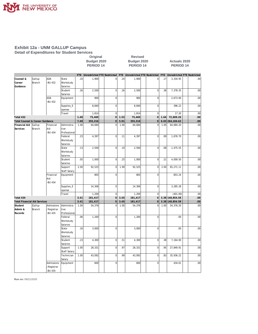

#### **Exhibit 12a - UNM GALLUP Campus Detail of Expenditures for Student Services**

**Original Revised Budget 2020 Budget 2020 Actuals 2020** PERIOD 14 PERIOD 14 PERIOD 14

|                                     |        |               |              | FTE 1 | Unrestricted FTE Restricted |                | FTE  | Unrestricted FTE Restricted |                | <b>FTE</b> | Unrestricted FTE Restricted |                  |
|-------------------------------------|--------|---------------|--------------|-------|-----------------------------|----------------|------|-----------------------------|----------------|------------|-----------------------------|------------------|
| Counsel &                           | Gallup | ADA           | State        | .10   | 1,900                       | 0              | .24  | 1,900                       | $\mathbf 0$    | .17        | 3,334.95                    | .00              |
| Career                              | Branch | -BU 432       | Workstudy    |       |                             |                |      |                             |                |            |                             |                  |
| Guidance                            |        |               | Salaries     |       |                             |                |      |                             |                |            |                             |                  |
|                                     |        |               | Student      | .26   | 2,500                       | 0              | .26  | 2,500                       | $\overline{0}$ | .38        | 7,378.35                    | .00              |
|                                     |        |               | Salaries     |       |                             |                |      |                             |                |            |                             |                  |
|                                     |        | ADA           | Equipment    |       | 900                         | $\mathbf 0$    |      | 900                         | $\mathbf 0$    |            | 2,673.00                    | .00              |
|                                     |        | -BU 432       |              |       |                             |                |      |                             |                |            |                             |                  |
|                                     |        |               | Supplies_E   |       | 8,840                       | $\mathbf 0$    |      | 8,840                       | $\mathbf 0$    |            | 396.22                      | .00              |
|                                     |        |               | xpense       |       |                             |                |      |                             |                |            |                             |                  |
|                                     |        |               | Travel       |       | 1,814                       | $\mathbf 0$    |      | 1,814                       | $\overline{0}$ |            | 17.20                       | .00              |
| Total 432                           |        |               |              | 1.49  | 75,469                      | $\mathbf 0$    | 1.53 | 75,469                      | $\mathbf 0$    | 1.64       | 72,609.26                   | .00.             |
| Total Counsel & Career Guidance     |        |               |              | 7.49  | 355,316                     | $\mathbf 0$    | 5.91 | 355,316                     | $\mathbf 0$    | 6.03       | 264, 104.62                 | .00              |
| Financial Aid                       | Gallup | Financial     | Administra   | 1.00  | 64,684                      | $\overline{0}$ | 1.00 | 64,684                      | $\overline{0}$ | 1.00       | 64,684.20                   | .00              |
| Services                            | Branch | Aid           | tive         |       |                             |                |      |                             |                |            |                             |                  |
|                                     |        |               |              |       |                             |                |      |                             |                |            |                             |                  |
|                                     |        | <b>BU 434</b> | Professional |       |                             |                |      |                             |                |            |                             |                  |
|                                     |        |               | Federal      | .23   | 4,397                       | $\overline{0}$ | .11  | 4,397                       | $\overline{0}$ | .09        | 1,676.70                    | .00.             |
|                                     |        |               | Workstudy    |       |                             |                |      |                             |                |            |                             |                  |
|                                     |        |               | Salaries     |       |                             |                |      |                             |                |            |                             |                  |
|                                     |        |               | State        | .13   | 2,500                       | $\overline{0}$ | .10  | 2,500                       | $\overline{0}$ | .08        | 1,475.55                    | .00              |
|                                     |        |               | Workstudy    |       |                             |                |      |                             |                |            |                             |                  |
|                                     |        |               | Salaries     |       |                             |                |      |                             |                |            |                             |                  |
|                                     |        |               | Student      | .05   | 1,000                       | $\mathbf 0$    | .25  | 1,000                       | $\mathbf 0$    | .21        | 4,009.50                    | .00              |
|                                     |        |               | Salaries     |       |                             |                |      |                             |                |            |                             |                  |
|                                     |        |               | Support      | 2.00  | 92,525                      | $\mathbf 0$    | 1.99 | 92,525                      | $\mathbf 0$    | 2.00       | 65,271.11                   | .00              |
|                                     |        |               | Staff Salary |       |                             |                |      |                             |                |            |                             |                  |
|                                     |        | Financial     | Equipment    |       | 805                         | $\overline{0}$ |      | 805                         | $\mathbf 0$    |            | 853.24                      | .00              |
|                                     |        | Aid           |              |       |                             |                |      |                             |                |            |                             |                  |
|                                     |        | <b>BU 434</b> |              |       |                             |                |      |                             |                |            |                             |                  |
|                                     |        |               | Supplies_E   |       | 14,306                      | $\mathbf 0$    |      | 14,306                      | $\mathbf 0$    |            | 3,285.28                    | .00              |
|                                     |        |               | xpense       |       |                             |                |      |                             |                |            |                             |                  |
|                                     |        |               | Travel       |       | 1,200                       | $\mathbf 0$    |      | 1,200                       | $\mathbf 0$    |            | (401.00)                    | .00              |
| Total 434                           |        |               |              | 3.41  | 181,417                     | $\overline{0}$ | 3.45 | 181,417                     | $\mathbf 0$    |            | 3.38 140,854.58             | .00.             |
|                                     |        |               |              | 3.41  |                             | 0              |      |                             | $\overline{0}$ |            |                             |                  |
| <b>Total Financial Aid Services</b> |        |               |              |       | 181,417                     |                | 3.45 | 181,417                     |                |            | 3.38 140,854.58             | .00 <sub>1</sub> |
| Student                             | Gallup | Admissions    | Administra   | 1.00  | 54,376                      | $\overline{0}$ | 1.00 | 54,376                      | $\overline{0}$ | 1.00       | 54,376.20                   | .00              |
| Admin &                             | Branch | /Registrar    | tive         |       |                             |                |      |                             |                |            |                             |                  |
| Records                             |        | <b>BU 435</b> | Professional |       |                             |                |      |                             |                |            |                             |                  |
|                                     |        |               | Federal      | .06   | 1,200                       | 0              |      | 1,200                       | $\mathbf 0$    |            | .00                         | .00              |
|                                     |        |               | Workstudy    |       |                             |                |      |                             |                |            |                             |                  |
|                                     |        |               | Salaries     |       |                             |                |      |                             |                |            |                             |                  |
|                                     |        |               | State        | .16   | 3,000                       | 0              |      | 3,000                       | $\mathbf 0$    |            | .00                         | .00              |
|                                     |        |               | Workstudy    |       |                             |                |      |                             |                |            |                             |                  |
|                                     |        |               | Salaries     |       |                             |                |      |                             |                |            |                             |                  |
|                                     |        |               | Student      | .23   | 4,300                       | $\mathbf 0$    | .51  | 4,300                       | $\overline{0}$ | .38        | 7,164.00                    | .00              |
|                                     |        |               | Salaries     |       |                             |                |      |                             |                |            |                             |                  |
|                                     |        |               | Support      | 1.00  | 28,331                      | 0              | .97  | 28,331                      | $\mathbf 0$    | .95        | 27,849.91                   | .00              |
|                                     |        |               | Staff Salary |       |                             |                |      |                             |                |            |                             |                  |
|                                     |        |               | Technician   | 1.00  | 43,092                      | $\overline{0}$ | .99  | 43,092                      | $\overline{0}$ | .83        | 35,936.22                   | .00              |
|                                     |        |               | Salary       |       |                             |                |      |                             |                |            |                             |                  |
|                                     |        | Admissions    | Equipment    |       | 600                         | $\overline{0}$ |      | 600                         | $\overline{0}$ |            | 434.61                      | .00              |
|                                     |        |               |              |       |                             |                |      |                             |                |            |                             |                  |
|                                     |        | /Registrar    |              |       |                             |                |      |                             |                |            |                             |                  |
|                                     |        | <b>BU 435</b> |              |       |                             |                |      |                             |                |            |                             |                  |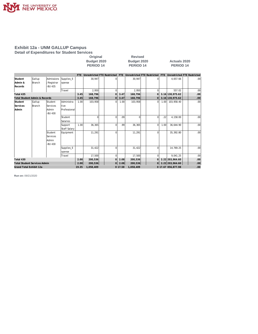

#### **Exhibit 12a - UNM GALLUP Campus Detail of Expenditures for Student Services**

|         |               |                       |        | Original<br>Budget 2020<br>PERIOD <sub>14</sub> |   | <b>Revised</b><br>Budget 2020<br>PERIOD <sub>14</sub>                                           |  | <b>Actuals 2020</b><br>PERIOD <sub>14</sub> |     |
|---------|---------------|-----------------------|--------|-------------------------------------------------|---|-------------------------------------------------------------------------------------------------|--|---------------------------------------------|-----|
|         |               |                       |        |                                                 |   | FTE Unrestricted FTE Restricted FTE Unrestricted FTE Restricted FTE Unrestricted FTE Restricted |  |                                             |     |
| Student | Gallup        | Admissions Supplies E |        | 30.947                                          | 0 | 30.947                                                                                          |  | 4.657.66                                    | .00 |
| Admin & | <b>Branch</b> | /Registrar            | xpense |                                                 |   |                                                                                                 |  |                                             |     |
|         |               |                       |        |                                                 |   |                                                                                                 |  |                                             |     |

| Admin &<br>Records                       | <b>Branch</b> | /Registrar<br>-BU 435 | xpense                  |       |           |                |         |           |                |      |                    |                  |
|------------------------------------------|---------------|-----------------------|-------------------------|-------|-----------|----------------|---------|-----------|----------------|------|--------------------|------------------|
|                                          |               |                       | Travel                  |       | 2,950     | $\Omega$       |         | 2,950     |                |      | 557.02             | .00              |
| Total 435                                |               |                       |                         | 3.45  | 168,796   | $\Omega$       | 3.47    | 168,796   | $\Omega$       |      | 3.16 130, 975.62   | $.00 \,$         |
| <b>Total Student Admin &amp; Records</b> |               |                       |                         | 3.45  | 168,796   | 0              | 3.47    | 168,796   | $\overline{0}$ |      | 3.16 130, 975.62   | .00.             |
| Student                                  | Gallup        | Student               | Administra              | 1.00  | 103,958   | $\Omega$       | 1.00    | 103,958   | $\Omega$       | 1.00 | 103,958.40         | .00 <sub>1</sub> |
| Services                                 | Branch        | Services              | tive                    |       |           |                |         |           |                |      |                    |                  |
| Admin                                    |               | Admin                 | Professional            |       |           |                |         |           |                |      |                    |                  |
|                                          |               | -BU 430               |                         |       |           |                |         |           |                |      |                    |                  |
|                                          |               |                       | Student                 |       | U         | $\overline{0}$ | .09     | 0         | <sup>0</sup>   | .22  | 4,158.00           | .00              |
|                                          |               |                       | <b>Salaries</b>         |       |           |                |         |           |                |      |                    |                  |
|                                          |               |                       | Support<br>Staff Salary | 1.00  | 36,365    | $\Omega$       | .99     | 36,365    | 0              | 1.00 | 36,644.90          | .00              |
|                                          |               | Student               | Equipment               |       | 11,291    | $\Omega$       |         | 11,291    |                |      | 35,392.80          | .00 <sub>1</sub> |
|                                          |               | Services              |                         |       |           |                |         |           |                |      |                    |                  |
|                                          |               | Admin                 |                         |       |           |                |         |           |                |      |                    |                  |
|                                          |               | -BU 430               |                         |       |           |                |         |           |                |      |                    |                  |
|                                          |               |                       | Supplies_E              |       | 31,422    | $\Omega$       |         | 31,422    |                |      | 14,769.25          | .00              |
|                                          |               |                       | xpense                  |       |           |                |         |           |                |      |                    |                  |
|                                          |               |                       | Travel                  |       | 17,500    | $\Omega$       |         | 17,500    |                |      | 9,041.25           | .00 <sub>1</sub> |
| Total 430                                |               |                       |                         | 2.00  | 200,536   | $\Omega$       | 2.08    | 200,536   | $\Omega$       |      | 2.22 203,964.60    | $.00 \,$         |
| <b>Total Student Services Admin</b>      |               |                       |                         | 2.00  | 200,536   | 0              | 2.08    | 200,536   | $\overline{O}$ |      | 2.22 203,964.60    | .00 <sub>1</sub> |
| Grand Total Exhibit 12a                  |               |                       |                         | 19.35 | 1,058,409 |                | 0 17.58 | 1,058,409 |                |      | 0 17.67 856,877.98 | .00              |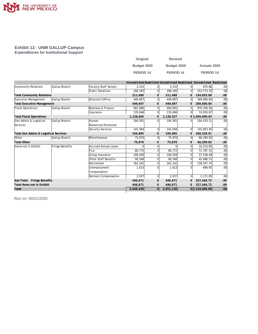

#### **Exhibit 13 - UNM GALLUP Campus Expenditures for Institutional Support**

| Original         | <b>Revised</b>   |                     |
|------------------|------------------|---------------------|
| Budget 2020      | Budget 2020      | <b>Actuals 2020</b> |
| <b>PERIOD 14</b> | <b>PERIOD 14</b> | <b>PERIOD 14</b>    |

|                                       |                 |                             |           |                |           |                | Unrestricted Restricted Unrestricted Restricted Unrestricted Restricted |         |
|---------------------------------------|-----------------|-----------------------------|-----------|----------------|-----------|----------------|-------------------------------------------------------------------------|---------|
| Community Relations                   | Gallup Branch   | Faculty/Staff Senate        | 3,315     | $\overline{0}$ | 3,315     | 01             | 879.88                                                                  | .00     |
|                                       |                 | Public Relations            | 208,165   | $\overline{0}$ | 208,165   | $\Omega$       | 153,773.20                                                              | .00     |
| <b>Total Community Relations</b>      |                 |                             | 211,480   | 0              | 211,480   | 0              | 154,653.08                                                              | .00     |
| Executive Management                  | Gallup Branch   | Director's Office           | 449,697   | $\overline{0}$ | 449,697   | 0l             | 269,680.84                                                              | .00     |
| <b>Total Executive Management</b>     |                 |                             | 449,697   | 0              | 449,697   | $\mathbf 0$    | 269,680.84                                                              | .00.    |
| <b>Fiscal Operations</b>              | Gallup Branch   | Business & Finance          | 992,980   | $\Omega$       | 994,681   | 0              | 970,769.56                                                              | .00     |
|                                       |                 | Insurance                   | 135,846   | $\overline{0}$ | 135.846   | ΩI             | 74.929.87                                                               | .00     |
| <b>Total Fiscal Operations</b>        |                 |                             | 1,128,826 | 0              | 1,130,527 |                | 01,045,699.43                                                           | .00     |
| Gen Admin & Logistical                | Gallup Branch   | Human                       | 194,301   | $\Omega$       | 194,301   | 0l             | 104,433.11                                                              | .00.    |
| Services                              |                 | Resources/Personnel         |           |                |           |                |                                                                         |         |
|                                       |                 | Security Services           | 142,584   | $\Omega$       | 142,584   | $\Omega$       | 155,803.40                                                              | .00     |
| Total Gen Admin & Logistical Services |                 |                             | 336,885   | 0              | 336,885   | 0              | 260,236.51                                                              | .00     |
| Other                                 | Gallup Branch   | Miscellaneous               | 75,870    | $\overline{0}$ | 75,870    | $\overline{0}$ | 66,290.02                                                               | .00     |
| <b>Total Other</b>                    |                 |                             | 75,870    | $\mathbf{0}$   | 75,870    | 0              | 66,290.02                                                               | .00     |
| Items not in Exhibit                  | Fringe Benefits | Accrued Annual Leave        | U         | 0              |           | 0              | 10,213.85                                                               | .00     |
|                                       |                 | Fica                        | 80,772    | 0              | 80.772    | 0              | 71,787.31                                                               | .00     |
|                                       |                 | Group Insurance             | 109,459   | $\Omega$       | 109,459   | 0              | 57,538.49                                                               | .00     |
|                                       |                 | Other Staff Benefits        | 90,548    | $\Omega$       | 90,548    | 0              | 45,488.53                                                               | .00     |
|                                       |                 | Retirement                  | 162,242   | 0              | 162,242   | $\Omega$       | 139,547.74                                                              | .00     |
|                                       |                 | Unemployment                | 1,613     | $\Omega$       | 1,613     | O              | 698.95                                                                  | .00     |
|                                       |                 | Compensation                |           |                |           |                |                                                                         |         |
|                                       |                 | <b>Workers Compensation</b> | 2,037     | $\Omega$       | 2,037     | $\overline{0}$ | 2,171.85                                                                | .00     |
| Sub-Total: Fringe Benefits            |                 |                             | 446,671   | 0              | 446,671   | 0              | 327,446.72                                                              | .00.    |
| Total Items not in Exhibit            |                 |                             | 446,671   | 0              | 446,671   | 0              | 327,446.72                                                              | .00     |
| Total                                 |                 |                             | 2,649,429 | $\overline{0}$ | 2,651,130 |                | 0 2,124,006.60                                                          | $.00\,$ |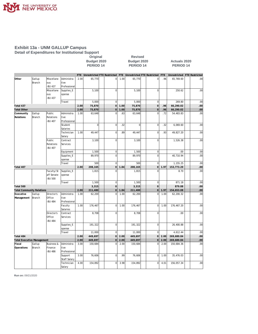

#### **Exhibit 13a - UNM GALLUP Campus Detail of Expenditures for Institutional Support**

**Budget 2020 Budget 2020 Actuals 2020** PERIOD 14 PERIOD 14 PERIOD 14

**Original Revised** 

|                                   |                         |                                       |                                    |      | FTE Unrestricted FTE Restricted |                |      | FTE Unrestricted FTE Restricted |                | FTE  | Unrestricted FTE Restricted |     |
|-----------------------------------|-------------------------|---------------------------------------|------------------------------------|------|---------------------------------|----------------|------|---------------------------------|----------------|------|-----------------------------|-----|
| Other                             | Gallup<br><b>Branch</b> | Miscellane<br>ous<br><b>BU 437</b>    | Administra<br>tive<br>Professional | 2.00 | 65,770                          | $\overline{0}$ | 1.00 | 65,770                          | $\overline{0}$ | .96  | 65,769.60                   | .00 |
|                                   |                         | Miscellane                            | Supplies_E                         |      | 5,100                           | $\overline{0}$ |      | 5,100                           | $\mathbf 0$    |      | 250.62                      | .00 |
|                                   |                         |                                       |                                    |      |                                 |                |      |                                 |                |      |                             |     |
|                                   |                         | ous<br><b>BU 437</b>                  | xpense                             |      |                                 |                |      |                                 |                |      |                             |     |
|                                   |                         |                                       | Travel                             |      | 5,000                           | $\overline{0}$ |      | 5,000                           | $\overline{0}$ |      | 269.80                      | .00 |
| Total 437                         |                         |                                       |                                    | 2.00 | 75,870                          | $\overline{0}$ | 1.00 | 75,870                          | $\overline{0}$ | .96  | 66,290.02                   | .00 |
| <b>Total Other</b>                |                         |                                       |                                    | 2.00 | 75,870                          | $\overline{0}$ | 1.00 | 75,870                          | $\overline{O}$ | .96  | 66,290.02                   | .00 |
| Community                         | Gallup                  | Public                                | Administra                         | 1.00 | 63,648                          | $\mathbf 0$    | .63  | 63,648                          | $\Omega$       | .72  | 54,483.83                   | .00 |
| Relations                         | Branch                  | Relations                             | tive                               |      |                                 |                |      |                                 |                |      |                             |     |
|                                   |                         | <b>BU 407</b>                         | Professional                       |      |                                 |                |      |                                 |                |      |                             |     |
|                                   |                         |                                       | Student                            |      | $\overline{0}$                  | $\overline{0}$ | .32  | $\mathbf 0$                     | $\overline{0}$ | .32  | 6,069.60                    | .00 |
|                                   |                         |                                       | Salaries                           |      |                                 |                |      |                                 |                |      |                             |     |
|                                   |                         |                                       | Technician                         | 1.00 | 49,447                          | $\overline{0}$ | .89  | 49,447                          | $\overline{0}$ | .93  | 49,827.20                   | .00 |
|                                   |                         |                                       | Salary                             |      |                                 |                |      |                                 |                |      |                             |     |
|                                   |                         | Public                                | Contract                           |      | 3,100                           | $\overline{0}$ |      | 3,100                           | $\overline{0}$ |      | 1,526.38                    | .00 |
|                                   |                         | Relations<br><b>BU 407</b>            | Services                           |      |                                 |                |      |                                 |                |      |                             |     |
|                                   |                         |                                       | Equipment                          |      | 1,500                           | $\overline{0}$ |      | 1,500                           | $\overline{0}$ |      | .00.                        | .00 |
|                                   |                         |                                       | Supplies_E                         |      | 89.970                          | $\overline{0}$ |      | 89.970                          | $\Omega$       |      | 40,710.94                   | .00 |
|                                   |                         |                                       | xpense                             |      |                                 |                |      |                                 |                |      |                             |     |
|                                   |                         |                                       | Travel                             |      | 500                             | $\mathbf 0$    |      | 500                             | $\overline{0}$ |      | 1,155.25                    | .00 |
| Total 407                         |                         |                                       |                                    | 2.00 | 208,165                         | 0              | 1.84 | 208,165                         | 0              | 1.97 | 153,773.20                  | .00 |
|                                   |                         | Faculty/St                            | Supplies_E                         |      | 1,815                           | $\Omega$       |      | 1,815                           | $\Omega$       |      | 8.70                        | .00 |
|                                   |                         | aff Senate                            | xpense                             |      |                                 |                |      |                                 |                |      |                             |     |
|                                   |                         | -BU 500                               |                                    |      |                                 |                |      |                                 |                |      |                             |     |
|                                   |                         |                                       | Travel                             |      | 1,500                           | $\mathbf 0$    |      | 1,500                           | $\mathbf 0$    |      | 871.18                      | .00 |
| Total 500                         |                         |                                       |                                    |      | 3,315                           | $\overline{0}$ |      | 3,315                           | $\overline{0}$ |      | 879.88                      | .00 |
| <b>Total Community Relations</b>  |                         |                                       |                                    | 2.00 | 211,480                         | $\overline{O}$ | 1.84 | 211,480                         | $\overline{O}$ | 1.97 | 154,653.08                  | .00 |
| Executive<br>Management           | Gallup<br>Branch        | Director's<br>Office<br>-BU 484       | Administra<br>tive<br>Professional | 1.00 | 62,200                          | $\mathbf 0$    | 1.00 | 62,200                          | $\Omega$       | 1.00 | 62,200.32                   | .00 |
|                                   |                         |                                       | Faculty<br>Salaries                | 1.00 | 176,467                         | $\overline{0}$ | 1.00 | 176,467                         | $\overline{0}$ | 1.00 | 176,467.20                  | .00 |
|                                   |                         | Director's<br>Office<br><b>BU 484</b> | Contract<br>Services               |      | 8,708                           | $\overline{0}$ |      | 8,708                           | $\mathbf 0$    |      | .00                         | .00 |
|                                   |                         |                                       | Supplies_E<br>xpense               |      | 191,322                         | $\overline{0}$ |      | 191,322                         | $\overline{0}$ |      | 26,400.88                   | .00 |
|                                   |                         |                                       | Travel                             |      | 11,000                          | $\overline{0}$ |      | 11,000                          | $\overline{0}$ |      | 4,612.44                    | .00 |
| Total 484                         |                         |                                       |                                    | 2.00 | 449,697                         | $\overline{0}$ | 2.00 | 449,697                         | $\overline{O}$ | 2.00 | 269,680.84                  | .00 |
| <b>Total Executive Management</b> |                         |                                       |                                    | 2.00 | 449,697                         | $\overline{0}$ | 2.00 | 449,697                         | $\overline{0}$ | 2.00 | 269,680.84                  | .00 |
| Fiscal                            | Gallup                  | <b>Business &amp;</b>                 | Administra                         | 3.00 | 150,684                         | $\Omega$       | 2.00 | 150,684                         | $\Omega$       | 2.00 | 150,684.36                  | .00 |
| Operations                        | Branch                  | Finance                               | tive                               |      |                                 |                |      |                                 |                |      |                             |     |
|                                   |                         | <b>BU 486</b>                         | Professional                       |      |                                 |                |      |                                 |                |      |                             |     |
|                                   |                         |                                       | Support                            | 3.00 | 76,606                          | $\mathbf 0$    | .99  | 76,606                          | $\mathbf 0$    | 1.00 | 35,476.03                   | .00 |
|                                   |                         |                                       | <b>Staff Salary</b>                |      |                                 |                |      |                                 |                |      |                             |     |
|                                   |                         |                                       | Technician                         | 4.00 | 154,892                         | $\mathbf 0$    | 3.98 | 154,892                         | $\overline{0}$ | 4.01 | 156,057.34                  | .00 |
|                                   |                         |                                       | Salary                             |      |                                 |                |      |                                 |                |      |                             |     |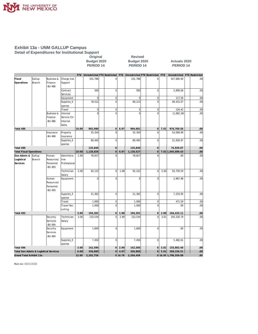

#### **Exhibit 13a - UNM GALLUP Campus Detail of Expenditures for Institutional Support Original Revised**

|                                       |                  |                                                   |                                              |           | Budget 2020<br><b>PERIOD 14</b> |                |           | Budget 2020<br><b>PERIOD 14</b>                                     |                |                      | <b>Actuals 2020</b><br><b>PERIOD 14</b> |      |
|---------------------------------------|------------------|---------------------------------------------------|----------------------------------------------|-----------|---------------------------------|----------------|-----------|---------------------------------------------------------------------|----------------|----------------------|-----------------------------------------|------|
|                                       |                  |                                                   |                                              |           |                                 |                |           | FTE Unrestricted FTE Restricted FTE Unrestricted FTE Restricted FTE |                |                      | Unrestricted FTE Restricted             |      |
| Fiscal<br>Operations                  | Gallup<br>Branch | <b>Business &amp;</b><br>Finance<br><b>BU 486</b> | Charge Inst.<br>Support                      |           | 531,786                         | $\overline{0}$ |           | 531,786                                                             | $\overline{0}$ |                      | 527,685.00                              | .00  |
|                                       |                  |                                                   | Contract<br>Services                         |           | 500                             | $\overline{0}$ |           | 500                                                                 | $\overline{0}$ |                      | 2,890.06                                | .00  |
|                                       |                  |                                                   | Equipment                                    |           | 0                               | $\overline{0}$ |           | $\mathbf 0$                                                         | $\mathbf 0$    |                      | 117.56                                  | .00  |
|                                       |                  |                                                   | Supplies_E<br>xpense                         |           | 78,512                          | $\overline{0}$ |           | 80,213                                                              | $\overline{0}$ |                      | 99,415.07                               | .00  |
|                                       |                  |                                                   | Travel                                       |           | $\mathbf 0$                     | $\overline{0}$ |           | $\mathbf 0$                                                         | $\overline{0}$ |                      | 126.42                                  | .00  |
|                                       |                  | <b>Business &amp;</b><br>Finance<br>-BU 486       | Internal<br>Service Ctr<br>Internal<br>Sales |           | $\Omega$                        | $\Omega$       |           | $\Omega$                                                            | $\Omega$       |                      | (1,682.28)                              | .00  |
| Total 486                             |                  |                                                   |                                              | 10.00     | 992,980                         | 0              | 6.97      | 994,681                                                             | 0              | 7.01                 | 970,769.56                              | .00  |
|                                       |                  | Insurance<br>-BU 488                              | Property<br>Insurance                        |           | 55,354                          | $\mathbf 0$    |           | 55,354                                                              | $\overline{0}$ |                      | 53,008.90                               | .00  |
|                                       |                  |                                                   | Supplies_E<br>xpense                         |           | 80,492                          | $\overline{0}$ |           | 80,492                                                              | $\overline{0}$ |                      | 21,920.97                               | .00  |
| Total 488                             |                  |                                                   |                                              |           | 135,846                         | $\overline{0}$ |           | 135,846                                                             | $\overline{0}$ |                      | 74,929.87                               | .00  |
| <b>Total Fiscal Operations</b>        |                  |                                                   |                                              | 10.00     | 1,128,826                       | $\overline{0}$ | 6.97      | 1,130,527                                                           | 0              |                      | 7.01 1,045,699.43                       | .00  |
| Gen Admin &<br>Logistical<br>Services | Gallup<br>Branch | Human<br>Resources/<br>Personnel<br>-BU 493       | Administra<br>tive<br>Professional           | 1.00      | 78,817                          | $\overline{0}$ |           | 78,817                                                              | $\Omega$       |                      | .00.                                    | .00. |
|                                       |                  |                                                   | Technician<br>Salary                         | 2.00      | 92,122                          | $\overline{0}$ | 1.98      | 92,122                                                              | $\mathbf{0}$   | 2.00                 | 93,759.59                               | .00  |
|                                       |                  | Human<br>Resources/<br>Personnel<br>-BU 493       | Equipment                                    |           | $\mathbf 0$                     | $\overline{0}$ |           | $\mathbf 0$                                                         | $\mathbf 0$    |                      | 2,967.98                                | .00  |
|                                       |                  |                                                   | Supplies_E<br>xpense                         |           | 21,362                          | $\overline{0}$ |           | 21,362                                                              | $\overline{0}$ |                      | 7,233.95                                | .00  |
|                                       |                  |                                                   | Travel                                       |           | 1,000                           | $\overline{0}$ |           | 1,000                                                               | $\overline{0}$ |                      | 471.59                                  | .00  |
|                                       |                  |                                                   | Travel-Rec<br>ruiting                        |           | 1,000                           | $\overline{0}$ |           | 1,000                                                               | $\mathbf 0$    |                      | .00                                     | .00  |
| Total 493                             |                  |                                                   |                                              | 3.00      | 194,301                         | 0              | 1.98      | 194,301                                                             | 0              | 2.00                 | 104,433.11                              | .00  |
|                                       |                  | Security<br>Services<br>-BU 494                   | Technician<br>Salary                         | 3.00      | 133,534                         | $\overline{0}$ | 2.99      | 133,534                                                             | $\Omega$       | 3.01                 | 150,320.79                              | .00  |
|                                       |                  | Security<br>Services<br>-BU 494                   | Equipment                                    |           | 1,600                           | $\overline{0}$ |           | 1,600                                                               | $\mathbf 0$    |                      | .00                                     | .00  |
|                                       |                  |                                                   | Supplies_E<br>xpense                         |           | 7,450                           | $\overline{0}$ |           | 7,450                                                               | $\overline{0}$ |                      | 5,482.61                                | .00  |
| Total 494                             |                  |                                                   |                                              | 3.00      | 142,584                         | 0              | 2.99      | 142,584                                                             | 0              | 3.01                 | 155,803.40                              | .00  |
| Total Gen Admin & Logistical Services |                  |                                                   | 6.00                                         | 336,885   | 0                               | 4.97           | 336,885   |                                                                     | 0  5.01        | 260,236.51           | .00 <sub>1</sub>                        |      |
| Grand Total Exhibit 13a               |                  |                                                   | 22.00                                        | 2,202,758 |                                 | 0 16.78        | 2,204,459 |                                                                     |                | 0 16.95 1,796,559.88 | 00                                      |      |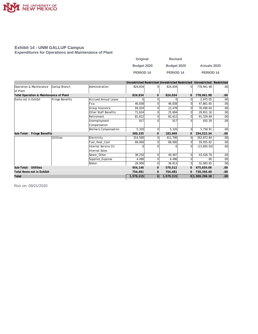

#### **Exhibit 14 - UNM GALLUP Campus Expenditures for Operations and Maintenance of Plant**

| Original         | <b>Revised</b>       |                     |
|------------------|----------------------|---------------------|
| Budget 2020      | Budget 2020          | <b>Actuals 2020</b> |
| <b>PERIOD 14</b> | PERIOD <sub>14</sub> | <b>PERIOD 14</b>    |

|                                        |                 |                             | Unrestricted Restricted Unrestricted Restricted |                |           |             | Unrestricted Restricted |                  |
|----------------------------------------|-----------------|-----------------------------|-------------------------------------------------|----------------|-----------|-------------|-------------------------|------------------|
| Operation & Maintenance                | Gallup Branch   | Administration              | 824,834                                         | $\overline{0}$ | 824,834   | $\Omega$    | 778,941.98              | .00 <sub>1</sub> |
| of Plant                               |                 |                             |                                                 |                |           |             |                         |                  |
| Total Operation & Maintenance of Plant |                 |                             | 824,834                                         | $\mathbf{O}$   | 824,834   | $\mathbf 0$ | 778,941.98              | .00              |
| Items not in Exhibit                   | Fringe Benefits | <b>Accrued Annual Leave</b> |                                                 | $\Omega$       |           | ΩI          | 2,975.05                | .00 <sub>1</sub> |
|                                        |                 | Fica                        | 46,838                                          | $\Omega$       | 46,838    |             | 47,861.60               | .00 <sub>1</sub> |
|                                        |                 | Group Insurance             | 94,024                                          | $\Omega$       | 23,478    | ΩI          | 76,490.64               | .00 <sub>1</sub> |
|                                        |                 | Other Staff Benefits        | 71,624                                          |                | 25,804    |             | 29,651.16               | .00 <sub>1</sub> |
|                                        |                 | Retirement                  | 81,612                                          | $\Omega$       | 81,612    | ΩI          | 91,329.69               | .00 <sub>1</sub> |
|                                        |                 | Unemployment                | 917                                             | $\Omega$       | 917       |             | 455.29                  | .00 <sub>1</sub> |
|                                        |                 | Compensation                |                                                 |                |           |             |                         |                  |
|                                        |                 | <b>Workers Compensation</b> | 5,320                                           | $\Omega$       | 5,320     | 0l          | 5,758.91                | .00 <sub>1</sub> |
| Fringe Benefits<br>Sub-Total:          |                 |                             | 300,335                                         | $\mathbf{O}$   | 183,969   | $\mathbf 0$ | 254,522.34              | .00.             |
|                                        | Utilities       | Electricity                 | 314,500                                         | $\Omega$       | 411,706   | ΩI          | 353,972.84              | .00              |
|                                        |                 | Fuel Heat Cool              | 68,000                                          | $\Omega$       | 68,000    | ΩI          | 59,055.82               | .00              |
|                                        |                 | Internal Service Ctr        |                                                 | $\Omega$       |           | ΩI          | (13,605.03)             | .00 <sub>1</sub> |
|                                        |                 | Internal Sales              |                                                 |                |           |             |                         |                  |
|                                        |                 | Sewer Other                 | 38,250                                          | $\Omega$       | 49,497    | ΩI          | 43,426.78               | .00 <sub>1</sub> |
|                                        |                 | Supplies_Expense            | 4,496                                           | $\overline{0}$ | 4,496     |             | .00                     | .00 <sub>1</sub> |
|                                        |                 | Water                       | 28,900                                          | $\overline{0}$ | 36,813    | ΩI          | 32,983.65               | .00 <sub>1</sub> |
| Sub-Total: Utilities                   |                 |                             | 454,146                                         | $\mathbf{O}$   | 570,512   |             | 475,834.06              | .00.             |
| Total Items not in Exhibit             |                 |                             | 754,481                                         | $\mathbf{O}$   | 754,481   | $\mathbf 0$ | 730,356.40              | .00.             |
| Total                                  |                 |                             | 1,579,315                                       | 0              | 1,579,315 |             | 0 1,509,298.38          | .00 <sub>1</sub> |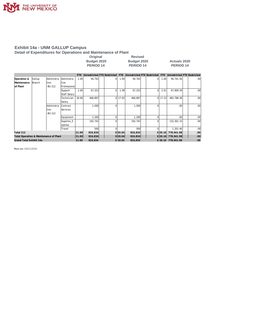

**Detail of Expenditures for Operations and Maintenance of Plant**

| Original    | <b>Revised</b>   |                     |
|-------------|------------------|---------------------|
| Budget 2020 | Budget 2020      | <b>Actuals 2020</b> |
| PERIOD 14   | <b>PERIOD 14</b> | PERIOD 14           |

|                                        |         |             |                 | FTE.  | Unrestricted FTE Restricted |    | FTE     | Unrestricted FTE Restricted |              | <b>FTE</b> | Unrestricted FTE Restricted |                  |
|----------------------------------------|---------|-------------|-----------------|-------|-----------------------------|----|---------|-----------------------------|--------------|------------|-----------------------------|------------------|
| Operation &                            | Gallup  | lAdministra | lAdministra     | 1.00  | 94.742                      | ΩI | 1.00    | 94.742                      | $\Omega$     | 1.00       | 94,741.56                   | .00 <sub>1</sub> |
| Maintenance                            | IBranch | tion        | ltive           |       |                             |    |         |                             |              |            |                             |                  |
| lof Plant                              |         | -BU 212     | Professional    |       |                             |    |         |                             |              |            |                             |                  |
|                                        |         |             | Support         | 2.00  | 67,253                      | Οl | 1.99    | 67,253                      | <sup>0</sup> | 2.01       | 67,909.59                   | .00.             |
|                                        |         |             | Staff Salary    |       |                             |    |         |                             |              |            |                             |                  |
|                                        |         |             | Technician      | 18.00 | 466,897                     | ΩI | 17.05   | 466,897                     | $\Omega$     | 17.15      | 482,788.28                  | .00              |
|                                        |         |             | Salary          |       |                             |    |         |                             |              |            |                             |                  |
|                                        |         | Administra  | <b>Contract</b> |       | 1,500                       | ΩI |         | 1,500                       |              |            | .00.                        | .00.             |
|                                        |         | tion        | Services        |       |                             |    |         |                             |              |            |                             |                  |
|                                        |         | -BU 212     |                 |       |                             |    |         |                             |              |            |                             |                  |
|                                        |         |             | Equipment       |       | 200, 1                      |    |         | 1,200                       |              |            | .00                         | .00              |
|                                        |         |             | Supplies_E      |       | 192.742                     | ΩI |         | 192.742                     |              |            | 132,301.15                  | .00.             |
|                                        |         |             | xpense          |       |                             |    |         |                             |              |            |                             |                  |
|                                        |         |             | Travel          |       | 500                         |    |         | 500                         |              |            | 1,201.40                    | .00.             |
| Total 212                              |         |             |                 | 21.00 | 824,834                     |    | 0 20.04 | 824,834                     |              | 0 20.16    | 778,941.98                  | .00 <sub>1</sub> |
| Total Operation & Maintenance of Plant |         |             |                 | 21.00 | 824,834                     |    | 0 20.04 | 824,834                     |              |            | 0 20.16 778,941.98          | .00              |
| Grand Total Exhibit 14a                |         |             |                 | 21.00 | 824,834                     |    | 0 20.04 | 824,834                     |              |            | 0 20.16 778,941.98          | 00.              |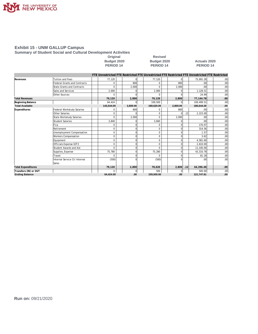

**Summary of Student Social and Cultural Development Activities**

Original Revised<br>Budget 2020 **Budget 2020 PERIOD 14** 

**Budget 2020 Budget 2020 Actuals 2020**

|                           |                                     | FTE Unrestricted FTE Restricted FTE Unrestricted FTE Restricted FTE Unrestricted FTE Restricted |          |            |          |     |                  |                  |
|---------------------------|-------------------------------------|-------------------------------------------------------------------------------------------------|----------|------------|----------|-----|------------------|------------------|
| Revenues                  | <b>Tuition and Fees</b>             | 77,120                                                                                          |          | 77,120     |          |     | 75,991.28        | .00              |
|                           | <b>Federal Grants and Contracts</b> | <sup>0</sup>                                                                                    | 800      | $\Omega$   | 800      |     | .00              | .00              |
|                           | State Grants and Contracts          | $\Omega$                                                                                        | 2.000    | $\Omega$   | 2,000    |     | .00              | .00              |
|                           | Sales and Services                  | 2,000                                                                                           |          | 2,000      |          |     | 1,128.51         | .00              |
|                           | Other Sources                       |                                                                                                 |          |            |          |     | 24.99            | .00              |
| <b>Total Revenues</b>     |                                     | 79,120                                                                                          | 2,800    | 79,120     | 2,800    |     | 77,144.78        | .00 <sub>1</sub> |
| Beginning Balance         |                                     | 64,424                                                                                          |          | 109,500    |          |     | 109,499.51       | .00              |
| <b>Total Available</b>    |                                     | 143,544.00                                                                                      | 2,800.00 | 188,620.00 | 2,800.00 |     | 186,644.29       | .00.             |
| Expenditures              | Federal Workstudy Salaries          | 0                                                                                               | 800      | 0          | 800      |     | .00              | .00              |
|                           | Other Salaries                      | $\Omega$                                                                                        |          | $\Omega$   |          | .12 | 2,223.00         | .00              |
|                           | State Workstudy Salaries            | $\Omega$                                                                                        | 2,000    | $\Omega$   | 2,000    |     | .00              | .00              |
|                           | Student Salaries                    | 3,840                                                                                           |          | 3,840      |          |     | .00 <sup>1</sup> | .00              |
|                           | Fica                                | 0                                                                                               |          |            |          |     | 170.07           | .00              |
|                           | Retirement                          | $\Omega$                                                                                        |          | $\Omega$   |          |     | 314.56           | .00              |
|                           | Unemployment Compensation           | $\Omega$                                                                                        |          | $\Omega$   |          |     | 1.57             | .00              |
|                           | Workers Compensation                | $\Omega$                                                                                        |          | 0          |          |     | 3.62             | .00              |
|                           | Equipment                           | 0                                                                                               |          | $\Omega$   |          |     | 4,581.60         | .00              |
|                           | Officials Expense 63T3              | $\Omega$                                                                                        |          | $\Omega$   |          |     | 2,610.00         | .00              |
|                           | Student Awards and Aid              | $\Omega$                                                                                        |          | $\Omega$   |          |     | 11,100.00        | .00 <sub>1</sub> |
|                           | Supplies_Expense                    | 75,780                                                                                          | n        | 75.280     |          |     | 43,310.78        | .00              |
|                           | Travel                              | $\Omega$                                                                                        | O        |            |          |     | 81.28            | .00              |
|                           | Internal Service Ctr Internal       | (500)                                                                                           |          | (500)      |          |     | .00              | .00 <sub>1</sub> |
|                           | Sales                               |                                                                                                 |          |            |          |     |                  |                  |
| <b>Total Expenditures</b> |                                     | 79,120                                                                                          | 2,800    | 78.620     | 2,800    | .12 | 64,396.48        | .00              |
| Transfers (IN) or OUT     |                                     | U                                                                                               |          | 500        |          |     | 500.00           | .00              |
| <b>Ending Balance</b>     |                                     | 64.424.00                                                                                       | .00      | 109.500.00 | .00      |     | 121,747.81       | .00              |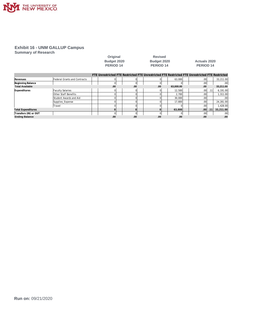

**Summary of Research**

|                           |                                     | <b>PERIOD 14</b>                                                                                |              | PERIOD <sub>14</sub> |           | PERIOD <sub>14</sub> |      |           |
|---------------------------|-------------------------------------|-------------------------------------------------------------------------------------------------|--------------|----------------------|-----------|----------------------|------|-----------|
|                           |                                     | FTE Unrestricted FTE Restricted FTE Unrestricted FTE Restricted FTE Unrestricted FTE Restricted |              |                      |           |                      |      |           |
| Revenues                  | <b>Federal Grants and Contracts</b> |                                                                                                 |              |                      | 63,000    | .00                  |      | 33,211.00 |
| Beginning Balance         |                                     |                                                                                                 | <sup>0</sup> |                      |           | .00 <sub>1</sub>     |      | .00       |
| <b>Total Available</b>    |                                     | .00                                                                                             | .00          | .00                  | 63.000.00 | .00                  |      | 33,211.00 |
| Expenditures              | <b>Faculty Salaries</b>             |                                                                                                 |              |                      | 12,500    | .00 <sub>1</sub>     | .11  | 6,191.00  |
|                           | <b>Other Staff Benefits</b>         |                                                                                                 |              |                      | 2,700     | .00                  |      | 1,311.00  |
|                           | Student Awards and Aid              |                                                                                                 |              |                      | 30,000    | .001                 |      | .00       |
|                           | Supplies Expense                    |                                                                                                 |              |                      | 17,800    | .001                 |      | 24,281.00 |
|                           | Travel                              |                                                                                                 |              |                      |           | .001                 |      | 428.00    |
| <b>Total Expenditures</b> |                                     |                                                                                                 |              |                      | 63,000    | .001                 | .111 | 33,211.00 |
| Transfers (IN) or OUT     |                                     |                                                                                                 |              |                      |           | .00                  |      | .00       |
| <b>Ending Balance</b>     |                                     | .00                                                                                             | .00          | .00                  | .00       | .00                  |      | .00       |

**Original Revised** 

**Budget 2020 Budget 2020 Actuals 2020**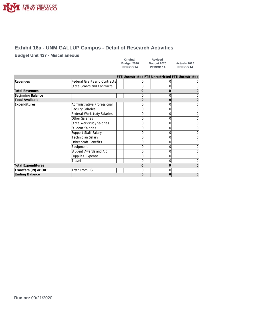

### **Exhibit 16a - UNM GALLUP Campus - Detail of Research Activities**

#### **Budget Unit 437 - Miscellaneous**

| Original    | <b>Revised</b>       |                |
|-------------|----------------------|----------------|
| Budget 2020 | Budget 2020          | <b>Actuals</b> |
| PERIOD 14   | PERIOD <sub>14</sub> | <b>PERIO</b>   |

**Budget 2020 Budget 2020 Actuals 2020 PERIOD** 14

|                           |                                     |    | FTE Unrestricted FTE Unrestricted FTE Unrestricted |                |
|---------------------------|-------------------------------------|----|----------------------------------------------------|----------------|
| Revenues                  | <b>Federal Grants and Contracts</b> | ΩI |                                                    | $\overline{0}$ |
|                           | <b>State Grants and Contracts</b>   | 0  |                                                    | $\Omega$       |
| <b>Total Revenues</b>     |                                     |    |                                                    |                |
| Beginning Balance         |                                     | 0  |                                                    | ΩI             |
| <b>Total Available</b>    |                                     |    |                                                    |                |
| <b>Expenditures</b>       | Administrative Professional         | 0  |                                                    | $\overline{0}$ |
|                           | <b>Faculty Salaries</b>             | 0  |                                                    | $\overline{0}$ |
|                           | Federal Workstudy Salaries          |    |                                                    | $\Omega$       |
|                           | Other Salaries                      | 0  | ი                                                  | $\overline{0}$ |
|                           | State Workstudy Salaries            | 0  |                                                    | $\overline{0}$ |
|                           | Student Salaries                    | 0  |                                                    | $\overline{0}$ |
|                           | Support Staff Salary                | በ  |                                                    | $\overline{0}$ |
|                           | <b>Technician Salary</b>            | 0  |                                                    | $\overline{0}$ |
|                           | <b>Other Staff Benefits</b>         | 0  |                                                    | $\overline{0}$ |
|                           | Equipment                           |    |                                                    | $\Omega$       |
|                           | Student Awards and Aid              | 0  |                                                    | $\overline{0}$ |
|                           | Supplies_Expense                    | 0  | ი                                                  | $\overline{0}$ |
|                           | Travel                              | 0  |                                                    | $\Omega$       |
| <b>Total Expenditures</b> |                                     |    |                                                    |                |
| Transfers (IN) or OUT     | Trsfr From I G                      | 0  |                                                    | $\overline{0}$ |
| <b>Ending Balance</b>     |                                     |    | 0                                                  |                |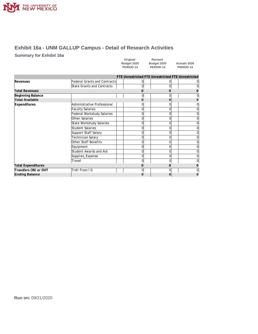

### **Exhibit 16a - UNM GALLUP Campus - Detail of Research Activities**

#### **Summary for Exhibit 16a**

| Original    | Revised              |                      |
|-------------|----------------------|----------------------|
| Budget 2020 | Budget 2020          | <b>Actuals 2020</b>  |
| PERIOD 14   | PERIOD <sub>14</sub> | PERIOD <sub>14</sub> |

|                           |                                     |                | FTE Unrestricted FTE Unrestricted FTE Unrestricted |   |
|---------------------------|-------------------------------------|----------------|----------------------------------------------------|---|
| Revenues                  | <b>Federal Grants and Contracts</b> |                |                                                    |   |
|                           | State Grants and Contracts          | 0              | U                                                  | 0 |
| <b>Total Revenues</b>     |                                     |                |                                                    | Ω |
| Beginning Balance         |                                     | 0              |                                                    |   |
| <b>Total Available</b>    |                                     |                |                                                    | 0 |
| <b>Expenditures</b>       | Administrative Professional         |                |                                                    |   |
|                           | <b>Faculty Salaries</b>             |                |                                                    | 0 |
|                           | Federal Workstudy Salaries          | O              |                                                    | 0 |
|                           | Other Salaries                      | 0              |                                                    | 0 |
|                           | State Workstudy Salaries            | 0              | 0                                                  | 0 |
|                           | Student Salaries                    |                |                                                    | 0 |
|                           | Support Staff Salary                | 0              | U                                                  | 0 |
|                           | Technician Salary                   | 0              |                                                    | 0 |
|                           | Other Staff Benefits                |                |                                                    | 0 |
|                           | Equipment                           | 0              | U                                                  | 0 |
|                           | Student Awards and Aid              | 0              | U                                                  | 0 |
|                           | Supplies_Expense                    | 0              |                                                    |   |
|                           | Travel                              | 0              |                                                    |   |
| <b>Total Expenditures</b> |                                     |                |                                                    |   |
| Transfers (IN) or OUT     | Trsfr From I G                      | $\overline{0}$ |                                                    |   |
| <b>Ending Balance</b>     |                                     |                |                                                    |   |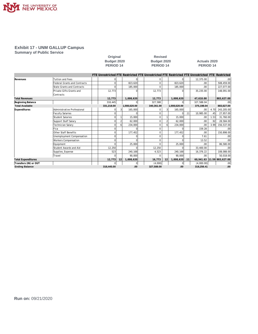

**Summary of Public Service**

|                           |                                     | Budget 2020                                                                                     |    |                | Budget 2020      |    |               |     | <b>Actuals 2020</b> |      |                            |
|---------------------------|-------------------------------------|-------------------------------------------------------------------------------------------------|----|----------------|------------------|----|---------------|-----|---------------------|------|----------------------------|
|                           |                                     | <b>PERIOD 14</b>                                                                                |    |                | <b>PERIOD 14</b> |    |               |     | PERIOD 14           |      |                            |
|                           |                                     | FTE Unrestricted FTE Restricted FTE Unrestricted FTE Restricted FTE Unrestricted FTE Restricted |    |                |                  |    |               |     |                     |      |                            |
| Revenues                  | <b>Tuition and Fees</b>             |                                                                                                 |    | $\Omega$       | 0                |    |               |     | 12.375.00           |      | .00                        |
|                           | <b>Federal Grants and Contracts</b> |                                                                                                 |    | 823,620        | $\mathbf 0$      |    | 823,620       |     | .00.                |      | 508,459.00                 |
|                           | <b>State Grants and Contracts</b>   |                                                                                                 |    | 185,000        | $\Omega$         |    | 185,000       |     | .00                 |      | 227,077.00                 |
|                           | Private Gifts Grants and            | 12,773                                                                                          |    | O              | 12,773           |    |               |     | 35,235.00           |      | 148.091.00                 |
|                           | Contracts                           |                                                                                                 |    |                |                  |    |               |     |                     |      |                            |
| <b>Total Revenues</b>     |                                     | 12.773                                                                                          |    | 1,008,620      | 12,773           |    | 1,008,620     |     | 47.610.00           |      | 883,627.00                 |
| Beginning Balance         |                                     | 318,445                                                                                         |    | $\overline{0}$ | 327.588          |    | 0             |     | 327.588.04          |      | .00                        |
| <b>Total Available</b>    |                                     | 331,218.00                                                                                      |    | 1,008,620.00   | 340,361.00       |    | 1,008,620.00  |     | 375,198.04          |      | 883,627.00                 |
| Expenditures              | Administrative Professional         |                                                                                                 |    | 165,000        | 0                |    | 165,000       |     | $.00 \,$            | 4.70 | 243,205.00                 |
|                           | <b>Faculty Salaries</b>             | $\Omega$                                                                                        |    | $\Omega$       | $\mathbf 0$      |    |               | .11 | 10,985.00           | .45  | 27,957.00                  |
|                           | <b>Student Salaries</b>             |                                                                                                 |    | 15,000         | $\mathbf 0$      |    | 15,000        |     | .00.                | 1.53 | 31,760.00                  |
|                           | Support Staff Salary                |                                                                                                 |    | 62,000         | 0                |    | 62,000        |     | .00                 | .92  | 28,584.00                  |
|                           | Technician Salary                   | O                                                                                               |    | 234,000        | $\mathbf 0$      |    | 234,000       |     | .00.                | 3.99 | 156,537.00                 |
|                           | Fica                                |                                                                                                 |    | $\Omega$       | $\mathbf 0$      |    |               |     | 159.28              |      | .00                        |
|                           | Other Staff Benefits                |                                                                                                 |    | 177,452        | $\mathbf 0$      |    | 177,452       |     | .00                 |      | 150,898.00                 |
|                           | Unemployment Compensation           | C                                                                                               |    | $\Omega$       | $\mathbf 0$      |    |               |     | 7.61                |      | .00                        |
|                           | <b>Workers Compensation</b>         | $\cap$                                                                                          |    |                | $\mathbf 0$      |    |               |     | 13.52               |      | .00                        |
|                           | Equipment                           |                                                                                                 |    | 25,000         | $\Omega$         |    | 25,000        |     | .00.                |      | 86,580.00                  |
|                           | Student Awards and Aid              | 12,250                                                                                          |    | $\cap$         | 12,250           |    |               |     | 33,400.00           |      | .00                        |
|                           | Supplies Expense                    | 523                                                                                             |    | 240,168        | 4,523            |    | 240,168       |     | 16,376.22           |      | 108,088.00                 |
|                           | Travel                              | $\Omega$                                                                                        |    | 90.000         | $\Omega$         |    | 90,000        |     | .00.                |      | 50,018.00                  |
| <b>Total Expenditures</b> |                                     | 12,773                                                                                          | 12 | 1,008,620      | 16,773           | 12 | 1,008,620 .11 |     |                     |      | 60,941.63 11.59 883,627.00 |
| Transfers (IN) or OUT     |                                     | $\mathbf 0$                                                                                     |    | $\overline{0}$ | (4,000)          |    | $\mathbf 0$   |     | (4,000.00)          |      | .00                        |

**Ending Balance 318,445.00 .00 327,588.00 .00 318,256.41 .00**

**Original Revised**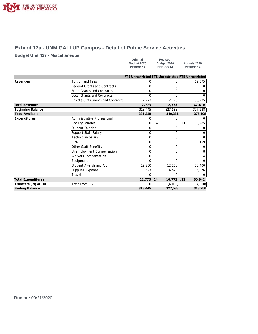

### **Exhibit 17a - UNM GALLUP Campus - Detail of Public Service Activities**

#### **Budget Unit 437 - Miscellaneous**

| Original             | <b>Revised</b>       |                      |
|----------------------|----------------------|----------------------|
| Budget 2020          | Budget 2020          | <b>Actuals 2020</b>  |
| PERIOD <sub>14</sub> | PERIOD <sub>14</sub> | PERIOD <sub>14</sub> |

|                           |                                     | FTE Unrestricted FTE Unrestricted FTE Unrestricted |     |         |     |              |
|---------------------------|-------------------------------------|----------------------------------------------------|-----|---------|-----|--------------|
| Revenues                  | <b>Tuition and Fees</b>             |                                                    |     | 0       |     | 12,375       |
|                           | <b>Federal Grants and Contracts</b> |                                                    |     | 0       |     |              |
|                           | State Grants and Contracts          |                                                    |     | 0       |     |              |
|                           | <b>Local Grants and Contracts</b>   |                                                    |     | U       |     | <sup>0</sup> |
|                           | Private Gifts Grants and Contracts  | 12,773                                             |     | 12,773  |     | 35,235       |
| <b>Total Revenues</b>     |                                     | 12,773                                             |     | 12,773  |     | 47,610       |
| Beginning Balance         |                                     | 318,445                                            |     | 327,588 |     | 327,588      |
| <b>Total Available</b>    |                                     | 331,218                                            |     | 340,361 |     | 375,198      |
| Expenditures              | Administrative Professional         |                                                    |     |         |     |              |
|                           | <b>Faculty Salaries</b>             |                                                    | .14 | 0       | .11 | 10,985       |
|                           | Student Salaries                    |                                                    |     | 0       |     |              |
|                           | Support Staff Salary                |                                                    |     | 0       |     |              |
|                           | Technician Salary                   |                                                    |     | 0       |     |              |
|                           | Fica                                |                                                    |     | 0       |     | 159          |
|                           | Other Staff Benefits                |                                                    |     | 0       |     |              |
|                           | Unemployment Compensation           |                                                    |     | 0       |     | 8            |
|                           | <b>Workers Compensation</b>         |                                                    |     | 0       |     | 14           |
|                           | Equipment                           |                                                    |     |         |     |              |
|                           | Student Awards and Aid              | 12,250                                             |     | 12,250  |     | 33,400       |
|                           | Supplies_Expense                    | 523                                                |     | 4,523   |     | 16,376       |
|                           | Travel                              | $\Omega$                                           |     | 0       |     | 0            |
| <b>Total Expenditures</b> |                                     | 12,773.14                                          |     | 16,773  | .11 | 60,942       |
| Transfers (IN) or OUT     | Trsfr From I G                      |                                                    |     | (4,000) |     | (4,000)      |
| <b>Ending Balance</b>     |                                     | 318,445                                            |     | 327,588 |     | 318,256      |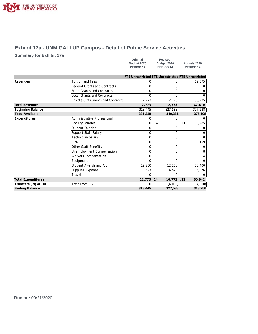

### **Exhibit 17a - UNM GALLUP Campus - Detail of Public Service Activities**

#### **Summary for Exhibit 17a**

| Original    | <b>Revised</b>       |                     |
|-------------|----------------------|---------------------|
| Budget 2020 | Budget 2020          | <b>Actuals 2020</b> |
| PERIOD 14   | PERIOD <sub>14</sub> | PERIOD 14           |

|                           |                                    | FTE Unrestricted FTE Unrestricted FTE Unrestricted |     |              |     |              |
|---------------------------|------------------------------------|----------------------------------------------------|-----|--------------|-----|--------------|
| Revenues                  | <b>Tuition and Fees</b>            | $\Omega$                                           |     | 0            |     | 12,375       |
|                           | $\Omega$                           |                                                    | 0   |              |     |              |
|                           | State Grants and Contracts         | $\Omega$                                           |     | 0            |     |              |
|                           | Local Grants and Contracts         | ∩                                                  |     | <sup>0</sup> |     | <sup>0</sup> |
|                           | Private Gifts Grants and Contracts | 12,773                                             |     | 12,773       |     | 35,235       |
| <b>Total Revenues</b>     |                                    | 12,773                                             |     | 12,773       |     | 47,610       |
| Beginning Balance         |                                    | 318,445                                            |     | 327,588      |     | 327,588      |
| <b>Total Available</b>    |                                    | 331,218                                            |     | 340,361      |     | 375,198      |
| <b>Expenditures</b>       | Administrative Professional        |                                                    |     |              |     |              |
|                           | <b>Faculty Salaries</b>            | $\Omega$                                           | .14 | 0            | .11 | 10,985       |
|                           | <b>Student Salaries</b>            | $\Omega$                                           |     | 0            |     |              |
|                           | Support Staff Salary               |                                                    |     | 0            |     |              |
|                           | Technician Salary                  | n                                                  |     | 0            |     |              |
|                           | Fica                               |                                                    |     | 0            |     | 159          |
|                           | Other Staff Benefits               | n                                                  |     | 0            |     |              |
|                           | Unemployment Compensation          |                                                    |     | 0            |     | 8            |
|                           | Workers Compensation               |                                                    |     | 0            |     | 14           |
|                           | Equipment                          |                                                    |     |              |     |              |
|                           | Student Awards and Aid             | 12,250                                             |     | 12,250       |     | 33,400       |
|                           | Supplies_Expense                   | 523                                                |     | 4,523        |     | 16,376       |
|                           | Travel                             | ∩                                                  |     | 0            |     |              |
| <b>Total Expenditures</b> |                                    | 12,773.14                                          |     | 16,773       | .11 | 60,942       |
| Transfers (IN) or OUT     | Trsfr From I G                     |                                                    |     | (4,000)      |     | (4,000)      |
| <b>Ending Balance</b>     |                                    | 318,445                                            |     | 327,588      |     | 318,256      |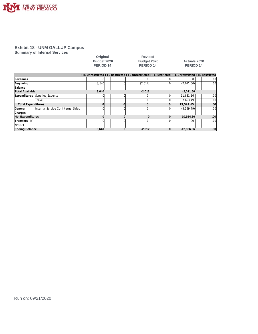

**Summary of Internal Services**

|                           |                                     | Original                        |                | <b>Revised</b>                  |          |                                                                                                 |                  |  |
|---------------------------|-------------------------------------|---------------------------------|----------------|---------------------------------|----------|-------------------------------------------------------------------------------------------------|------------------|--|
|                           |                                     | Budget 2020<br><b>PERIOD 14</b> |                | Budget 2020<br><b>PERIOD 14</b> |          | <b>Actuals 2020</b><br>PERIOD <sub>14</sub>                                                     |                  |  |
|                           |                                     |                                 |                |                                 |          |                                                                                                 |                  |  |
|                           |                                     |                                 |                |                                 |          |                                                                                                 |                  |  |
|                           |                                     |                                 |                |                                 |          | FTE Unrestricted FTE Restricted FTE Unrestricted FTE Restricted FTE Unrestricted FTE Restricted |                  |  |
| Revenues                  |                                     | U                               | $\Omega$       | 0                               |          | .00.                                                                                            | .00 <sub>1</sub> |  |
| Beginning                 |                                     | 3,640                           | $\Omega$       | (2,012)                         |          | (2,011.50)                                                                                      | .00 <sub>1</sub> |  |
| Balance                   |                                     |                                 |                |                                 |          |                                                                                                 |                  |  |
| <b>Total Available</b>    |                                     | 3,640                           |                | $-2,012$                        |          | $-2,011.50$                                                                                     |                  |  |
| <b>Expenditures</b>       | Supplies_Expense                    |                                 | $\overline{0}$ | 0                               | $\Omega$ | 11,831.16                                                                                       | .00 <sub>1</sub> |  |
|                           | Travel                              | U                               | $\Omega$       | $\Omega$                        |          | 7,693.49                                                                                        | .00 <sub>1</sub> |  |
| <b>Total Expenditures</b> |                                     | $\Omega$                        | $\Omega$       | $\Omega$                        | $\Omega$ | 19,524.65                                                                                       | .00 <sub>1</sub> |  |
| General                   | Internal Service Ctr Internal Sales |                                 | $\Omega$       | 0                               |          | (8, 599.79)                                                                                     | .00 <sub>1</sub> |  |
| Charges                   |                                     |                                 |                |                                 |          |                                                                                                 |                  |  |
| <b>Net Expenditures</b>   |                                     | o                               | $\Omega$       | $\Omega$                        | $\Omega$ | 10,924.86                                                                                       | .00              |  |
| Transfers (IN)            |                                     |                                 | $\Omega$       | 0                               |          | .00.                                                                                            | .001             |  |
| lor OUT                   |                                     |                                 |                |                                 |          |                                                                                                 |                  |  |
| <b>Ending Balance</b>     |                                     | 3,640                           | $\Omega$       | $-2,012$                        | 0        | $-12,936.36$                                                                                    | .00              |  |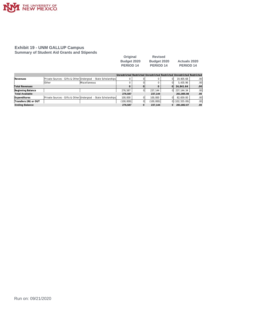

#### **Exhibit 19 - UNM GALLUP Campus Summary of Student Aid Grants and Stipends**

| Original    | <b>Revised</b> |                     |
|-------------|----------------|---------------------|
| Budget 2020 | Budget 2020    | <b>Actuals 2020</b> |
| PERIOD 14   | PERIOD 14      | PERIOD 14           |

|                        |              |                                                                |           |           |          | Unrestricted Restricted Unrestricted Restricted Unrestricted Restricted |                  |
|------------------------|--------------|----------------------------------------------------------------|-----------|-----------|----------|-------------------------------------------------------------------------|------------------|
| Revenues               |              | Private Sources - Gifts & Other Undergrad - State Scholarships |           |           | ΩI       | 19.405.68                                                               | .00              |
|                        | <b>Other</b> | Miscellaneous                                                  |           |           | ΩI       | 5.435.96                                                                | .00 <sub>1</sub> |
| <b>Total Revenues</b>  |              |                                                                |           |           | $\Omega$ | 24.841.64                                                               | .00              |
| Beginning Balance      |              |                                                                | 276.587   | 237.144   |          | 0 237.144.34                                                            | .00              |
| <b>Total Available</b> |              |                                                                | 276.587   | 237,144   |          | 261,985.98                                                              | .00              |
| Expenditures           |              | Private Sources - Gifts & Other Undergrad - State Scholarships | 100.000   | 100,000   | ΩI       | 82.659.00                                                               | .00 <sub>1</sub> |
| Transfers (IN) or OUT  |              |                                                                | (100,000) | (100,000) |          | $0$ (102,555.09)                                                        | .00 <sub>1</sub> |
| <b>Ending Balance</b>  |              |                                                                | 276.587   | 237.144   | 0        | 281.882.07                                                              | .00              |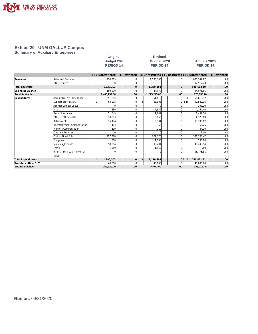

**Summary of Auxiliary Enterprises**

| Original           |
|--------------------|
| <b>Budget 2020</b> |
| <b>PERIOD 14</b>   |

**Revised PERIOD 14 PERIOD 14 PERIOD 14**

## **Budget 2020 Budget 2020 Actuals 2020**

|                           |                               | FTE Unrestricted FTE Restricted FTE Unrestricted FTE Restricted FTE Unrestricted FTE Restricted |          |   |              |          |        |             |                  |
|---------------------------|-------------------------------|-------------------------------------------------------------------------------------------------|----------|---|--------------|----------|--------|-------------|------------------|
| Revenues                  | Sales and Services            | 1,230,303                                                                                       | O        |   | 1,230,303    |          |        | 820,744.87  | .00 <sub>1</sub> |
|                           | <b>Other Sources</b>          |                                                                                                 | $\Omega$ |   |              |          |        | 107.917.23  | .00              |
| <b>Total Revenues</b>     |                               | 1,230,303                                                                                       | $\Omega$ |   | 1,230,303    | $\Omega$ |        | 928,662.10  | .00              |
| Beginning Balance         |                               | 169,929                                                                                         | $\Omega$ |   | 44.972       | 0        |        | 44.971.66   | .00              |
| <b>Total Available</b>    |                               | 1,400,232.00                                                                                    | .00      |   | 1,275,275.00 | .00      |        | 973,633.76  | .00              |
| Expenditures              | Administrative Professional   | 51,615                                                                                          | 0        |   | 51,615       |          | 0 1.00 | 51,615.12   | .00              |
|                           | Support Staff Salary          | 63,908                                                                                          | $\Omega$ |   | 63.908       |          | 012.10 | 42,589.16   | .00              |
|                           | <b>Accrued Annual Leave</b>   |                                                                                                 | $\Omega$ |   |              |          |        | 297.20      | .00              |
|                           | Fica                          | 7,839                                                                                           | $\Omega$ |   | 7,839        |          |        | 7.164.40    | .00              |
|                           | Group Insurance               | 11.649                                                                                          | $\Omega$ |   | 11.649       |          |        | 1.497.36    | .00              |
|                           | Other Staff Benefits          | 10,853                                                                                          | O        |   | 10.853       |          |        | 4.325.69    | .00              |
|                           | Retirement                    | 15,134                                                                                          | $\Omega$ |   | 15,134       |          |        | 13,330.02   | .00              |
|                           | Unemployment Compensation     | 163                                                                                             | $\Omega$ |   | 163          |          |        | 66.26       | .00              |
|                           | Workers Compensation          | 110                                                                                             | $\Omega$ |   | 110          |          |        | 84.20       | .00              |
|                           | <b>Contract Services</b>      |                                                                                                 | $\Omega$ |   |              |          |        | 18.00       | .00              |
|                           | Cost of Good Sold             | 927,378                                                                                         | $\Omega$ |   | 927,378      |          |        | 581,768.47  | .00              |
|                           | Equipment                     | 1.500                                                                                           | $\Omega$ |   | 1.500        |          |        | 198.00      | .00              |
|                           | Supplies Expense              | 98.204                                                                                          | $\Omega$ |   | 98.204       |          |        | 46.240.94   | .00              |
|                           | Travel                        | 1,950                                                                                           | $\Omega$ |   | 1,950        |          |        | .00         | .00              |
|                           | Internal Service Ctr Internal |                                                                                                 | $\Omega$ |   |              |          |        | (8, 773.51) | .00              |
|                           | Sales                         |                                                                                                 |          |   |              |          |        |             |                  |
| <b>Total Expenditures</b> |                               | 1,190,303                                                                                       | 0        | 3 | 1,190,303    |          | 0 3.10 | 740.421.31  | .00              |
| Transfers (IN) or OUT     |                               | 40,000                                                                                          | $\Omega$ |   | 40,000       |          |        | 40,000.00   | .00              |
| <b>Ending Balance</b>     |                               | 169.929.00                                                                                      | .00      |   | 44.972.00    | .00      |        | 193.212.45  | .00              |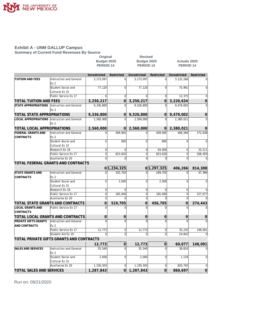

#### **Exhibit A - UNM GALLUP Campus Summary of Current Fund Revenues By Source**

**Original Revised Budget 2020 Budget 2020 Actuals 2020** PERIOD 14 PERIOD 14 PERIOD 14 **Unrestricted Restricted Unrestricted Restricted Unrestricted Restricted TUITION AND FEES** | Instruction and General | 3,173,097 0 3,173,097 0 3,132,268 0 0 Ex 2 Student Social and 77,120 0 77,120 0 75,991 0 Cultural Ex 15 Public Service Ex 17 0 0 0 0 12,375 0 **TOTAL TUITION AND FEES 3,250,217 0 3,250,217 0 3,220,634 0 STATE APPROPRIATIONS** Instruction and General  $\begin{vmatrix} 9,336,800 \\ 9,336,800 \end{vmatrix}$  0 9,526,800 0 9,479,002 0 Ex 2 **TOTAL STATE APPROPRIATIONS 9,336,800 0 9,526,800 0 9,479,002 0 LOCAL APPROPRIATIONS** Instruction and General 2,560,000 0 2,560,000 0 2,380,021 0 Ex 2 **TOTAL LOCAL APPROPRIATIONS 2,560,000 0 2,560,000 0 2,380,021 0 FEDERAL GRANTS AND** Instruction and General 0 409,905 0 409,905 406,266 272,638 **CONTRACTS** Ex 2 Student Social and 0 800 0 800 0 0 Cultural Ex 15 Research Ex 16  $\overline{0}$  0 0 0 63,000 0 33,211 Public Service Ex 17  $\begin{vmatrix} 0 & 823,620 & 0 & 823,620 \end{vmatrix}$  823,620 0 508,459 Auxiliaries Ex 20 0 0 0 0 0 0 **TOTAL FEDERAL GRANTS AND CONTRACTS 0 1,234,325 0 1,297,325 406,266 814,308 STATE GRANTS AND** Instruction and General 0 332,705 0 269,705 0 47,366 **CONTRACTS** Ex 2 Student Social and  $\begin{vmatrix} 0 & 2,000 & 0 \\ 0 & 2,000 & 0 \end{vmatrix}$  0 0 0 0 Cultural Ex 15 Research Ex 16  $\begin{vmatrix} 0 & 0 & 0 & 0 \end{vmatrix}$  0 0 0 0 0 0 Public Service Ex 17 0 185,000 0 185,000 0 227,077 Auxiliaries Ex 20  $\begin{vmatrix} 0 & 0 & 0 & 0 \\ 0 & 0 & 0 & 0 \\ 0 & 0 & 0 & 0 \end{vmatrix}$  0 **TOTAL STATE GRANTS AND CONTRACTS 0 519,705 0 456,705 0 274,443 LOCAL GRANTS AND** Public Service Ex 17 0 0 0 0 0 0 **CONTRACTS TOTAL LOCAL GRANTS AND CONTRACTS 0 0 0 0 0 0 PRIVATE GIFTS GRANTS** Instruction and General 0 0 0 0 0 0 AND CONTRACTS Ex 2 Public Service Ex 17 12,773 0 12,773 0 35,235 148,091 Student Aid Ex 19 0 0 0 0 0 24,842 0 **TOTAL PRIVATE GIFTS GRANTS AND CONTRACTS 12,773 0 12,773 0 60,077 148,091 SALES AND SERVICES** Instruction and General 55,540 0 55,540 0 55,540 0 38,824 0 Ex 2 Student Social and 2,000 0 2,000 0 1,129 0 2,000 0 1,129 0 0 1,129 0 0 1,129 0 0 1,129 0 0 1,129 0 0 1,129 0 0 Cultural Ex 15 Auxiliaries Ex 20 1,230,303 0 1,230,303 0 820,745 0 **TOTAL SALES AND SERVICES 1,287,843 0 1,287,843 0 860,697 0**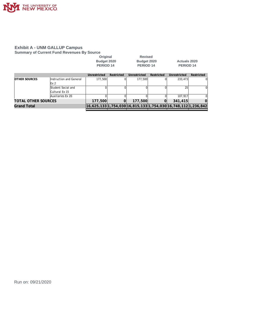

#### **Exhibit A - UNM GALLUP Campus Summary of Current Fund Revenues By Source**

|                            |                         | Original<br>Budget 2020<br><b>PERIOD 14</b> |            | <b>Revised</b><br>Budget 2020<br>PERIOD <sub>14</sub> |            | Actuals 2020<br>PERIOD <sub>14</sub>                           |            |
|----------------------------|-------------------------|---------------------------------------------|------------|-------------------------------------------------------|------------|----------------------------------------------------------------|------------|
|                            |                         | Unrestricted                                | Restricted | Unrestricted                                          | Restricted | Unrestricted                                                   | Restricted |
| IOTHER SOURCES             | Instruction and General | 177.500                                     | ΩI         | 177.500                                               |            | 233.473                                                        | $\Omega$   |
|                            | Ex <sub>2</sub>         |                                             |            |                                                       |            |                                                                |            |
|                            | Student Social and      |                                             |            |                                                       |            | 25                                                             | $\Omega$   |
|                            | Cultural Ex 15          |                                             |            |                                                       |            |                                                                |            |
|                            | Auxiliaries Ex 20       |                                             |            |                                                       |            | 107.917                                                        |            |
| <b>TOTAL OTHER SOURCES</b> |                         | 177,500                                     | 0          | 177,500                                               | 0          | 341,415                                                        | 0          |
| Grand Total                |                         |                                             |            |                                                       |            | 16,625,133 1,754,030 16,815,133 1,754,030 16,748,112 1,236,842 |            |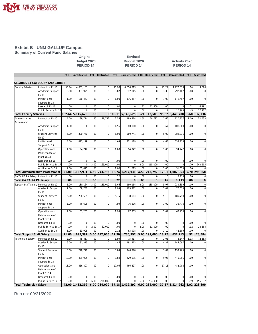

**Summary of Current Fund Salaries**

#### Original Revised<br>Budget 2020 **Budget 2020 Budget 2020 Budget 2020 Actuals 2020 PERIOD 14 PERIOD 14 PERIOD 14**

|                                        |                                          | FTE              | Unrestricted            | <b>FTE</b>  | Restricted          | <b>FTE</b>  | Unrestricted                                                | FTE         | Restricted     | <b>FTE</b> | Unrestricted            | FTE        | Restricted     |
|----------------------------------------|------------------------------------------|------------------|-------------------------|-------------|---------------------|-------------|-------------------------------------------------------------|-------------|----------------|------------|-------------------------|------------|----------------|
|                                        |                                          |                  |                         |             |                     |             |                                                             |             |                |            |                         |            |                |
|                                        | SALARIES BY CATEGORY AND EXHIBIT         |                  |                         |             |                     |             |                                                             |             |                |            |                         |            |                |
| <b>Faculty Salaries</b>                | Instruction Ex 10                        | 95.74            | 4,607,183               | .00         | $\mathsf{O}\xspace$ | 95.90       | 4,656,313                                                   | .00         | $\mathbf 0$    | 91.21      | 4,970,073               | .04        | 3,588          |
|                                        | Academic Support                         | 5.90             | 361,975                 | .00         | $\mathsf{O}\xspace$ | 3.07        | 312,845                                                     | .00         | $\mathbf 0$    | 3.30       | 292,182                 | .00.       | $\mathbf 0$    |
|                                        | Ex 11                                    |                  |                         |             |                     |             |                                                             |             |                |            |                         |            |                |
|                                        | Institutional                            | 1.00             | 176,467                 | .00         | $\mathbf{0}$        | 1.00        | 176,467                                                     | .00         | $\mathbf 0$    | 1.00       | 176,467                 | .00.       | $\mathbf 0$    |
|                                        | Support Ex 13                            |                  |                         |             |                     |             |                                                             |             |                |            |                         |            |                |
|                                        | Research Ex 16                           | 00               | $\mathbf 0$             | .00         | $\bf 0$             | .00         | $\mathsf{O}\xspace$                                         | .21         | 12,500         | 00         | $\Omega$                | .11        | 6,191          |
|                                        | Public Service Ex 17                     | .00              | $\Omega$                | .00         | $\mathbf{0}$        | .14         | $\Omega$                                                    | .00         | $\Omega$       | .11        | 10,985                  | .45        | 27,957         |
| <b>Total Faculty Salaries</b>          |                                          |                  | 102.64 5,145,625        | .00         |                     | 0 100.11    | 5,145,625                                                   | .21         | 12,500         |            | 95.62 5,449,708         | .60        | 37,736         |
| Administrative                         | Instruction Ex 10                        | 4.00             | 189,714                 | 1.50        | 78,792              | 2.55        | 189,714                                                     | 1.50        | 78,792         | 2.66       | 120,137                 | 1.00       | 52,453         |
| Professional                           |                                          |                  |                         |             |                     |             |                                                             |             |                |            |                         |            |                |
|                                        | Academic Support                         | 1.00             | $\mathbf 0$             | .00         | $\overline{0}$      | 1.56        | 80,000                                                      | .00         | $\overline{0}$ | 1.67       | 101,000                 | .00        | $\overline{0}$ |
|                                        | Ex 11                                    |                  |                         |             |                     |             |                                                             |             |                |            |                         |            |                |
|                                        | <b>Student Services</b>                  | 6.00             | 380,741                 | .00         | $\mathbf 0$         | 6.00        | 380,741                                                     | .00         | $\mathbf 0$    | 6.00       | 382,331                 | .00.       | $\mathbf 0$    |
|                                        | Ex 12                                    |                  |                         |             |                     |             |                                                             |             |                |            |                         |            |                |
|                                        | Institutional                            | 8.00             | 421,119                 | .00         | $\mathbf{0}$        | 4.63        | 421,119                                                     | .00         | $\mathbf 0$    | 4.68       | 333,138                 | .00        | $\overline{0}$ |
|                                        | Support Ex 13                            |                  |                         |             |                     |             |                                                             |             |                |            |                         |            |                |
|                                        | Operations and                           | 1.00             | 94,742                  | .00         | $\Omega$            | 1.00        | 94,742                                                      | .00         | $\Omega$       | 1.00       | 94,742                  | .00        | $\Omega$       |
|                                        | Maintenance of                           |                  |                         |             |                     |             |                                                             |             |                |            |                         |            |                |
|                                        | Plant Ex 14                              |                  |                         |             |                     |             |                                                             |             |                |            |                         |            |                |
|                                        | Research Ex 16                           | .00              | $\mathbf 0$             | .00         | $\mathbf{0}$        | .00         | $\overline{0}$                                              | .00         | $\mathbf 0$    | .00        | $\mathbf 0$             | .00        | $\Omega$       |
|                                        | Public Service Ex 17                     | .00              | $\overline{0}$          | 3.00        | 165,000             | .00         | $\overline{0}$                                              | 3.00        | 165,000        | .00        | $\overline{0}$          | 4.70       | 243,205        |
|                                        | Auxiliaries Ex 20                        | 1.00             | 51,615                  | .00         |                     | 1.00        | 51,615                                                      | .00         | $\mathbf 0$    | 1.00       | 51,615                  | .00        |                |
|                                        | <b>Total Administrative Professional</b> | 21.00            | 1,137,931               | 4.50        | 243,792             | 16.74       | 1,217,931                                                   | 4.50        | 243.792        | 17.01      | 1,082,963               | 5.70       | 295,658        |
| GA TA RA PA Salary Instruction Ex 10   |                                          | .00              | $\mathbf 0$             | .00         | $\mathbf{O}$        | .22         | $\mathbf 0$                                                 | .00         | $\mathbf 0$    | .16        | 8.133                   | .00        | $\mathbf 0$    |
| Total GA TA RA PA Salary               |                                          | .00              | $\mathbf 0$             | .00         | $\overline{O}$      | .22         | $\overline{0}$                                              | .00         | $\overline{0}$ | .16        | 8,133                   | .00        | $\overline{O}$ |
|                                        |                                          | 5.00             | 180,164                 | 3.00        | 135,000             | 5.66        | 180,164                                                     | 3.00        | 135,000        | 5.97       | 239,859                 | .00        | $\mathbf 0$    |
| Support Staff Salary Instruction Ex 10 |                                          | 2.00             | 68,782                  | .00         | $\mathbf{0}$        | 1.99        | 103,782                                                     | .00         | $\mathbf 0$    | 2.01       |                         | .00        | $\mathbf 0$    |
|                                        | Academic Support                         |                  |                         |             |                     |             |                                                             |             |                |            | 70,630                  |            |                |
|                                        | Ex 11                                    |                  |                         |             |                     |             |                                                             |             |                |            |                         |            |                |
|                                        | <b>Student Services</b>                  | 6.00             | 238,684                 | .00         | $\mathsf{O}\xspace$ | 5.15        | 238,684                                                     | .00         | $\mathbf 0$    | 5.18       | 180,749                 | .00        | $\mathbf 0$    |
|                                        | Ex 12                                    |                  |                         |             |                     |             |                                                             |             |                |            |                         |            |                |
|                                        | Institutional                            | 3.00             | 76,606                  | .00         | $\mathbf 0$         | .99         | 76,606                                                      | .00         | $\mathbf 0$    | 1.00       | 35,476                  | .00        | $\mathbf 0$    |
|                                        | Support Ex 13                            |                  |                         |             |                     |             |                                                             |             |                |            |                         |            |                |
|                                        | Operations and                           | 2.00             | 67,253                  | .00         | $\mathbf 0$         | 1.99        | 67,253                                                      | .00         | $\overline{0}$ | 2.01       | 67,910                  | .00        | $\Omega$       |
|                                        | Maintenance of                           |                  |                         |             |                     |             |                                                             |             |                |            |                         |            |                |
|                                        | Plant Ex 14                              |                  |                         |             |                     |             |                                                             |             |                |            |                         |            |                |
|                                        | Research Ex 16                           | .00              | $\mathbf 0$<br>$\Omega$ | .00         | $\mathbf{0}$        | .00         | $\mathbf 0$                                                 | .00         | $\mathbf 0$    | .00        | $\mathbf 0$<br>$\Omega$ | .00        | $\Omega$       |
|                                        | Public Service Ex 17                     | 00               |                         | 2.00<br>.00 | 62,000              | .00<br>2.12 | $\overline{0}$                                              | 2.00<br>.00 | 62,000         | 00<br>2.10 | 42.589                  | .92<br>.00 | 28,584         |
|                                        | Auxiliaries Ex 20                        | 3.00             | 63,908                  |             |                     |             | 63,908                                                      |             | $\Omega$       |            |                         |            |                |
| <b>Total Support Staff Salary</b>      |                                          | 21.00            | 695,397                 | 5.00        | 197,000             | 17.90       | 730,397                                                     | 5.00        | 197,000        | 18.27      | 637,213                 | .92        | 28,584         |
| Technician Salary                      | Instruction Ex 10                        | 2.00             | 75,417                  | .00         | $\bf 0$             | 1.99        | 75,417                                                      | .00         | $\pmb{0}$      | 2.01       | 78,147                  | 1.93       | 72,353         |
|                                        | Academic Support                         | 6.00             | 191,313                 | .00         | $\mathbf{0}$        | 4.46        | 191,313                                                     | .00         | $\overline{0}$ | 4.37       | 144,097                 | .00        | $\Omega$       |
|                                        | Ex 11                                    |                  |                         |             |                     |             |                                                             |             |                |            |                         |            |                |
|                                        | <b>Student Services</b>                  | 6.00             | 248,770                 | .00         | $\mathbf{0}$        | 3.84        | 248,770                                                     | .00         | $\mathbf 0$    | 3.69       | 159,265                 | .00        | $\mathbf 0$    |
|                                        | Ex 12                                    |                  |                         |             |                     |             |                                                             |             |                |            |                         |            |                |
|                                        | Institutional                            | 10.00            | 429,995                 | .00         | $\mathsf{O}\xspace$ | 9.84        | 429,995                                                     | .00         | $\mathbf 0$    | 9.95       | 449,965                 | .00        | $\mathbf 0$    |
|                                        | Support Ex 13                            |                  |                         |             |                     |             |                                                             |             |                |            |                         |            |                |
|                                        | Operations and                           | 18.00            | 466,897                 | .00         | $\mathbf{0}$        | 17.05       | 466,897                                                     | .00         | $\mathbf 0$    | 17.15      | 482,788                 | .00        | $\overline{0}$ |
|                                        | Maintenance of                           |                  |                         |             |                     |             |                                                             |             |                |            |                         |            |                |
|                                        | Plant Ex 14                              |                  |                         |             |                     |             |                                                             |             |                |            |                         |            |                |
|                                        | Research Ex 16                           | .00 <sub>1</sub> | $\mathbf 0$             | .00         | $\mathbf{0}$        | .00         | $\mathbf{0}$                                                | .00         | $\Omega$       | .00        | $\mathsf 0$             | .00        |                |
|                                        | Public Service Ex 17                     | .00              | $\Omega$                | 6.00        | 234.000             | .00         | $\mathbf 0$                                                 | 6.00        | 234.000        | .00        | $\Omega$                | 3.99       | 156.537        |
| <b>Total Technician Salary</b>         |                                          |                  | 42.00 1,412,392         |             |                     |             | $6.00$ 234,000 37.18 1,412,392 6.00 234,000 37.17 1,314,262 |             |                |            |                         |            | 5.92 228,890   |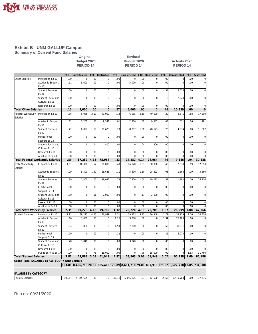

#### **Exhibit B - UNM GALLUP Campus Summary of Current Fund Salaries**

#### Original Revised<br>Budget 2020 **Budget 2020 Budget 2020 Budget 2020 Actuals 2020 PERIOD 14 PERIOD 14 PERIOD 14**

|                                       |                                              | FTE. | Unrestricted                                                                                 | <b>FTE</b> | Restricted     | <b>FTE</b> | Unrestricted   | <b>FTE</b> | Restricted     | <b>FTE</b> | Unrestricted | <b>FTE</b> | Restricted     |
|---------------------------------------|----------------------------------------------|------|----------------------------------------------------------------------------------------------|------------|----------------|------------|----------------|------------|----------------|------------|--------------|------------|----------------|
| Other Salaries                        | Instruction Ex 10                            | .00  | $\mathbf 0$                                                                                  | .00        | $\mathbf 0$    | .00        | $\mathbf 0$    | 00         | $\mathbf 0$    | .00        | $\Omega$     | .00        | $\pmb{0}$      |
|                                       | Academic Support<br>Ex 11                    | .11  | 5,000                                                                                        | .00        | $\overline{0}$ | .00        | 5,000          | .00        | $\overline{0}$ | .00        | $\Omega$     | .00        | $\mathbf 0$    |
|                                       | <b>Student Services</b><br>Ex 12             | .00  | $\mathbf 0$                                                                                  | .00        | $\mathbf 0$    | .11        | $\mathbf 0$    | .00        | $\overline{0}$ | .34        | 8,016        | .00        | $\mathbf 0$    |
|                                       | Student Social and<br>Cultural Ex 15         | .00  | $\mathbf 0$                                                                                  | .00        | $\overline{0}$ | .16        | $\overline{0}$ | .00        | $\overline{0}$ | .12        | 2,223        | .00        | $\mathbf 0$    |
|                                       | Research Ex 16                               | .00. | $\Omega$                                                                                     | .00        | $\mathbf{0}$   | .00        | $\mathbf 0$    | .00        | $\Omega$       | .00        | $\Omega$     | .00        | $\Omega$       |
| <b>Total Other Salaries</b>           |                                              | .11  | 5,000                                                                                        | .00        | $\overline{0}$ | .27        | 5,000          | .00        | $\overline{0}$ | .46        | 10,239       | .00        | $\mathbf 0$    |
| Federal Workstudv<br>Salaries         | Instruction Ex 10                            | .36  | 6,985                                                                                        | 2.10       | 40.000         | .12        | 6,985          | 2.10       | 40,000         | .20        | 3,671        | .88        | 17,390         |
|                                       | Academic Support<br>Ex 11                    | .11  | 2,200                                                                                        | .50        | 9,541          | .01        | 2,200          | .50        | 9,541          | .03        | 511          | .06        | 1,191          |
|                                       | <b>Student Services</b><br>Ex 12             | .42  | 8,097                                                                                        | 1.50       | 28,623         | .20        | 8,097          | 1.50       | 28,623         | .26        | 4,974        | .00        | 11,607         |
|                                       | Institutional<br>Support Ex 13               | .00  | $\overline{0}$                                                                               | .00        | 0              | .00        | $\mathbf 0$    | .00        | $\mathbf 0$    | .00        | $\mathbf 0$  | .00        | $\mathbf 0$    |
|                                       | Student Social and                           | .00  | $\mathbf 0$                                                                                  | .04        | 800            | .00        | $\mathbf 0$    | .04        | 800            | .00        | $\mathbf 0$  | .00        | $\mathbf 0$    |
|                                       | Cultural Ex 15<br>Research Ex 16             | .00  | $\mathbf 0$                                                                                  | .00        | 0              | .00        | $\mathbf 0$    | 00         | $\mathbf 0$    | .00        | $\mathbf 0$  | .00        | $\mathbf 0$    |
|                                       | Auxiliaries Ex 20                            | .00  | $\overline{0}$                                                                               | .00        | $\Omega$       | .00        | $\overline{0}$ | .00        | $\Omega$       | .00        | $\Omega$     | .00        | $\Omega$       |
|                                       | Total Federal Workstudy Salaries             | .89  | 17,282                                                                                       | 4.14       | 78,964         | .33        | 17,282         | 4.14       | 78,964         | .49        | 9,156        | .94        | 30,188         |
| State Workstudy<br>Salaries           | Instruction Ex 10                            | 1.67 | 16,320                                                                                       | 1.57       | 30,000         | .48        | 16,320         | 1.57       | 30,000         | .40        | 7,538        | .89        | 17,590         |
|                                       | Academic Support<br>Ex 11                    | .29  | 5,500                                                                                        | 1.50       | 28,623         | .11        | 5,500          | 1.50       | 28,623         | .08        | 1,568        | .19        | 3,660          |
|                                       | <b>Student Services</b><br>Ex 12             | .39  | 7,400                                                                                        | 1.00       | 19,082         | .73        | 7,400          | 1.00       | 19,082         | .59        | 11,192       | .00        | 26,116         |
|                                       | Institutional<br>Support Ex 13               | .00  | $\mathbf 0$                                                                                  | .00        | 0              | .00        | $\mathbf 0$    | .00        | $\overline{0}$ | .00        | $\Omega$     | .00        | $\mathbf 0$    |
|                                       | Student Social and<br>Cultural Ex 15         | .00  | $\mathbf 0$                                                                                  | .11        | 2,000          | .00        | $\mathbf 0$    | .11        | 2,000          | .00        | 0            | .00        | $\mathbf 0$    |
|                                       | Research Ex 16                               | .00  | $\mathbf 0$                                                                                  | .00        | 0              | .00        | $\bf 0$        | .00        | $\mathbf 0$    | .00        | $\mathbf 0$  | .00        | $\mathbf 0$    |
|                                       | Auxiliaries Ex 20                            | .00  | $\Omega$                                                                                     | .00        | $\Omega$       | .00        | $\Omega$       | .00        | $\Omega$       | .00        | $\Omega$     | .00        | $\mathcal{C}$  |
| <b>Total State Workstudy Salaries</b> |                                              | 2.35 | 29,220                                                                                       | 4.18       | 79,705         | 1.32       | 29,220         | 4.18       | 79,705         | 1.07       | 20,299       | 1.08       | 47,366         |
| <b>Student Salaries</b>               | Instruction Ex 10                            | 2.92 | 39,223                                                                                       | 4.25       | 36,949         | 1.71       | 39,223         | 4.25       | 36,949         | 1.79       | 33,929       | 2.16       | 34,426         |
|                                       | Academic Support<br>Ex 11                    | .16  | 3,000                                                                                        | .00        | 0              | 1.26       | 3,000          | .00        | $\mathbf 0$    | 1.34       | 25,169       | .00        | $\overline{0}$ |
|                                       | <b>Student Services</b><br>Ex 12             | .54  | 7,800                                                                                        | .00        | $\mathbf 0$    | 1.53       | 7,800          | .00        | $\overline{0}$ | 1.62       | 30,571       | .00.       | $\mathbf 0$    |
|                                       | Institutional<br>Support Ex 13               | .00  | $\Omega$                                                                                     | .00        | $\Omega$       | .32        | $\mathbf 0$    | .00        | $\overline{0}$ | .32        | 6,070        | .00        | $\Omega$       |
|                                       | Student Social and<br>Cultural Ex 15         | .20  | 3.840                                                                                        | .00        | $\overline{0}$ | .00        | 3.840          | .00        | $\overline{0}$ | .00        | $\Omega$     | .00        | $\Omega$       |
|                                       | Research Ex 16                               | .00  | $\mathbf 0$                                                                                  | .00.       | $\Omega$       | .00        | $\mathbf 0$    | .00        | $\Omega$       | .00        | $\Omega$     | .00        | $\Omega$       |
|                                       | Public Service Ex 17                         | .00  | $\mathbf 0$                                                                                  | .78        | 15,000         | .00        | $\mathbf 0$    | .78        | 15,000         | .00        | 0            | 1.53       | 31,760         |
| <b>Total Student Salaries</b>         |                                              | 3.82 | 53,863 5.03                                                                                  |            | 51,949         | 4.82       | 53,863         | 5.03       | 51,949         | 5.07       | 95,738       | 3.69       | 66,186         |
|                                       | Grand Total SALARIES BY CATEGORY AND EXHIBIT |      |                                                                                              |            |                |            |                |            |                |            |              |            |                |
|                                       |                                              |      | 193.81 8,496,710 28.85 885,410 178.89 8,611,710 29.06 897,910 175.32 8,627,710 18.85 734,608 |            |                |            |                |            |                |            |              |            |                |
|                                       |                                              |      |                                                                                              |            |                |            |                |            |                |            |              |            |                |
| SALARIES BY CATEGORY                  |                                              |      |                                                                                              |            |                |            |                |            |                |            |              |            |                |

Faculty Salaries 102.64 5,145,625 .00 0 100.11 5,145,625 .21 12,500 95.62 5,449,708 .60 37,736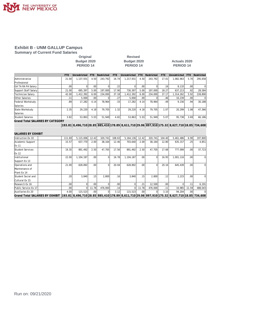

#### **Exhibit B - UNM GALLUP Campus Summary of Current Fund Salaries**

## **Original Revised**

#### **Budget 2020 Budget 2020 Actuals 2020 PERIOD 14 PERIOD 14 PERIOD 14**

|                         | <b>FTE</b>       | Unrestricted | FTF. | Restricted | FTF   | Unrestricted | FTF              | Restricted | FTF              | Unrestricted | FTF.             | Restricted |
|-------------------------|------------------|--------------|------|------------|-------|--------------|------------------|------------|------------------|--------------|------------------|------------|
| lAdministrative         | 21.00            | 1.137.931    | 4.50 | 243.792    | 16.74 | 1.217.931    | 4.50             | 243.792    | 17.01            | 1.082.963    | 5.70             | 295,658    |
| Professional            |                  |              |      |            |       |              |                  |            |                  |              |                  |            |
| GA TA RA PA Salary      | .00 <sub>1</sub> |              | .001 |            | .22   |              | .00.             |            | .16 <sub>l</sub> | 8.133        | .00              |            |
| Support Staff Salary    | 21.00            | 695.397      | 5.00 | 197.000    | 17.90 | 730.397      | 5.00             | 197.000    | 18.27            | 637.213      | .92              | 28,584     |
| Technician Salarv       | 42.00            | .412.392     | 6.00 | 234.000    | 37.18 | 1.412.392    | 6.00             | 234.000    | 37.17            | 1.314.262    | 5.92             | 228,890    |
| Other Salaries          | .11              | 5.000        | .00  |            | .27   | 5.000        | .00 <sub>1</sub> |            | .46              | 10.239       | .00 <sub>1</sub> | $\Omega$   |
| Federal Workstudv       | .89              | 17.282       | 4.14 | 78.964     | .331  | 17.282       | 4.14             | 78.964     | .49              | 9.156        | .94              | 30.188     |
| Salaries                |                  |              |      |            |       |              |                  |            |                  |              |                  |            |
| State Workstudy         | 2.35             | 29.220       | 4.18 | 79.705     | 1.32  | 29.220       | 4.18             | 79.705     | 1.07             | 20.299       | 1.08             | 47,366     |
| Salaries                |                  |              |      |            |       |              |                  |            |                  |              |                  |            |
| <b>Student Salaries</b> | 3.82             | 53,863       | 5.03 | 51,949     | 4.82  | 53,863       | 5.03             | 51,949     | 5.07             | 95,738       | 3.69             | 66,186     |

**Grand Total SALARIES BY CATEGORY**

**193.81 8,496,710 28.85 885,410 178.89 8,611,710 29.06 897,910 175.32 8,627,710 18.85 734,608**

| SALARIES BY EXHIBIT                    |        |                                                                                                    |                  |          |        |             |                  |         |                  |           |       |          |
|----------------------------------------|--------|----------------------------------------------------------------------------------------------------|------------------|----------|--------|-------------|------------------|---------|------------------|-----------|-------|----------|
| Instruction Ex 10                      | 111.69 | 5,115,006                                                                                          | 12.42            | 320.741  | 108.63 | 5, 164, 136 | 12.42            | 320.741 | 104.40           | 5,461,486 | 6.90  | 197,800  |
| Academic Support                       | 15.57  | 637,770                                                                                            | 2.00             | 38.164   | 12.46  | 703,640     | 2.00             | 38,164  | 12.80            | 635,157   | .25   | 4,851    |
| Ex 11                                  |        |                                                                                                    |                  |          |        |             |                  |         |                  |           |       |          |
| <b>IStudent Services</b>               | 19.35  | 891,492                                                                                            | 2.50             | 47.705   | 17.56  | 891,492     | 2.50             | 47.705  | 17.68            | 777.099   | .00   | 37,723   |
| Ex 12                                  |        |                                                                                                    |                  |          |        |             |                  |         |                  |           |       |          |
| Institutional                          | 22.00  | 1,104,187                                                                                          | .00 <sub>l</sub> | $\Omega$ | 16.78  | 1,104,187   | .00 <sub>1</sub> |         | 16.95            | 1,001,116 | .00   | $\Omega$ |
| Support Ex 13                          |        |                                                                                                    |                  |          |        |             |                  |         |                  |           |       |          |
| Operations and                         | 21.00  | 628.892                                                                                            | .00 <sub>l</sub> | $\Omega$ | 20.04  | 628.892     | .00 <sub>1</sub> |         | 20.16            | 645.439   | .00   | $\Omega$ |
| Maintenance of                         |        |                                                                                                    |                  |          |        |             |                  |         |                  |           |       |          |
| Plant Ex 14                            |        |                                                                                                    |                  |          |        |             |                  |         |                  |           |       |          |
| Student Social and                     | . 20   | 3,840                                                                                              | .15              | 2,800    | .16    | 3,840       | .15              | 2,800   | .12              | 2,223     | .00   | $\Omega$ |
| Cultural Ex 15                         |        |                                                                                                    |                  |          |        |             |                  |         |                  |           |       |          |
| Research Ex 16                         | .00    |                                                                                                    | .00 <sub>1</sub> |          | .00    |             | .21              | 12.500  | .00 <sub>1</sub> |           | .11   | 6,191    |
| Public Service Ex 17                   | .00    | $\Omega$                                                                                           | 11.78            | 476.000  | .14    |             | 11.78            | 476.000 | .11              | 10.985    | 11.59 | 488,043  |
| Auxiliaries Ex 20                      | 4.00   | 115,523                                                                                            | .00              |          | 3.12   | 115,523     | .00 <sub>1</sub> |         | 3.10             | 94,204    | .00   |          |
| <b>Grand Total SALARIES BY EXHIBIT</b> |        | 193.81  8,496,710 28.85  885,410 178.89  8,611,710 29.06  897,910 175.32  8,627,710 18.85  734,608 |                  |          |        |             |                  |         |                  |           |       |          |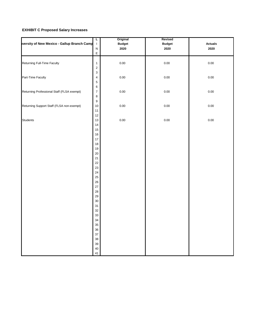#### **EXHIBIT C Proposed Salary Increases**

| versity of New Mexico - Gallup Branch Camp | L<br>$\mathbf{I}$                                                                           | Original<br><b>Budget</b> | Revised<br><b>Budget</b> | <b>Actuals</b> |
|--------------------------------------------|---------------------------------------------------------------------------------------------|---------------------------|--------------------------|----------------|
|                                            | ${\sf N}$<br>$\mathsf{E}% _{0}\left( t\right) \equiv\mathsf{E}_{\mathrm{H}}\left( t\right)$ | 2020                      | 2020                     | 2020           |
| Returning Full-Time Faculty                | $\mathbf{1}$<br>$\overline{\mathbf{c}}$                                                     | 0.00                      | $0.00\,$                 | 0.00           |
| Part-Time Faculty                          | 3<br>$\overline{4}$<br>5                                                                    | 0.00                      | $0.00\,$                 | $0.00\,$       |
| Returning Professional Staff (FLSA exempt) | $\mathbf 6$<br>$\overline{7}$<br>$\bf8$                                                     | $0.00\,$                  | $0.00\,$                 | 0.00           |
| Returning Support Staff (FLSA non-exempt)  | $\boldsymbol{9}$<br>10<br>11                                                                | 0.00                      | $0.00\,$                 | 0.00           |
| <b>Students</b>                            | 12<br>13<br>14<br>15                                                                        | 0.00                      | 0.00                     | 0.00           |
|                                            | 16<br>17<br>18                                                                              |                           |                          |                |
|                                            | 19<br>20<br>21                                                                              |                           |                          |                |
|                                            | 22<br>23<br>24                                                                              |                           |                          |                |
|                                            | 25<br>26<br>27                                                                              |                           |                          |                |
|                                            | 28<br>29<br>$30\,$                                                                          |                           |                          |                |
|                                            | 31<br>32<br>33                                                                              |                           |                          |                |
|                                            | 34<br>35<br>36                                                                              |                           |                          |                |
|                                            | 37<br>38<br>39                                                                              |                           |                          |                |
|                                            | 40<br>41                                                                                    |                           |                          |                |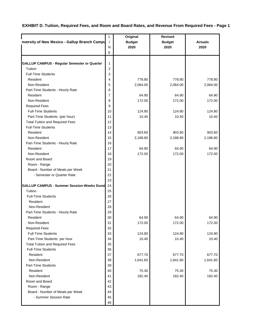#### **EXHIBIT D. Tuition, Required Fees, and Room and Board Rates, and Revenue From Required Fees - Page 1**

|                                                    | L              | Original      | <b>Revised</b> |                |
|----------------------------------------------------|----------------|---------------|----------------|----------------|
| nversity of New Mexico - Gallup Branch Campu       | $\mathbf{I}$   | <b>Budget</b> | <b>Budget</b>  | <b>Actuals</b> |
|                                                    | N              | 2020          | 2020           | 2020           |
|                                                    | E              |               |                |                |
|                                                    |                |               |                |                |
| <b>GALLUP CAMPUS - Regular Semester or Quarter</b> | $\mathbf{1}$   |               |                |                |
| Tuition                                            | $\overline{2}$ |               |                |                |
| <b>Full-Time Students</b>                          | 3              |               |                |                |
| Resident                                           | 4              | 778.80        | 778.80         | 778.80         |
| Non-Resident                                       | 5              | 2,064.00      | 2,064.00       | 2,064.00       |
| Part-Time Students - Hourly Rate                   | 6              |               |                |                |
| Resident                                           | 7              | 64.90         | 64.90          | 64.90          |
| Non-Resident                                       | 8              | 172.00        | 172.00         | 172.00         |
| <b>Required Fees</b>                               | 9              |               |                |                |
| <b>Full-Time Students</b>                          | 10             | 124.80        | 124.80         | 124.80         |
| Part-Time Students (per hour)                      | 11             | 10.40         | 10.40          | 10.40          |
| <b>Total Tuition and Required Fees</b>             | 12             |               |                |                |
| <b>Full-Time Students</b>                          | 13             |               |                |                |
| Resident                                           | 14             | 903.60        | 903.60         | 903.60         |
| Non-Resident                                       | 15             | 2,188.80      | 2,188.80       | 2,188.80       |
| Part-Time Students - Hourly Rate                   | 16             |               |                |                |
| Resident                                           | 17             | 64.90         | 64.90          | 64.90          |
| Non-Resident                                       | 18             | 172.00        | 172.00         | 172.00         |
| Room and Board                                     | 19             |               |                |                |
| Room - Range                                       | 20             |               |                |                |
| Board - Number of Meals per Week                   | 21             |               |                |                |
| - Semester or Quarter Rate                         | 22             |               |                |                |
|                                                    | 23             |               |                |                |
| <b>GALLUP CAMPUS - Summer Session-Weeks Durat</b>  | 24             |               |                |                |
| Tuition                                            | 25             |               |                |                |
| <b>Full-Time Students</b>                          | 26             |               |                |                |
| Resident                                           | 27             |               |                |                |
| Non-Resident                                       | 28             |               |                |                |
| Part-Time Students - Hourly Rate                   | 29             |               |                |                |
| Resident                                           | 30             | 64.90         | 64.90          | 64.90          |
| Non-Resident                                       | 31             | 172.00        | 172.00         | 172.00         |
| <b>Required Fees</b>                               | 32             |               |                |                |
| <b>Full-Time Students</b>                          | 33             | 124.80        | 124.80         | 124.80         |
| Part-Time Students per hour                        | 34             | 10.40         | 10.40          | 10.40          |
| <b>Total Tuition and Required Fees</b>             | 35             |               |                |                |
| <b>Full-Time Students</b>                          | 36             |               |                |                |
| Resident                                           | 37             | 677.70        | 677.70         | 677.70         |
| Non-Resident                                       | 38             | 1,641.60      | 1,641.60       | 1,641.60       |
| Part-Time Students                                 | 39             |               |                |                |
| Resident                                           | 40             | 75.30         | 75.30          | 75.30          |
| Non-Resident                                       | 41             | 182.40        | 182.40         | 182.40         |
| Room and Board                                     | 42             |               |                |                |
| Room - Range                                       | 43             |               |                |                |
| Board - Number of Meals per Week                   | 44             |               |                |                |
| - Summer Session Rate                              | 45             |               |                |                |
|                                                    | 46             |               |                |                |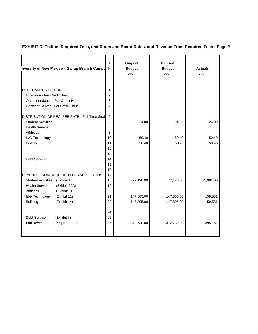#### **EXHIBIT D. Tuition, Required Fees, and Room and Board Rates, and Revenue From Required Fees - Page 2**

| nversity of New Mexico - Gallup Branch Campu   | L<br>ı<br>N<br>E | Original<br><b>Budget</b><br>2020 | <b>Revised</b><br><b>Budget</b><br>2020 | <b>Actuals</b><br>2020 |
|------------------------------------------------|------------------|-----------------------------------|-----------------------------------------|------------------------|
|                                                |                  |                                   |                                         |                        |
| OFF - CAMPUS TUITION                           | 1                |                                   |                                         |                        |
| Extension - Per Credit Hour                    | $\overline{2}$   |                                   |                                         |                        |
| Correspondence - Per Credit Hour               | 3                |                                   |                                         |                        |
| Resident Center - Per Credit Hour              | 4                |                                   |                                         |                        |
| DISTRIBUTION OF REQ. FEE RATE - Full-Time Stud | 5<br>6           |                                   |                                         |                        |
| <b>Student Activities</b>                      | $\overline{7}$   | 24.00                             | 24.00                                   | 24.00                  |
| <b>Health Service</b>                          | 8                |                                   |                                         |                        |
| <b>Athletics</b>                               | 9                |                                   |                                         |                        |
| I&G Technology                                 | 10               | 50.40                             | 50.40                                   | 50.40                  |
| <b>Building</b>                                | 11               | 50.40                             | 50.40                                   | 50.40                  |
|                                                | 12               |                                   |                                         |                        |
|                                                | 13               |                                   |                                         |                        |
| <b>Debt Service</b>                            | 14               |                                   |                                         |                        |
|                                                | 15               |                                   |                                         |                        |
|                                                | 16               |                                   |                                         |                        |
| REVENUE FROM REQUIRED FEES APPLIED TO:         | 17               |                                   |                                         |                        |
| Student Activities (Exhibit 15)                | 18               | 77,120.00                         | 77,120.00                               | 75,991.00              |
| <b>Health Service</b><br>(Exhibit 20A)         | 19               |                                   |                                         |                        |
| (Exhibit 21)<br><b>Athletics</b>               | 20               |                                   |                                         |                        |
| I&G Technology<br>(Exhibit 11)                 | 21               | 147,805.00                        | 147,805.00                              | 159,581                |
| <b>Building</b><br>(Exhibit 14)                | 22               | 147,805.00                        | 147,805.00                              | 159,581                |
|                                                | 23               |                                   |                                         |                        |
|                                                | 24               |                                   |                                         |                        |
| <b>Debt Service</b><br>(Exhibit II)            | 25               |                                   |                                         |                        |
| <b>Total Revenue from Required Fees</b>        | 26               | 372,730.00                        | 372,730.00                              | 395,152                |
|                                                |                  |                                   |                                         |                        |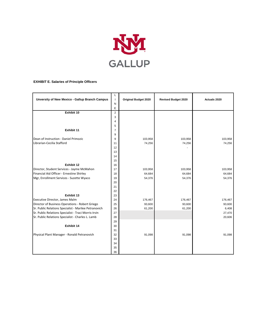

#### **EXHIBIT E. Salaries of Principle Officers**

|                                                       | L                             |                             |                            |              |
|-------------------------------------------------------|-------------------------------|-----------------------------|----------------------------|--------------|
| Unversity of New Mexico - Gallup Branch Campus        | $\overline{\phantom{a}}$<br>N | <b>Original Budget 2020</b> | <b>Revised Budget 2020</b> | Actuals 2020 |
|                                                       | E                             |                             |                            |              |
| Exhibit 10                                            | $\overline{2}$                |                             |                            |              |
|                                                       | 3                             |                             |                            |              |
|                                                       | 4                             |                             |                            |              |
|                                                       | 5                             |                             |                            |              |
| Exhibit 11                                            | $\overline{7}$                |                             |                            |              |
|                                                       | 9                             |                             |                            |              |
| Dean of Instruction - Daniel Primozic                 | 9                             | 103,958                     | 103,958                    | 103,958      |
| Librarian-Cecilia Stafford                            | 11                            | 74,256                      | 74,256                     | 74,256       |
|                                                       | 12                            |                             |                            |              |
|                                                       | 13                            |                             |                            |              |
|                                                       | 14                            |                             |                            |              |
|                                                       | 15                            |                             |                            |              |
| Exhibit 12                                            | 16                            |                             |                            |              |
| Director, Student Services - Jayme McMahon            | 17                            | 103,958                     | 103,958                    | 103,958      |
| Financial Aid Officer - Ernestine Shirley             | 18                            | 64,684                      | 64,684                     | 64,684       |
| Mgr, Enrollment Services - Suzette Wyaco              | 19                            | 54,376                      | 54,376                     | 54,376       |
|                                                       | 20                            |                             |                            |              |
|                                                       | 21                            |                             |                            |              |
|                                                       | 22                            |                             |                            |              |
| Exhibit 13                                            | 23                            |                             |                            |              |
| Executive Director, James Malm                        | 24                            | 176,467                     | 176,467                    | 176,467      |
| Director of Business Operations - Robert Griego       | 25                            | 93,600                      | 93,600                     | 93,600       |
| Sr. Public Relations Specialist - Marilee Petranovich | 26                            | 61,200                      | 61,200                     | 6,408        |
| Sr. Public Relations Specialist - Traci Morris-Irvin  | 27                            |                             |                            | 27,470       |
| Sr. Public Relations Specialist - Charles L. Lamb     | 28                            |                             |                            | 20,606       |
|                                                       | 29                            |                             |                            |              |
| Exhibit 14                                            | 30                            |                             |                            |              |
|                                                       | 31                            |                             |                            |              |
| Physical Plant Manager - Ronald Petranovich           | 32<br>33                      | 91,098                      | 91,098                     | 91,098       |
|                                                       | 34                            |                             |                            |              |
|                                                       | 35                            |                             |                            |              |
|                                                       | 36                            |                             |                            |              |
|                                                       |                               |                             |                            |              |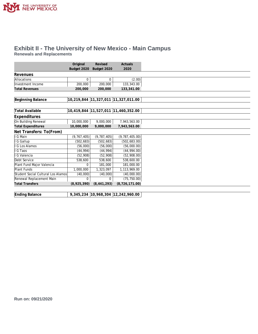

#### **Exhibit II - The University of New Mexico - Main Campus Renewals and Replacements**

|                                    | Original      | Revised       | Actuals                             |
|------------------------------------|---------------|---------------|-------------------------------------|
|                                    | Budget 2020   | Budget 2020   | 2020                                |
| Revenues                           |               |               |                                     |
| Allocations                        | 0             | $\Omega$      | (2.00)                              |
| Investment Income                  | 200,000       | 200,000       | 133,343.00                          |
| <b>Total Revenues</b>              | 200,000       | 200,000       | 133,341.00                          |
|                                    |               |               |                                     |
| Beginning Balance                  | 10,219,844    |               | 11,327,011 11,327,011.00            |
|                                    |               |               |                                     |
| Total Available                    |               |               | 10,419,844 11,527,011 11,460,352.00 |
| Expenditures                       |               |               |                                     |
| On Building Renewal                | 10,000,000    | 9,000,000     | 7,943,563.00                        |
| <b>Total Expenditures</b>          | 10,000,000    | 9,000,000     | 7,943,563.00                        |
| Net Transfers: To(From)            |               |               |                                     |
| G Main                             | (9, 767, 405) | (9, 787, 405) | (9, 787, 405.00)                    |
| G Gallup                           | (502, 683)    | (502, 683)    | (502, 683.00)                       |
| G Los Alamos                       | (56,000)      | (56,000)      | (56,000.00)                         |
| G Taos                             | (44, 994)     | (44, 994)     | (44, 994.00)                        |
| G Valencia                         | (52, 908)     | (52, 908)     | (52,908.00)                         |
| Debt Service                       | 538,600       | 538,600       | 538,600.00                          |
| Plant Fund Major Valencia          | 0             | 181,000       | 181,000.00                          |
| Plant Funds                        | 1,000,000     | 1,323,097     | 1,113,969.00                        |
| Student Social Cultural Los Alamos | (40,000)      | (40,000)      | (40,000.00)                         |
| Renewal Replacement Main           | 0             | 0             | (75, 750.00)                        |
| <b>Total Transfers</b>             | (8,925,390)   | (8, 441, 293) | (8, 726, 171.00)                    |

| Ending Balance |  | 9,345,234  10,968,304  12,242,960.00 |  |
|----------------|--|--------------------------------------|--|